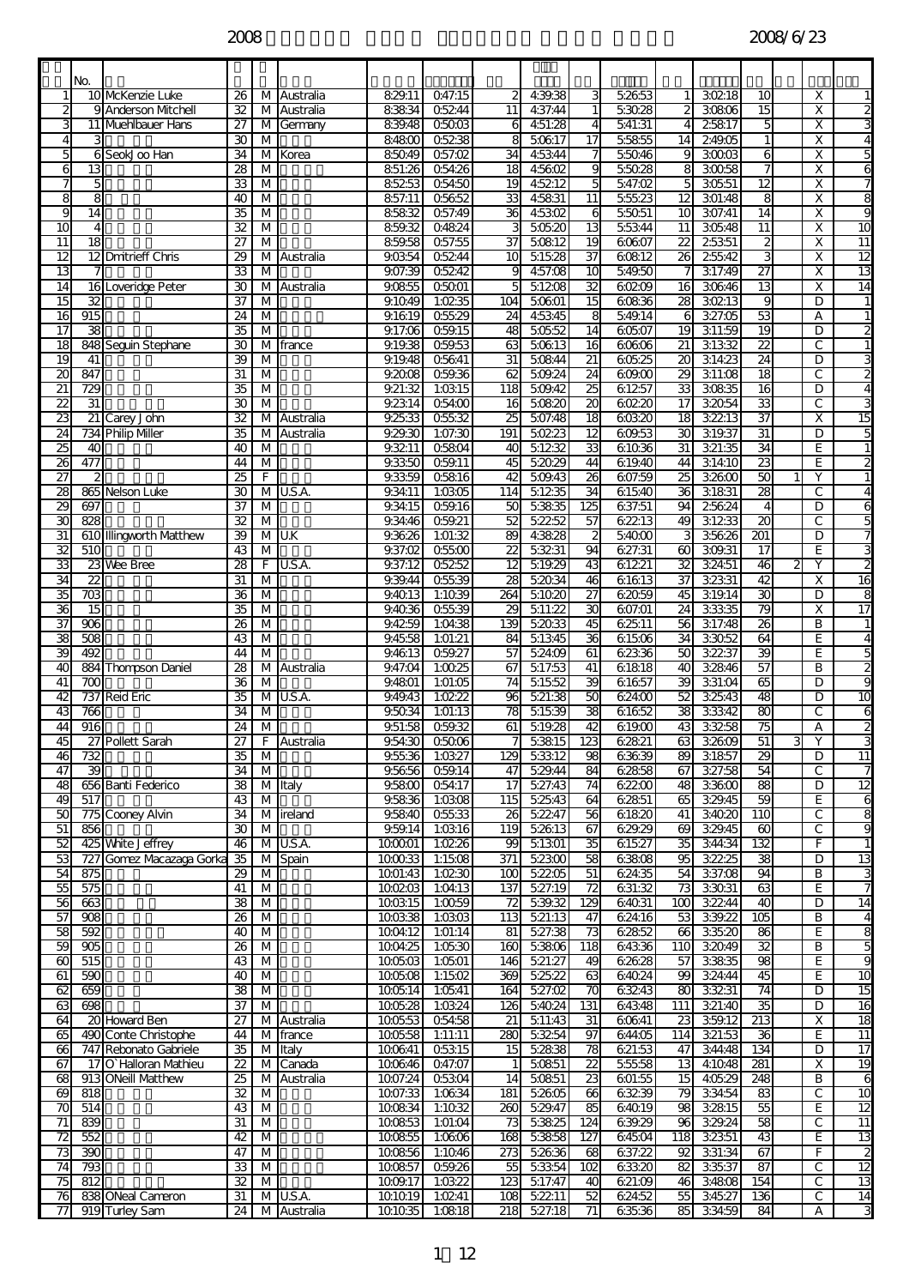|                                    | No.                               |                                              |                          |                |                     |                             |                     |                                    |                       |                                           |                  |                      |                   |                                   |                              |                                    |
|------------------------------------|-----------------------------------|----------------------------------------------|--------------------------|----------------|---------------------|-----------------------------|---------------------|------------------------------------|-----------------------|-------------------------------------------|------------------|----------------------|-------------------|-----------------------------------|------------------------------|------------------------------------|
| $\mathbf{1}$                       |                                   | 10 McKenzie Luke                             | 26                       | М              | Australia           | 829.11                      | Q47:15              |                                    | 4:39:38               | 3                                         | 52653            | 11                   | 30218             | 10                                | Χ                            | $\mathbf{1}$                       |
|                                    |                                   | 9 Anderson Mtchell                           | 32                       | M              | Australia           | 83834                       | 05244               | 11                                 | 4:37:44               | 1                                         | 53028            | 2                    | 30806             | 15                                | x                            | 2                                  |
|                                    |                                   | 11 Muehlbauer Hans                           | 27                       | M              | Germany             | 839.48                      | 05003               | 6                                  | 451:28                | $\overline{4}$                            | 541:31           | $\overline{4}$       | 25817             | 5                                 | $\overline{\mathsf{x}}$      | 3                                  |
| $\overline{4}$<br>5                | 3<br>6                            | SeokJoo Han                                  | 30<br>34                 | M<br>М         | Korea               | 84800<br>85049              | 05238<br>057:02     | 8<br>34                            | 50617<br>45344        | 17                                        | 55855<br>55046   | 14<br>9              | 249.05<br>30003   | 1<br>6                            | $\overline{\mathsf{x}}$<br>X | 4<br>5                             |
| 6                                  | 13                                |                                              | 28                       | M              |                     | 851:26                      | 054:26              | 18                                 | 4:5602                | 9                                         | 55028            | 8                    | 30058             | 7                                 | X                            | 6                                  |
| 7                                  | 5                                 |                                              | 33                       | M              |                     | 85253                       | 054:50              | 19                                 | 4:5212                | 5                                         | 547:02           | 5                    | 30551             | $\overline{12}$                   | x                            | 7                                  |
| 8                                  | 8                                 |                                              | 40                       | M              |                     | 857:11                      | 05652               | 33                                 | 4:5831                | 11                                        | 55523            | 12                   | 301:48            | 8                                 | x                            | 8                                  |
| 9                                  | 14                                |                                              | 35                       | M              |                     | 85832                       | 057:49              | 36                                 | 4:5302                | 6                                         | 55051            | 10                   | 307:41            | 14                                | $\overline{\mathsf{x}}$      | 9                                  |
| 10                                 | $\overline{4}$<br>$\overline{18}$ |                                              | 32                       | M              |                     | 859.32                      | 04824               |                                    | 50520                 | 13                                        | 55344            | 11                   | 30548             | 11                                | Χ                            | 10                                 |
| $\overline{11}$<br>$\overline{12}$ |                                   | 12 Dmitrieff Chris                           | $\overline{27}$<br>29    | М<br>M         | Australia           | 859.58<br>9.0354            | 057:55<br>05244     | $\overline{37}$<br>$\overline{10}$ | 50812<br>51528        | 19<br>$\overline{37}$                     | 60607<br>60812   | $\overline{2}$<br>26 | 25351<br>25542    | $\overline{a}$<br>3               | X<br>x                       | $\overline{11}$<br>$\overline{12}$ |
| $\overline{13}$                    | 7                                 |                                              | 33                       | М              |                     | 9.07:39                     | 05242               | 9                                  | 4:57:08               | $\overline{10}$                           | 54950            |                      | 317:49            | 27                                | $\overline{\mathsf{x}}$      | 13                                 |
| 14                                 | 16                                | Loveridge Peter                              | 30                       | M              | Australia           | 9.0855                      | 05001               | 5                                  | 51208                 | 32                                        | 60209            | 16                   | 30646             | 13                                | X                            | 14                                 |
| 15                                 | $\overline{32}$                   |                                              | $\overline{37}$          | M              |                     | 9.1049                      | 1:0235              | 104                                | 50601                 | $\overline{15}$                           | 60836            | $\overline{28}$      | 30213             | 9                                 | D                            | $\mathbf{1}$                       |
| $\overline{16}$                    | 915                               |                                              | $\overline{24}$          | M              |                     | 9.1619                      | 05529               | 24                                 | 4:5345                | 8                                         | 549.14           | 6                    | 327:05            | 53                                | А                            | $\mathbf{1}$                       |
| $\overline{17}$                    | 38                                |                                              | 35<br>30                 | M              |                     | 9.17:06<br>9.19.38          | Q59.15<br>059.53    | 48                                 | 50552<br>50613        | $\overline{14}$                           | 60507            | 19                   | 311:59            | $\overline{19}$<br>$\overline{2}$ | D<br>$\overline{c}$          | չ<br>$\mathbf{1}$                  |
| 18<br>19                           | 41                                | 848 Seguin Stephane                          | 39                       | M<br>M         | france              | $\overline{9}$ 19.48        | 05641               | 63<br>31                           | 50844                 | 16<br>21                                  | 60606<br>60525   | 21<br>20             | 31332<br>314:23   | 24                                | D                            | 3                                  |
| $\overline{20}$                    | 847                               |                                              | 31                       | M              |                     | 9.2008                      | 059.36              | 62                                 | 509.24                | 24                                        | 609.00           | 29                   | 311:08            | $\overline{18}$                   | C                            | 2                                  |
| $\overline{21}$                    | 729                               |                                              | 35                       | М              |                     | 9.21:32                     | 1:0315              | 118                                | 509.42                | 25                                        | 61257            | 33                   | 30835             | $\overline{16}$                   | D                            | 4                                  |
| 22                                 | 31                                |                                              | 30                       | M              |                     | 9.2314                      | 054:00              | 16                                 | 50820                 | 20                                        | 60220            | 17                   | 32054             | 33                                | С                            | 3                                  |
| $\overline{23}$                    |                                   | 21 Carey John                                | $\overline{32}$          | М              | Australia           | 9.2533                      | 055:32              | 25                                 | 507:48                | $\overline{18}$                           | 60320            | 18                   | 32213             | $\overline{37}$                   | $\overline{\mathsf{x}}$      | $\overline{15}$                    |
| $\overline{24}$                    |                                   | 734 Philip Miller                            | 35                       | M              | Australia           | $\frac{9}{29.30}$<br>9.3211 | 1:07:30             | 191                                | 50223<br>51232        | 12<br>$\overline{33}$                     | 609.53           | 30<br>31             | 319.37            | 31<br>34                          | D                            | 5                                  |
| 25<br>$\overline{26}$              | 40<br>477                         |                                              | 40<br>44                 | M<br>M         |                     | 9.3350                      | 05804<br>059.11     | 40<br>45                           | 52029                 | 44                                        | 61036<br>619.40  | 44                   | 321:35<br>314:10  | 23                                | E<br>E                       | $\mathbf{1}$<br>2                  |
| 27                                 | $\overline{\mathbf{2}}$           |                                              | 25                       | F              |                     | 9.3359                      | 05816               | 42                                 | 509.43                | 26                                        | 607:59           | 25                   | 32600             | 50                                | Y                            | $\mathbf{1}$                       |
| $\overline{28}$                    |                                   | 865 Nelson Luke                              | 30                       | M              | U.S.A.              | 9.34.11                     | 1:0305              | 114                                | 51235                 | 34                                        | 61540            | 36                   | 31831             | 8                                 | C                            | 4                                  |
| 29                                 | 697                               |                                              | 37                       | M              |                     | $\frac{1}{9.34:15}$         | Q59.16              | 50                                 | 53835                 | 125                                       | 637:51           | 94                   | 25624             | 4                                 | D                            | 6                                  |
| 30                                 | 828                               |                                              | 32                       | $\overline{M}$ |                     | 9.34:46                     | 059.21              | 52                                 | 52252                 | 57                                        | 62213            | 49                   | 31233             | 8                                 | С                            | 5                                  |
| $\overline{31}$                    |                                   | 610 Illingworth Matthew                      | 39                       | М              | U.K                 | 9.3626                      | 1:01:32             | 89                                 | 4:38.28               | $\overline{2}$                            | 5:4000           | 3                    | 35626             | $\overline{201}$                  | D                            | 7                                  |
| 32<br>$\overline{33}$              | 510                               | 23 Wee Bree                                  | 43<br>$\overline{28}$    | M<br>F         | U.S.A.              | 9.37:02<br>9.37:12          | 05500<br>05252      | 22<br>$\overline{12}$              | 53231<br>519.29       | 94<br>43                                  | 627:31<br>61221  | 60<br>32             | 309.31<br>324:51  | 17<br>46                          | E<br>Y<br>2                  | 3<br>2                             |
| 34                                 | 22                                |                                              | 31                       | M              |                     | 9.39.44                     | 05539               | 8                                  | 52034                 | 46                                        | 61613            | 37                   | 32331             | $\overline{42}$                   | X                            | 16                                 |
| 35                                 | $\overline{703}$                  |                                              | $\overline{\frac{3}{6}}$ | M              |                     | 9.4013                      | 1:1039              | $\overline{264}$                   | 51020                 | $\overline{27}$                           | 62059            | 45                   | 319.14            | 3                                 | D                            | 8                                  |
| 36                                 | $\overline{15}$                   |                                              | $\overline{35}$          | М              |                     | 9.4036                      | 05539               | 29                                 | 511:22                | 8                                         | 607:01           | 24                   | 33335             | 79                                | X                            | 17                                 |
| $\overline{37}$                    | 906                               |                                              | 26                       | M              |                     | 9.4259                      | 1:04:38             | 139                                | 52033                 | 45                                        | 62511            | 56                   | 317:48            | 26                                | В                            | $\mathbf{1}$                       |
| 38                                 | 508                               |                                              | 43                       | M              |                     | 9.4558                      | 1:01:21             | 84                                 | 51345                 | 36                                        | 61506            | 34                   | 33052             | 64                                | E                            | 4                                  |
| 39<br>40                           | 492                               | 884 Thompson Daniel                          | 44<br>$\overline{28}$    | M<br>М         | Australia           | 9.4613<br>9.47:04           | 059.27<br>1:0025    | 57<br>67                           | 5:24:09<br>517:53     | 61<br>41                                  | 62336<br>61818   | 50<br>40             | 32237<br>32846    | 39<br>$\overline{57}$             | E<br>B                       | 5<br>2                             |
| 41                                 | 700                               |                                              | $\overline{\frac{3}{6}}$ | M              |                     | 9.4801                      | 1:01:05             | 74                                 | 51552                 | 39                                        | 61657            | 39                   | 331:04            | 8                                 | D                            | 9                                  |
| 42                                 |                                   | 737 Reid Eric                                | 35                       | M              | U.S.A.              | 9.49.43                     | 1:02:22             | 96                                 | 521:38                | 50                                        | 624:00           | 52                   | 325:43            | 48                                | D                            | 10                                 |
| 43                                 | 766                               |                                              | 34                       | M              |                     | 9.5034                      | 1:01:13             | 78                                 | 51539                 | 38                                        | 61652            | 38                   | 33342             | 80                                | C                            | 6                                  |
| $\overline{44}$                    | 916                               |                                              | 24                       | M              |                     | 9.51:58                     | $\overline{059.32}$ | 61                                 | 519.28                | 42                                        | 61900            | 43                   | 33258             | $\overline{75}$                   | А                            | 2                                  |
| 45<br>46                           | $\overline{732}$                  | 27 Pollett Sarah                             | 27<br>$\overline{35}$    |                | F Australia         | 9.5430<br>9.55.36           | 05006               | 7                                  | 53815<br>53312        | 123<br>98                                 | 62821            | 63<br>89             | 32609             | 51<br>29                          | Y<br>3<br>D                  | $\overline{11}$                    |
| 47                                 | 39                                |                                              | 34                       | M<br>M         |                     | 95656                       | 1:0327<br>059.14    | 129<br>47                          | 529.44                | 84                                        | 63639<br>62858   | 67                   | 31857<br>327:58   | 54                                | $\mathsf{C}$                 | 7                                  |
| 48                                 |                                   | 656 Banti Federico                           | $\overline{38}$          |                | M Italy             | 9.5800                      | Q54:17              | 17 <sup>1</sup>                    | 527:43                | 74                                        | 62200            | 48                   | 33600             | 88                                | D                            | 12                                 |
| 49                                 | 517                               |                                              | 43                       | M              |                     | 9.5836                      | 1:0308              | 115                                | 52543                 | 64                                        | 62851            | 65                   | 329.45            | 59                                | E.                           | 6                                  |
| 50                                 |                                   | 775 Cooney Alvin                             | 34                       |                | M ireland           | 9.5840                      | 055:33              | 26                                 | 52247                 | 56                                        | 61820            | 41                   | 34020             | 110                               | С                            | 8                                  |
| 51                                 | 856                               |                                              | 30                       | M              |                     | 9.59.14                     | 1:0316              | 119                                | 5:26:13               | 67                                        | 629.29           | 69                   | 329.45            | 60                                | С                            | 9                                  |
| 52                                 |                                   | 425 White Jeffrey                            | 46                       |                | M U.S.A.            | 100001                      | 1:0226              | 99                                 | 51301                 | $\overline{35}$<br>85                     | 615.27           | 35<br>95             | 344:34<br>32225   | 132<br>38                         | F<br>D                       | $\mathbf{1}$                       |
| 53<br>54                           | 875                               | 727 Gomez Macazaga Gorka                     | $\overline{35}$<br>29    | M<br>M         | Spain               | 100033<br>1001:43           | 1:1508<br>1:02:30   | 371<br>100                         | 52300<br>52205        | 51                                        | 63808<br>624:35  | 54                   | 337:08            | 94                                | В                            | 13<br>3                            |
| $\overline{55}$                    | 575                               |                                              | 41                       | M              |                     | 100203                      | 1:04:13             | 137                                | 527:19                | $\overline{72}$                           | 631:32           | 73                   | 33031             | 63                                | E.                           | 7                                  |
| 56                                 | 663                               |                                              | $\overline{\mathcal{S}}$ | M              |                     | 100315                      | 1:0059              | $\overline{72}$                    | 539.32                | $\overline{129}$                          | 64031            | 100                  | 32244             | $\overline{40}$                   | D                            | 14                                 |
| 57                                 | 908                               |                                              | 26                       | M              |                     | 100338                      | 1:0303              | 113                                | 521:13                | 47                                        | 62416            | 53                   | 339.22            | 105                               | В                            | $\overline{4}$                     |
| 58                                 | 592                               |                                              | 40                       | M              |                     | 1004:12                     | 1:01:14             | 81                                 | 5.27:38               | $\overline{73}$                           | 62852            | 66                   | 33520             | 86                                | E                            | 8                                  |
| 59                                 | $\overline{\text{905}}$           |                                              | 26                       | M              |                     | 1004:25                     | 1:0530              | 160                                | 53806                 | 118                                       | 64336            | 110                  | 32049             | 32                                | В<br>E                       | 5                                  |
| $\omega$<br>61                     | 515<br>590                        |                                              | 43<br>40                 | M<br>M         |                     | 100503<br>100508            | 1:0501<br>1:1502    | 146<br>369                         | 521:27<br>52522       | 49<br>ß                                   | 62628<br>64024   | 57<br>99             | 33835<br>324:44   | 98<br>$\overline{45}$             | E                            | 9<br>$\overline{10}$               |
| 62                                 | 659                               |                                              | 38                       | M              |                     | 100514                      | 1:0541              | 164                                | 5:27:02               | 70                                        | 63243            | 80                   | 33231             | 74                                | D                            | 15                                 |
| 63                                 | 698                               |                                              | $\overline{37}$          | M              |                     | 1005:28                     | 1:0324              | 126                                | 5:4024                | 131                                       | 64348            | 111                  | 321:40            | 35                                | D                            | 16                                 |
| 64                                 |                                   | 20 Hovard Ben                                | $\overline{27}$          |                | M Australia         | 100553                      | 054:58              | 21                                 | 511:43                | 31                                        | 60641            | 23                   | 359.12            | 213                               | $\overline{\mathsf{x}}$      | 18                                 |
| 65                                 |                                   | 490 Conte Christophe                         | 44                       | M              | france              | 100558                      | 1:11:11             | 280                                | 53254                 | 97                                        | 644:05           | 114                  | 321:53            | 36                                | E                            | 11                                 |
| $\overline{66}$                    |                                   | 747 Rebonato Gabriele                        | 35                       | M              | Italy               | 100641                      | 05315               | 15                                 | 52838                 | 78                                        | 621:53           | 47                   | 344:48            | 134                               | D                            | $\overline{17}$                    |
| 67<br>$\overline{68}$              |                                   | 17 O` Halloran Mathieu<br>913 ONeill Matthew | $\mathbf{22}$<br>25      | M<br>M         | Canada<br>Australia | 100646<br>1007:24           | Q47:07<br>05304     | $\mathbf{1}$<br>14                 | 50851<br>50851        | $\overline{2}$<br>$\overline{\mathbf{z}}$ | 55558<br>601:55  | 13<br>15             | 4:1048<br>4:05:29 | $\overline{281}$<br>248           | x<br>В                       | 19<br>6                            |
| 69                                 | $\overline{818}$                  |                                              | $\overline{32}$          | M              |                     | 1007:33                     | 1:0634              | 181                                | 52605                 | 66                                        | 63239            | 79                   | 334:54            | 83                                | $\overline{c}$               | 10                                 |
| $\overline{70}$                    | 514                               |                                              | 43                       | M              |                     | 100834                      | 1:1032              | 260                                | 5:29.47               | 85                                        | 64019            | 98                   | 32815             | 55                                | E                            | 12                                 |
| $\overline{71}$                    | 839                               |                                              | 31                       | M              |                     | 100853                      | 1:01:04             | 73                                 | 53825                 | 124                                       | 639.29           | 96                   | 329.24            | 58                                | С                            | 11                                 |
| $\overline{72}$                    | 552                               |                                              | 42                       | M              |                     | 100855                      | 1:0606              | 168                                | 53858                 | 127                                       | 64504            | 118                  | 32351             | 43                                | E                            | $\overline{13}$                    |
| $\overline{73}$                    | 390                               |                                              | 47                       | M              |                     | 100856                      | 1:1046              | 273                                | 52636                 | 68                                        | 637:22           | 92                   | 33:34             | 67                                | F                            | $\overline{\mathbf{c}}$            |
| $\overline{74}$<br>75              | 793<br>812                        |                                              | 33<br>32                 | M<br>M         |                     | 100857                      | 059.26              | 55<br>123                          | 53354                 | 102                                       | 63320            | 82                   | 335:37            | 87                                | С<br>$\overline{c}$          | 12<br>13                           |
| $\overline{76}$                    |                                   | 838 ONeal Cameron                            | 31                       |                | M U.S.A.            | 1009.17<br>101019           | 1:03:22<br>1:0241   |                                    | 5.17:47<br>108 5:2211 | 40<br>52                                  | 621:09<br>624:52 | 46<br>55             | 34808<br>34527    | 154<br>136                        | $\overline{c}$               | 14                                 |
| $\overline{77}$                    |                                   | 919 Turley Sam                               | 24                       |                | M Australia         | 101035                      | 1:0818              |                                    | 218 527:18            | 71                                        | 63536            | 85                   | 334:59            | 84                                | А                            | دى                                 |
|                                    |                                   |                                              |                          |                |                     |                             |                     |                                    |                       |                                           |                  |                      |                   |                                   |                              |                                    |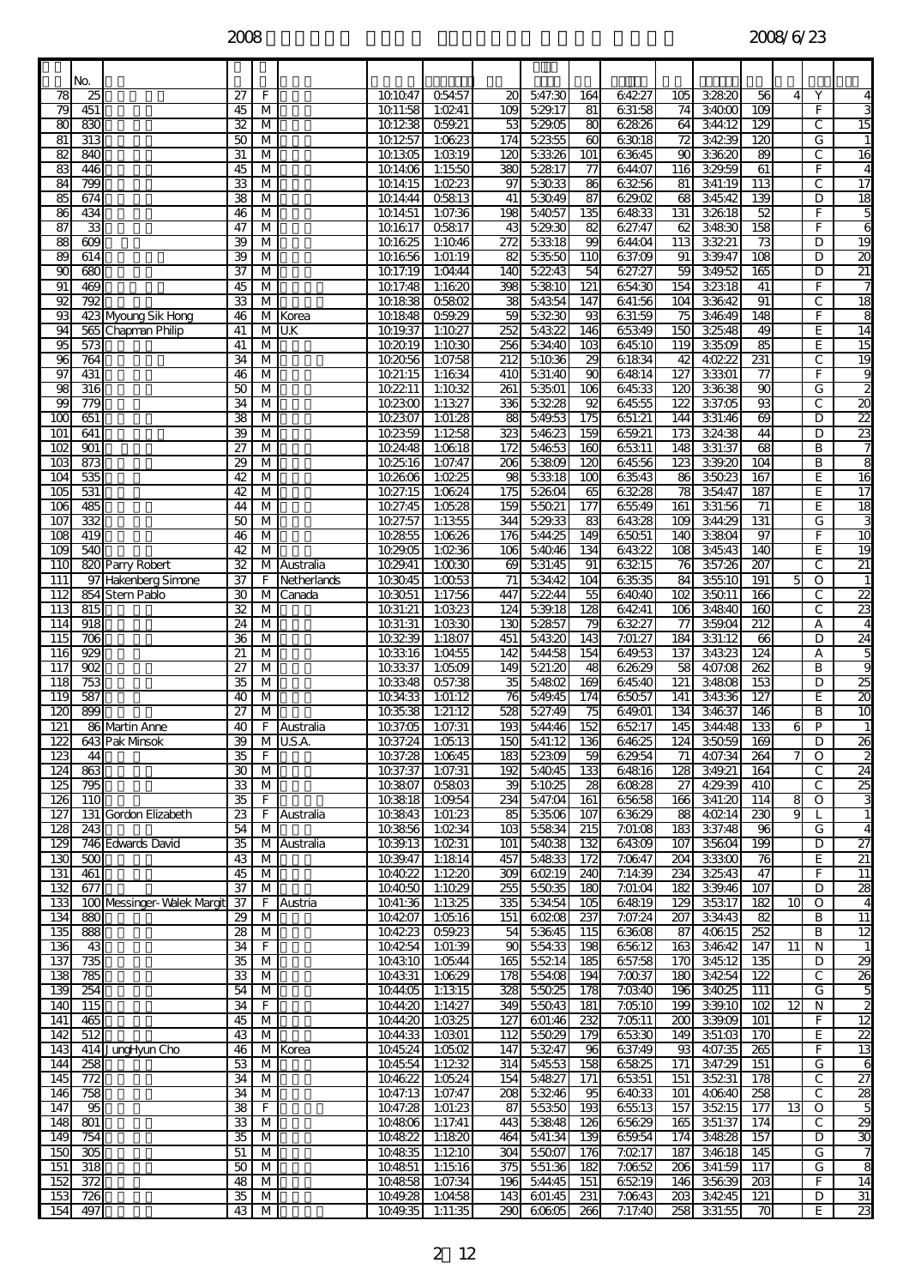|                               | No.                   |                            |                       |                         |             |                    |                    |                        |                   |                        |                  |                         |                   |                         |                 |                     |                                    |
|-------------------------------|-----------------------|----------------------------|-----------------------|-------------------------|-------------|--------------------|--------------------|------------------------|-------------------|------------------------|------------------|-------------------------|-------------------|-------------------------|-----------------|---------------------|------------------------------------|
| 78                            | 25                    |                            | 27                    | F                       |             | 101047             | 05457              | 20                     | 547:30            | 164                    | 64227            | 105                     | 32820             | 56                      | $\overline{4}$  | Y                   | 4                                  |
| 79                            | 451                   |                            | 45                    | М                       |             | 1011:58            | 1:0241<br>059.21   | 109<br>53              | 5:29.17           | 81                     | 631:58           | 74                      | 34000             | $\overline{3}$          |                 | F<br>C              | 3                                  |
| $\overline{\mathbf{g}}$<br>81 | 830<br>313            |                            | 32<br>50              | М<br>M                  |             | 101238<br>101257   | 1:0623             | 174                    | 5:29:05<br>52355  | 80<br>60               | 62826<br>63018   | 64<br>72                | 344:12<br>34239   | 129<br>120              |                 | G                   | $\overline{15}$<br>$\mathbf{1}$    |
| 82                            | 840                   |                            | $\overline{3}$        | м                       |             | 101305             | 1:0319             | 120                    | 53326             | 101                    | 63645            | 90                      | 33620             | 89                      |                 | С                   | $\overline{16}$                    |
| 83                            | 446                   |                            | 45                    | M                       |             | 1014:06            | 1:1550             | 380                    | 52817             | 77                     | 644:07           | 116                     | 329.59            | 61                      |                 | F                   | $\overline{4}$                     |
| 84<br>85                      | 799<br>674            |                            | 33<br>38              | M<br>М                  |             | 1014:15<br>1014:44 | 1:0223<br>05813    | 97<br>41               | 53033<br>53049    | 86<br>$\overline{87}$  | 63256<br>629.02  | 81<br>$\overline{68}$   | 341:19<br>34542   | $\overline{113}$<br>139 |                 | C<br>D              | $\overline{17}$<br>$\overline{18}$ |
| 86                            | 434                   |                            | 46                    | M                       |             | 1014:51            | 1:07:36            | 198                    | 54057             | 135                    | 64833            | 131                     | 32618             | 52                      |                 | F                   | 5                                  |
| 87                            | 33                    |                            | 47                    | M                       |             | 101617             | 05817              | 43                     | 5:29:30           | 82                     | 627:47           | 62                      | 34830             | 158                     |                 | F                   | 6                                  |
| 88                            | $\overline{609}$      |                            | 39                    | м                       |             | 101625             | 1:1046             | 272                    | 53318             | 99                     | 644:04           | 113                     | 33221             | $\overline{73}$         |                 | D                   | $\overline{19}$                    |
| 89<br>90                      | 614<br>680            |                            | 39<br>37              | M<br>м                  |             | 101656<br>1017:19  | 1:01:19<br>1:04:44 | 82<br>140              | 53550<br>52243    | 110<br>54              | 637:09<br>627:27 | 91<br>59                | 339.47<br>349.52  | $\overline{108}$<br>165 |                 | D<br>D              | 30<br>21                           |
| 91                            | 469                   |                            | 45                    | м                       |             | 1017:48            | 1:1620             | 398                    | 53810             | 121                    | 654:30           | 154                     | 32318             | 41                      |                 | F                   | 7                                  |
| 92                            | $\overline{792}$      |                            | $\overline{33}$       | $\overline{\mathsf{M}}$ |             | 101838             | 05802              | 38                     | 54354             | 147                    | 641:56           | 104                     | 33642             | ୭ୀ                      |                 | С                   | $\overline{18}$                    |
| 93                            |                       | 423 Myoung Sik Hong        | 46                    |                         | M Korea     | 101848             | 059.29             | 59                     | 53230             | 93                     | 631:59           | 75                      | 3:46:49           | 148                     |                 | F                   | 8                                  |
| 94<br>95                      | 573                   | 565 Chapman Philip         | 41<br>41              | м<br>M                  | U.K         | 1019.37<br>102019  | 1:1027<br>1:1030   | 252<br>256             | 54322<br>534:40   | 146<br>103             | 65349<br>64510   | 150<br>119              | 32548<br>33509    | 49<br>85                |                 | E<br>E              | 14<br>15                           |
| $\overline{\alpha}$           | 764                   |                            | 34                    | M                       |             | 102056             | 1:07:58            | 212                    | 51036             | 29                     | 61834            | 42                      | 4:02:22           | 231                     |                 | C                   | 19                                 |
| 97                            | 431                   |                            | 46                    | $\overline{M}$          |             | 1021:15            | 1:1634             | 410                    | 531:40            | 8                      | 64814            | 127                     | 33301             | $\overline{77}$         |                 | F                   | 9                                  |
| 98                            | 316                   |                            | 50                    | м                       |             | 102211             | 1:1032             | 261                    | 53501             | 106                    | 64533            | $\overline{120}$        | 33638             | $\overline{90}$         |                 | G                   | 2                                  |
| 99<br>$\overline{100}$        | 779<br>651            |                            | 34<br>38              | м<br>м                  |             | 102300<br>102307   | 1:1327<br>1:01:28  | 336<br>88              | 53228<br>5:49:53  | 92<br>175              | 64555<br>651:21  | 122<br>144              | 337:05<br>331:46  | 8<br>69                 |                 | C<br>D              | 20<br>$\overline{2}$               |
| 101                           | 641                   |                            | 39                    | M                       |             | 102359             | 1:1258             | 323                    | 54623             | 159                    | 659.21           | 173                     | 324:38            | 44                      |                 | D                   | 23                                 |
| 102                           | $\overline{901}$      |                            | $\overline{27}$       | $\overline{M}$          |             | 1024:48            | 1:0618             | 172                    | 54653             | 160                    | 65311            | 148                     | 33:37             | 8                       |                 | B                   | 7                                  |
| $\overline{103}$              | 873                   |                            | 29                    | м                       |             | 102516             | 1:07:47            | $\overline{206}$       | 53809             | 120                    | 64556            | $\overline{123}$        | 339.20            | 104                     |                 | В                   | 8                                  |
| 104<br>105                    | 535<br>531            |                            | 42<br>42              | м<br>м                  |             | 102606<br>1027:15  | 1:0225<br>1:0624   | 98<br>175              | 53318<br>52604    | 100<br>65              | 63543<br>63228   | 86<br>78                | 35023<br>354:47   | 167<br>187              |                 | E<br>E              | 16<br>$\overline{17}$              |
| 106                           | 485                   |                            | 44                    | M                       |             | 1027:45            | 1:0528             | 159                    | 55021             | 177                    | 65549            | 161                     | 331:56            | 71                      |                 | E                   | 18                                 |
| 107                           | 332                   |                            | 50                    | M                       |             | 1027:57            | 1:1355             | 344                    | 5:29:33           | 83                     | 64328            | 109                     | 344:29            | 131                     |                 | G                   | 3                                  |
| $\overline{108}$              | 419                   |                            | 46                    | М                       |             | 102855             | 1:0626             | 176                    | 544:25            | 149                    | 65051            | 140                     | 33804             | 97                      |                 | F                   | 10                                 |
| 109<br>110                    | 540                   | 820 Parry Robert           | 42<br>$\overline{32}$ | м<br>М                  | Australia   | 1029.05<br>1029.41 | 1:0236<br>1:0030   | 106<br>69              | 54046<br>531:45   | 134<br>91              | 64322<br>63215   | 108<br>76               | 34543<br>357:26   | 140<br>207              |                 | E<br>С              | 19<br>$\overline{21}$              |
| 111                           |                       | 97 Hakenberg Simone        | 37                    | F                       | Netherlands | 103045             | 1:0053             | $\overline{71}$        | 534:42            | 104                    | 63535            | 84                      | 35510             | 191                     | 5               | O                   | $\mathbf{1}$                       |
| 112                           |                       | 854 Stern Pablo            | 30                    | $\overline{\mathsf{M}}$ | Canada      | 103051             | 1:17:56            | 447                    | 52244             | 95                     | 64040            | $\overline{102}$        | 35011             | 166                     |                 | С                   | $\overline{2}$                     |
| 113                           | $\overline{815}$      |                            | 32                    | M                       |             | 1031:21            | 1:0323             | 124                    | 5:39:18           | 128                    | 64241            | 106                     | 34840             | 160                     |                 | C                   | 23                                 |
| 114<br>115                    | 918<br>706            |                            | 24<br>36              | м<br>м                  |             | 1031:31<br>103239  | 1:03:30<br>1:1807  | 130<br>451             | 52857<br>54320    | 79<br>143              | 63227<br>7:01:27 | 77<br>184               | 359.04<br>331:12  | 212<br>66               |                 | А<br>D              | 4<br>24                            |
| 116                           | 929                   |                            | 21                    | $\overline{M}$          |             | 103316             | 1:04:55            | 142                    | 54458             | 154                    | 649.53           | 137                     | 34323             | 124                     |                 | А                   | 5                                  |
| $\overline{117}$              | $\overline{8}$        |                            | $\overline{27}$       | $\overline{M}$          |             | 103337             | 1:0509             | 149                    | 521:20            | 48                     | 62629            | 58                      | 407:08            | $\overline{262}$        |                 | B                   | 9                                  |
| 118                           | 753                   |                            | 35                    | М                       |             | 103348             | 057:38             | 35                     | 5:4802            | 169                    | 64540            | 121                     | 34808             | 153                     |                 | D                   | 25                                 |
| 119<br>12C                    | 587<br>899            |                            | 40<br>27              | M<br>м                  |             | 1034:33<br>103538  | 1:01:12<br>1:21:12 | 76<br>528              | 549.45<br>527:49  | 174<br>75              | 65057<br>649.01  | 141<br>134              | 34336<br>34637    | 127<br>146              |                 | E<br>В              | 20<br>$\overline{10}$              |
| 121                           |                       | 86 Martin Anne             | 40                    | F                       | Australia   | 1037:05            | 1:07:31            | 193                    | 544:46            | 152                    | 65217            | 145                     | 344:48            | 133                     | 6               | P                   | $\mathbf{1}$                       |
| $\overline{122}$              |                       | 643 Pak Mnsok              | 39                    |                         | M U.S.A     | 1037:24            | 1:0513             | 150                    | 541:12            | 136                    | 64625            | 124                     | 35059             | 169                     |                 | D                   | $\overline{26}$                    |
| 123                           | 44<br>863             |                            | 35<br>30              | F                       |             | 1037:28            | 1:0645             | 183                    | 52309<br>5:40:45  | 59                     | 62954<br>64816   | 71                      | 4:07:34<br>349.21 | 264                     |                 | 0<br>C              | $\overline{\mathbf{c}}$            |
| 124<br>125                    | $\overline{795}$      |                            | 33                    | M<br>М                  |             | 1037:37<br>103807  | 1:07:31<br>05803   | 192<br>39              | 51025             | 133<br>28              | 60828            | 128<br>27               | 4:29:39           | 164<br>410              |                 | С                   | 24<br>25                           |
| 126                           | 110                   |                            | 35                    | F                       |             | 103818             | 1:09.54            | 234                    | 5:47:04           | 161                    | 65658            | 166                     | 341:20            | 114                     | 8               | O                   | 3                                  |
| 127                           |                       | 131 Gordon Elizabeth       | 23                    | F                       | Australia   | 103843             | 1:01:23            | 85                     | 5:35:06           | 107                    | 63629            | 88                      | 4:0214            | 230                     | 9               |                     | $\mathbf{1}$                       |
| 128<br>129                    | 243                   | 746 Edwards David          | 54<br>35              | M                       | M Australia | 103856<br>1039.13  | 1:0234<br>1:0231   | 10 <sup>3</sup><br>101 | 55834<br>54038    | 215<br>132             | 7:01:08<br>64309 | 183<br>107              | 337:48<br>35604   | 96<br>$\overline{199}$  |                 | G<br>D              | 4<br>27                            |
| 130                           | 500                   |                            | 43                    | М                       |             | 1039.47            | 1:1814             | 457                    | 54833             | 172                    | 7:0647           | 204                     | 33300             | 76                      |                 | E                   | $\overline{2}$                     |
| 131                           | 461                   |                            | 45                    | $\overline{\mathsf{M}}$ |             | 104022             | 1:1220             | 309                    | 60219             | 240                    | 7:14:39          | 234                     | 32543             | 47                      |                 | F                   | 11                                 |
| 132                           | 677                   |                            | 37                    | M                       |             | 104050             | 1:1029             | 255                    | 55035             | 180                    | 7:01:04          | 182                     | 339.46            | 107                     |                 | D                   | 80                                 |
| 133<br>134                    | 880                   | 100 Messinger-Walek Margit | 37<br>29              | F<br>M                  | Austria     | 1041:36<br>104207  | 1:1325<br>1:0516   | 335<br>151             | 534:54<br>60208   | 105<br>237             | 64819<br>7:07:24 | 129<br>207              | 35317<br>334:43   | 182<br>82               | 10              | $\overline{0}$<br>B | 4<br>11                            |
| 135                           | 888                   |                            | 28                    | M                       |             | 104223             | 059.23             | 54                     | 53645             | 115                    | 63608            | 87                      | 4:06:15           | $\overline{252}$        |                 | В                   | 12                                 |
| 136                           | ۵à                    |                            | 34                    | F                       |             | 104254             | 1:01:39            | 8                      | 554:33            | 198                    | 65612            | 163                     | 34642             | 147                     | 11              | N                   | $\mathbf{1}$                       |
| 137                           | 735                   |                            | 35                    | M                       |             | 104310             | 1:0544             | 165                    | 55214             | 185                    | 657:58           | <b>170</b>              | 34512             | 135                     |                 | D                   | 29                                 |
| 138<br>139                    | 785<br>254            |                            | 33<br>54              | M<br>M                  |             | 104331<br>1044:05  | 1:0629<br>1:1315   | 178<br>328             | 55408<br>55025    | 194<br>178             | 7:0037<br>7:0340 | 180<br>196              | 34254<br>34025    | $\overline{122}$<br>111 |                 | С<br>G              | $\overline{26}$<br>5               |
| 140                           | 115                   |                            | 34                    | F.                      |             | 1044:20            | 1:14.27            | 349                    | 55043             | 181                    | 7:05:10          | 199                     | 339.10            | 102                     | $\overline{12}$ | N                   | $\overline{a}$                     |
| 141                           | 465                   |                            | 45                    | $\overline{\mathsf{M}}$ |             | 1044:20            | 1:0325             | 127                    | 601:46            | 232                    | 7:0511           | 8                       | 339.09            | 101                     |                 | F                   | $\overline{12}$                    |
| 142                           | 512                   |                            | 43                    | M                       |             | 1044:33            | 1:0301             | 112                    | 55029             | 179                    | 65330            | 149                     | 351:03            | 170                     |                 | E                   | 22                                 |
| 143<br>144                    | 258                   | 414 JungHyun Cho           | 46<br>53              | M                       | M Korea     | 1045:24<br>104554  | 1:0502<br>1:1232   | 147<br>314             | 53247<br>54553    | 96<br>$\overline{158}$ | 637:49<br>65825  | 93<br>171               | 4:07:35<br>347:29 | 265<br>151              |                 | F<br>G              | $\overline{13}$<br>6               |
| 145                           | 772                   |                            | 34                    | $\overline{\mathsf{M}}$ |             | 104622             | 1:05.24            | 154                    | 54827             | 171                    | 65351            | 151                     | 35231             | 178                     |                 | С                   | $\overline{27}$                    |
| 146                           | 758                   |                            | 34                    | $\overline{\mathsf{M}}$ |             | 1047:13            | 1:07:47            | 208                    | 53246             | 95                     | 64033            | 101                     | 4:06:40           | 258                     |                 | С                   | 28                                 |
| 147<br>148                    | 95<br>$\overline{80}$ |                            | 38                    | F                       |             | 1047:28            | 1:01:23            | 87                     | 55350             | 193                    | 65513            | 157                     | 35215             | 177                     | 13              | 0<br>С              | 5                                  |
| 149                           | 754                   |                            | 33<br>35              | M<br>M                  |             | 104806<br>104822   | 1:17:41<br>1:1820  | 443<br>464             | 5:38:48<br>541:34 | 126<br>139             | 65629<br>659.54  | 165<br>174              | 351:37<br>34828   | 174<br>157              |                 | D                   | 29<br>30                           |
| 150                           | 305                   |                            | 51                    | M                       |             | 104835             | 1:1210             | 304                    | 5:5007            | 176                    | 7:0217           | 187                     | 34618             | 145                     |                 | G                   | 7                                  |
| 151                           | 318                   |                            | 50                    | $\overline{\mathsf{M}}$ |             | 104851             | 1:1516             | 375                    | 551:36            | 182                    | 7:0652           | 206                     | 341:59            | 117                     |                 | G                   | 8                                  |
| 152<br>153                    | 372<br>726            |                            | 48<br>35              | M<br>M                  |             | 104858<br>1049.28  | 1:07:34<br>1:04:58 | 196<br>143             | 544:45<br>601:45  | 151<br>231             | 65219<br>7:06:43 | 146<br>$\overline{203}$ | 35639<br>34245    | 203<br>121              |                 | F<br>D              | 14<br>31                           |
| 154                           | 497                   |                            | 43                    | M                       |             | 1049.35            | 1:11:35            | 290                    | 60605             | 266                    | 7:17:40          | 258                     | 33:55             | 70                      |                 | E                   | 23                                 |
|                               |                       |                            |                       |                         |             |                    |                    |                        |                   |                        |                  |                         |                   |                         |                 |                     |                                    |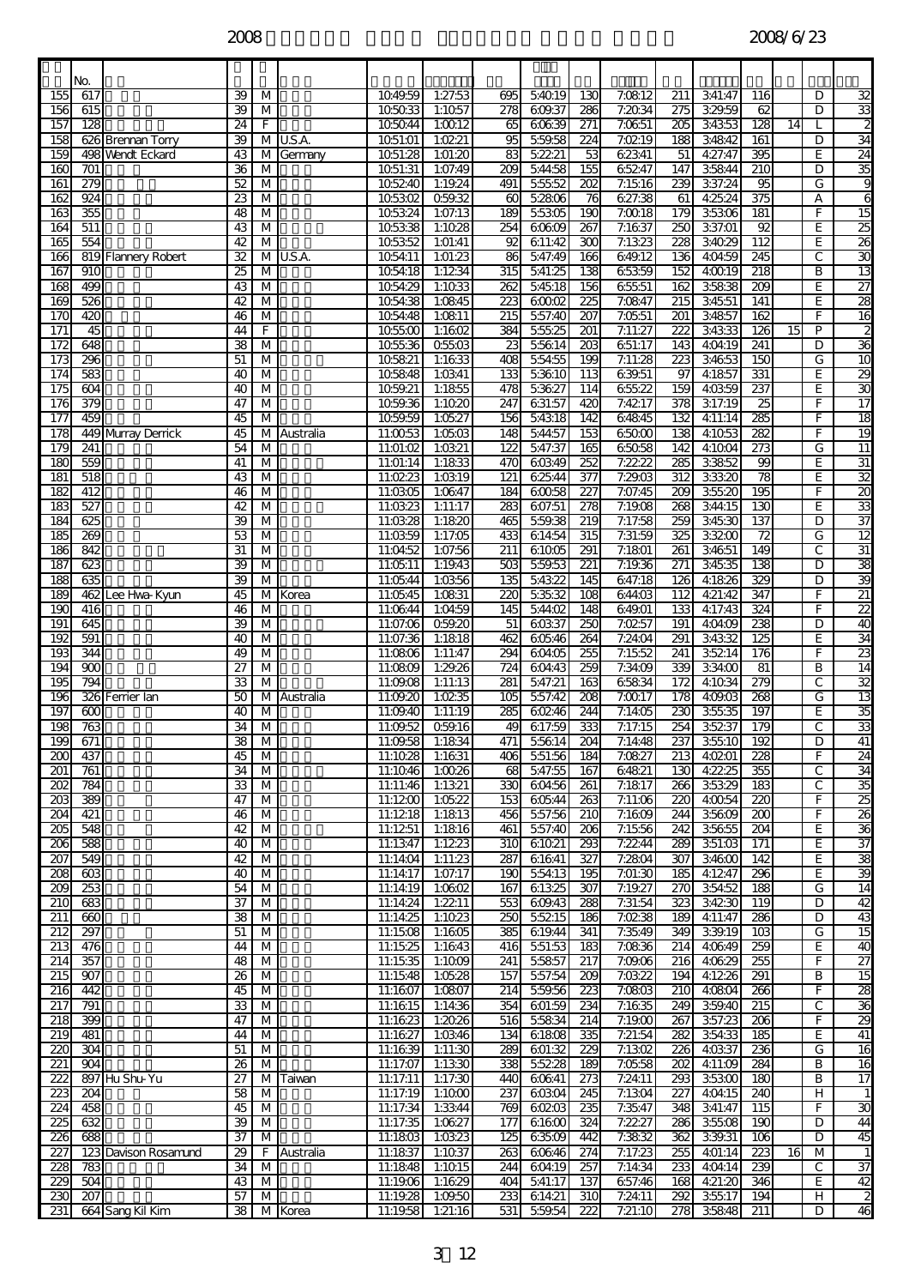|                         | No.             |                      |                                    |                                                    |             |                      |                    |                         |                  |                         |                   |                         |                    |                         |    |                     |                         |
|-------------------------|-----------------|----------------------|------------------------------------|----------------------------------------------------|-------------|----------------------|--------------------|-------------------------|------------------|-------------------------|-------------------|-------------------------|--------------------|-------------------------|----|---------------------|-------------------------|
| 155                     | 617             |                      | 39                                 | M                                                  |             | 1049.59              | 1:27:53            | 695                     | 54019            | 130                     | 7:0812            | 211                     | 341:47             | 116                     |    | D                   | 32                      |
| 156                     | 615             |                      | 39                                 | M                                                  |             | 105033               | 1:1057             | 278                     | 609.37           | 286                     | 7:2034            | $\overline{275}$        | 329.59             | 62                      |    | D                   | 33                      |
| 157<br>158              | 128             | 626 Brennan Torry    | $\overline{24}$<br>39              | F<br>M                                             | U.S.A.      | 105044<br>1051:01    | 1:0012<br>1:0221   | 65<br>95                | 60639<br>5:59:58 | 271<br>224              | 7:0651<br>7:0219  | 205<br>188              | 34353<br>34842     | $\overline{128}$<br>161 | 14 | D                   | 34                      |
| 159                     |                 | 498 Wendt Eckard     | 43                                 | M                                                  | Germany     | 1051:28              | 1:01:20            | $\overline{83}$         | 52221            | 53                      | 62341             | 51                      | 4:27:47            | 395                     |    | E                   | $\overline{24}$         |
| 160                     | 701             |                      | 36                                 | M                                                  |             | 1051:31              | 1:07:49            | 209                     | 544:58           | 155                     | 65247             | 147                     | 35844              | 210                     |    | D                   | 35                      |
| 161                     | 279             |                      | 52                                 | $\overline{M}$                                     |             | 105240               | 1:19.24            | 491                     | 55552            | $\overline{202}$        | 7:1516            | 239                     | 337:24             | 95                      |    | G                   | 9                       |
| 162                     | 924<br>355      |                      | $\overline{\mathbf{z}}$            | $\overline{M}$<br>M                                |             | 105302<br>105324     | 059.32             | $\overline{60}$         | 5:2806           | $\overline{76}$<br>190  | 627:38            | 61<br>179               | 4:25:24            | 375                     |    | А<br>F              | 6                       |
| 163<br>164              | 511             |                      | 48<br>43                           | M                                                  |             | 105338               | 1:07:13<br>1:1028  | 189<br>254              | 55305<br>60609   | 267                     | 7:0018<br>7:1637  | 250                     | 35306<br>337:01    | 181<br>92               |    | E                   | 15<br>25                |
| 165                     | 554             |                      | 42                                 | M                                                  |             | 105352               | 1:01:41            | 8                       | 611:42           | 300                     | 7:1323            | $\overline{228}$        | 34029              | $\overline{112}$        |    | E                   | $\overline{26}$         |
| 166                     |                 | 819 Flannery Robert  | $\overline{32}$                    | М                                                  | U.S.A.      | 1054:11              | 1:01:23            | 86                      | 547:49           | 166                     | 649.12            | 136                     | 4:04:59            | 245                     |    | C                   | $\overline{30}$         |
| 167                     | 910             |                      | $\overline{25}$                    | M                                                  |             | 1054:18              | 1:1234             | 315                     | 541:25           | 138                     | 65359             | 152                     | 4:0019             | $\overline{218}$        |    | B                   | $\overline{13}$         |
| 168<br>169              | 499<br>526      |                      | 43<br>42                           | M<br>M                                             |             | 1054:29<br>1054:38   | 1:1033<br>1:0845   | 262<br>223              | 54518<br>60002   | 156<br>225              | 65551<br>7:0847   | 162<br>$\overline{215}$ | 35838<br>34551     | 209<br>141              |    | E<br>E              | $\overline{27}$<br>28   |
| 170                     | 420             |                      | 46                                 | M                                                  |             | 1054:48              | 1:0811             | 215                     | 5:57:40          | 207                     | 7:0551            | 201                     | 34857              | 162                     |    | F.                  | $\overline{16}$         |
| 171                     | 45              |                      | 44                                 | F                                                  |             | 105500               | 1:1602             | 384                     | 55525            | 201                     | 7:11:27           | 222                     | 34333              | $\overline{126}$        | 15 | $\overline{P}$      | $\overline{\mathbf{c}}$ |
| 172                     | 648             |                      | $\overline{38}$                    | M                                                  |             | 1055:36              | 05503              | 23                      | 55614            | $\overline{203}$        | 651:17            | 143                     | 4:04:19            | 241                     |    | D                   | 36                      |
| 173<br>174              | 296<br>583      |                      | 51                                 | M                                                  |             | 105821               | 1:1633<br>1:0341   | 408<br>133              | 55455<br>53610   | 199                     | 7:11:28<br>639.51 | 223                     | 34653<br>4:1857    | 150                     |    | G                   | 10                      |
| 175                     | 604             |                      | 40<br>40                           | M<br>M                                             |             | 105848<br>1059.21    | 1:1855             | 478                     | 53627            | $\overline{113}$<br>114 | 65522             | 97<br>159               | 4:0359             | 331<br>237              |    | E<br>E              | 29<br>30                |
| 176                     | 379             |                      | 47                                 | M                                                  |             | 1059.36              | 1:1020             | 247                     | 631:57           | 420                     | 7:4217            | 378                     | 317:19             | $\overline{25}$         |    | F                   | $\overline{17}$         |
| 177                     | 459             |                      | 45                                 | M                                                  |             | 1059.59              | 1:0527             | 156                     | 5:4318           | 142                     | 64845             | 132                     | 4:11:14            | 285                     |    | F                   | $\overline{18}$         |
| 178                     |                 | 449 Murray Derrick   | 45                                 | M                                                  | Australia   | 11:0053              | 1:0503             | 148                     | 544:57           | 153                     | 65000             | 138                     | 4:1053             | 282                     |    | F                   | $\overline{19}$         |
| 179<br>180              | 241<br>559      |                      | 54<br>41                           | M<br>M                                             |             | 11:01:02<br>11:01:14 | 1:0321<br>1:1833   | 122<br>470              | 547:37<br>60349  | 165<br>252              | 65058<br>7:22.22  | 142<br>285              | 4:1004<br>33852    | 273<br>99               |    | G<br>E              | $\overline{11}$<br>31   |
| 181                     | 518             |                      | 43                                 | $\overline{\mathsf{M}}$                            |             | 11:0223              | 1:0319             | 121                     | 62544            | 377                     | 7:29:03           | 312                     | 33320              | $\overline{78}$         |    | E                   | 32                      |
| 182                     | 412             |                      | 46                                 | M                                                  |             | 11:03:05             | 1:0647             | 184                     | 60058            | 227                     | 7:07:45           | 209                     | 35520              | 195                     |    | F                   | $\overline{z}$          |
| 183                     | 527             |                      | 42                                 | M                                                  |             | 11:03:23             | 1:11:17            | 283                     | 607:51           | 278                     | 7:19:08           | 268                     | 344:15             | 130                     |    | E                   | 33                      |
| 184                     | 625             |                      | 39                                 | M                                                  |             | 11:03:28             | 1:1820             | 465                     | 559.38           | $\overline{219}$        | 7:17:58           | 259<br>325              | 34530              | 137                     |    | D                   | $\overline{37}$         |
| 185<br>186              | 269<br>842      |                      | 53<br>31                           | M<br>M                                             |             | 11:03:59<br>11:04:52 | 1:17:05<br>1:07:56 | 433<br>211              | 61454<br>61005   | 315<br>291              | 7:31:59<br>7:1801 | 261                     | 33200<br>34651     | 72<br>149               |    | G<br>C              | $\overline{12}$<br>31   |
| 187                     | 623             |                      | 39                                 | M                                                  |             | 11:05:11             | 1:19.43            | 88                      | 5:59:53          | 221                     | 7:19:36           | 271                     | 34535              | 138                     |    | D                   | 38                      |
| 188                     | 635             |                      | 39                                 | M                                                  |             | 11:05:44             | 1:0356             | 135                     | 54322            | 145                     | 647:18            | 126                     | 4:1826             | 329                     |    | D                   | 39                      |
| 189                     |                 | 462 Lee Hwa-Kyun     | 45                                 | M                                                  | Korea       | 11:05:45             | 1:0831             | 220                     | 53532            | 108                     | 644:03            | $\overline{112}$        | 4:21:42            | 347                     |    | F                   | $\overline{21}$         |
| 190<br>$\overline{191}$ | 416<br>645      |                      | 46<br>39                           | M<br>M                                             |             | 11:06:44<br>11:07:06 | 1:04:59<br>059.20  | 145<br>51               | 5:44:02<br>60337 | 148<br>250              | 64901<br>7:0257   | 133<br>191              | 4:17:43<br>4:04:09 | 324<br>238              |    | F.<br>D             | $\overline{22}$<br>40   |
| 192                     | 591             |                      | 40                                 | M                                                  |             | 11:07:36             | 1:1818             | 462                     | 60546            | 264                     | 7:24:04           | $\overline{291}$        | 34332              | 125                     |    | E                   | 34                      |
| 193                     | 344             |                      | 49                                 | $\overline{M}$                                     |             | 11:0806              | 1:11:47            | 294                     | 604:05           | 255                     | 7:1552            | 241                     | 35214              | 176                     |    | F                   | 23                      |
| 194                     | $\overline{80}$ |                      | $\overline{27}$                    | M                                                  |             | 11:0809              | 1:29.26            | $\overline{724}$        | 604:43           | 259                     | 7:34:09           | 339                     | 334:00             | 81                      |    | в                   | $\overline{14}$         |
| 195<br>196              | 794             | 326 Ferrier Ian      | 33<br>50                           | M                                                  |             | 11:09:08             | 1:11:13<br>1:0235  | $\overline{281}$        | 547:21<br>557:42 | 163<br>208              | 65834<br>7:0017   | 172<br>178              | 4:1034<br>4:09:03  | 279<br>268              |    | C<br>G              | $\overline{32}$<br>13   |
| 197                     | ൏               |                      | 40                                 | M                                                  | M Australia | 11:09:20<br>11:09:40 | 1:11:19            | 105<br>285              | 60246            | 244                     | 7:1405            | 230                     | 35535              | 197                     |    | E                   | 35                      |
| 198                     | 763             |                      | 34                                 | $\overline{M}$                                     |             | 11:09:52             | 059.16             | $\overline{\textbf{3}}$ | 617:59           | 333                     | 7:17:15           | 254                     | 35237              | 179                     |    | C                   | 33                      |
| $\overline{199}$        | 671             |                      | $\overline{38}$                    | M                                                  |             |                      | 11:09:58 1:1834    | 471                     | 55614            | 204                     | 7:14:48           | 237                     | 35510              | $\overline{192}$        |    | D                   | 41                      |
| 200                     | 437             |                      | 45                                 | M                                                  |             | 11:1028              | 1:1631             | 406                     | 551:56           | 184                     | 7:0827            | 213                     | 4:0201             | 228                     |    | F                   | 24                      |
| 201<br>$\overline{202}$ | 761<br>784      |                      | 34<br>$\overline{33}$              | M<br>$\overline{\mathsf{M}}$                       |             | 11:1046<br>11:11:46  | 1:0026<br>1:1321   | 68<br>330               | 547:55<br>604:56 | 167<br>$\overline{261}$ | 64821<br>7:1817   | 130<br>266              | 4:22.25<br>35329   | 355<br>183              |    | $\overline{c}$<br>С | 34<br>35                |
| $\overline{203}$        | 389             |                      | 47                                 | $\overline{\mathsf{M}}$                            |             | 11:1200              | 1:0522             | 153                     | 60544            | 263                     | 7:11:06           | $\overline{220}$        | 4:0054             | 220                     |    | F                   | $\overline{25}$         |
| $\overline{204}$        | 421             |                      | 46                                 | M                                                  |             | 11:1218              | 1:1813             | 456                     | 557:56           | 210                     | 7:1609            | 244                     | 35609              | 200                     |    | F                   | $\overline{26}$         |
| 205                     | 548             |                      | 42                                 | $\overline{\mathsf{M}}$                            |             | 11:1251              | 1:1816             | 461                     | 557:40           | 206                     | 7:1556            | 242                     | 35655              | $\overline{204}$        |    | E                   | 36                      |
| 206<br>207              | 588<br>549      |                      | 40<br>42                           | $\overline{\mathsf{M}}$<br>$\overline{\mathsf{M}}$ |             | 11:13:47<br>11:14:04 | 1:1223<br>1:11:23  | 310<br>287              | 61021<br>61641   | 293<br>327              | 7:2244<br>7:2804  | 289<br>307              | 351:03<br>34600    | 171<br>142              |    | E<br>E              | 37<br>38                |
| 88                      | 603             |                      | 40                                 | M                                                  |             | 11:14:17             | 1:07:17            | 190                     | 55413            | $\overline{195}$        | 7:01:30           | 185                     | 4:1247             | 296                     |    | E                   | 39                      |
| $\overline{209}$        | 253             |                      | 54                                 | M                                                  |             | 11:14:19             | 1:0602             | 167                     | 61325            | 307                     | 7:19.27           | 270                     | 35452              | 188                     |    | G                   | 14                      |
| 210                     | 683             |                      | 37                                 | $\overline{\mathsf{M}}$                            |             | 11:14:24             | 1:2211             | 553                     | 609.43           | 288                     | 7:31:54           | 323                     | 34230              | 119                     |    | D                   | $\overline{42}$         |
| 211<br>$\overline{212}$ | 8<br>297        |                      | 38<br>51                           | $\overline{\mathsf{M}}$<br>$\overline{\mathsf{M}}$ |             | 11:14:25<br>11:15:08 | 1:1023<br>1:1605   | 250<br>385              | 55215<br>619.44  | 186<br>341              | 7:0238<br>7:35:49 | 189<br>349              | 4:11:47<br>339.19  | 286<br>103              |    | D<br>G              | 43<br>15                |
| $\overline{213}$        | 476             |                      | 44                                 | M                                                  |             | 11:15:25             | 1:1643             | 416                     | 551:53           | 183                     | 7:0836            | 214                     | 4:06:49            | 259                     |    | E                   | 40                      |
| 214                     | 357             |                      | 48                                 | M                                                  |             | 11:15:35             | 1:1009             | 241                     | 55857            | 217                     | 7:09:06           | 216                     | 4:06:29            | 255                     |    | F                   | $\overline{27}$         |
| 215                     | 907             |                      | 26                                 | $\overline{\mathsf{M}}$                            |             | 11:15:48             | 1:0528             | 157                     | 557:54           | 209                     | 7:0322            | 194                     | 4:1226             | 291                     |    | В                   | 15                      |
| 216<br>217              | 442<br>791      |                      | 45<br>33                           | $\overline{\mathsf{M}}$<br>$\overline{\mathsf{M}}$ |             | 11:1607<br>11:1615   | 1:0807<br>1:14:36  | 214<br>354              | 559.56<br>601:59 | 223<br>234              | 7:0803<br>7:1635  | 210<br>249              | 4:0804<br>359.40   | 266<br>215              |    | F.<br>С             | 28<br>36                |
| 218                     | 399             |                      | 47                                 | $\overline{M}$                                     |             | 11:16:23             | 1:2026             | 516                     | 55834            | 214                     | 7:1900            | 267                     | 357:23             | 206                     |    | F                   | 29                      |
| 219                     | 481             |                      | 44                                 | M                                                  |             | 11:1627              | 1:0346             | 134                     | 61808            | 335                     | 7:21:54           | 282                     | 354:33             | 185                     |    | E                   | 41                      |
| 220                     | $\overline{30}$ |                      | 51                                 | M                                                  |             | 11:16:39             | 1:11:30            | 289                     | 601:32           | 229                     | 7:1302            | 226                     | 4:03:37            | 236                     |    | G                   | 16                      |
| 221<br>$\overline{222}$ | 904             | 897 Hu Shu-Yu        | $\overline{26}$<br>$\overline{27}$ | $\overline{\mathsf{M}}$                            | M Taiwan    | 11:17:07<br>11:17:11 | 1:1330<br>1:17:30  | 338<br>440              | 55228<br>60641   | 189<br>273              | 7:0558<br>7:24:11 | 8<br>293                | 4:11:09<br>35300   | 284<br>180              |    | В<br>В              | 16<br>$\overline{17}$   |
| 223                     | 204             |                      | 58                                 | $\overline{\mathsf{M}}$                            |             | 11:17:19             | 1:1000             | 237                     | 60304            | 245                     | 7:1304            | 227                     | 4:04:15            | 240                     |    | Ξ                   | $\overline{1}$          |
| $\overline{224}$        | 458             |                      | 45                                 | M                                                  |             | 11:17:34             | 1:3344             | 769                     | 60203            | 235                     | 7:3547            | 348                     | 341:47             | 115                     |    | F                   | 30                      |
| 225                     | 632             |                      | 39                                 | M                                                  |             | 11:17:35             | 1:0627             | 177                     | 61600            | 324                     | 7:2227            | 286                     | 35508              | 190                     |    | D                   | 44                      |
| 226<br>$\overline{227}$ | 688             | 123 Davison Rosamund | $\overline{37}$<br>$\overline{29}$ | $\overline{\mathsf{M}}$<br>$\overline{F}$          | Australia   | 11:1803<br>11:1837   | 1:0323<br>1:1037   | 125<br>263              | 63509<br>60646   | 442<br>274              | 7:3832<br>7:17:23 | 362<br>255              | 339.31<br>4:01:14  | $\overline{106}$<br>223 | 16 | D<br>M              | 45<br>1                 |
| 228                     | 783             |                      | 34                                 | $\overline{\mathsf{M}}$                            |             | 11:1848              | 1:1015             | 244                     | 604:19           | 257                     | 7:14:34           | 233                     | 4:04:14            | 239                     |    | C                   | $\overline{37}$         |
| 229                     | 504             |                      | 43                                 | M                                                  |             | 11:19:06             | 1:1629             | 404                     | 541:17           | 137                     | 657:46            | 168                     | 4:21:20            | 346                     |    | E                   | 42                      |
| 230                     | 207             |                      | 57                                 | M                                                  |             | 11:19.28             | 1:09:50            | 233                     | 61421            | 310                     | 7:24:11           | 292                     | 35517              | 194                     |    | Н.                  | $\overline{\mathbf{c}}$ |
| 231                     |                 | 664 Sang Kil Kim     | 38                                 |                                                    | M Korea     | 11:19.58             | 1:21:16            | 531                     | 559.54           | $\overline{222}$        | 7:21:10           | 278                     | 35848              | 211                     |    | D                   | 46                      |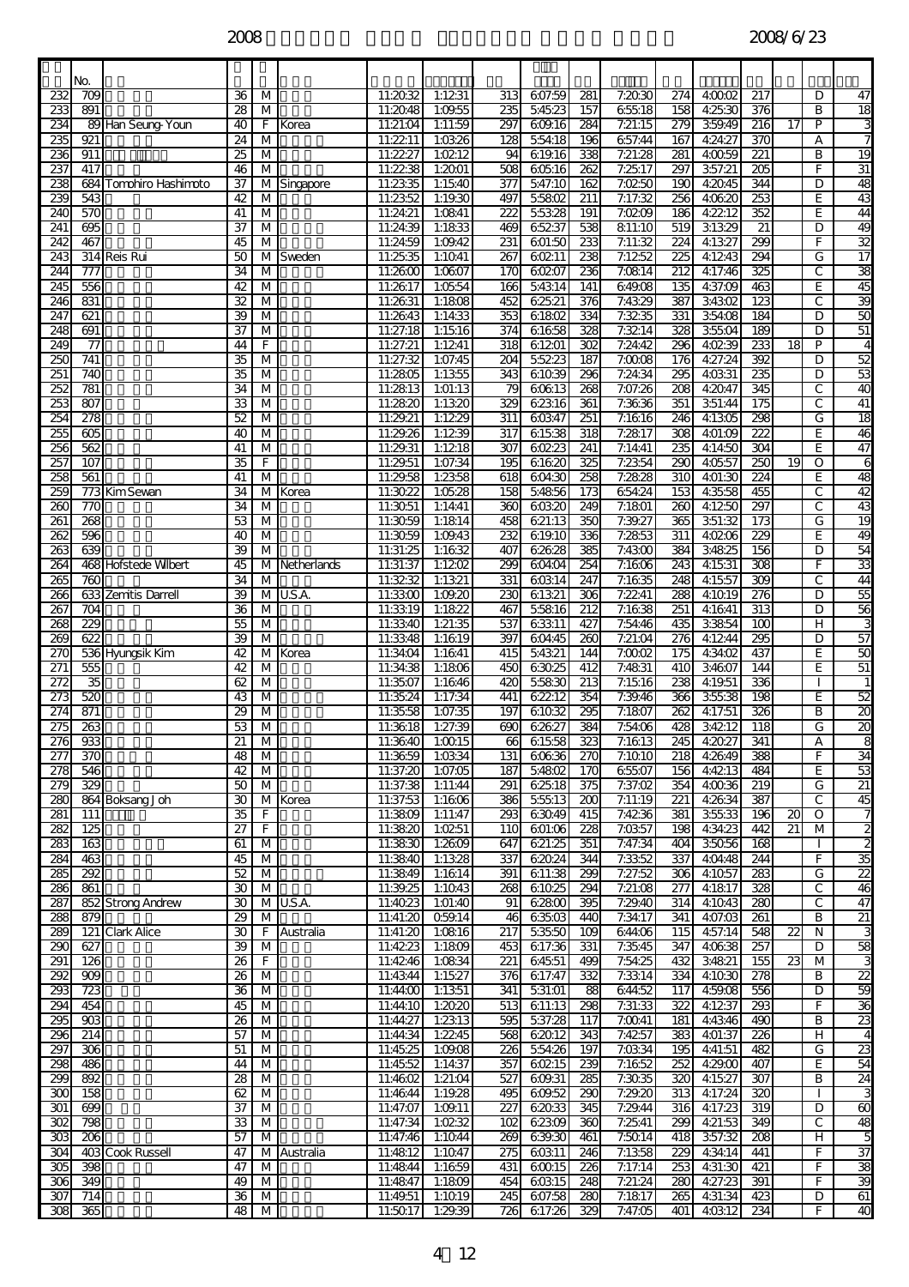|                                      | No.                     |                        |                       |                              |               |                      |                    |                         |                       |                         |                    |                         |                    |                         |                 |        |                                   |
|--------------------------------------|-------------------------|------------------------|-----------------------|------------------------------|---------------|----------------------|--------------------|-------------------------|-----------------------|-------------------------|--------------------|-------------------------|--------------------|-------------------------|-----------------|--------|-----------------------------------|
| 232                                  | 709                     |                        | 36                    | М                            |               | 11:2032              | 1:1231             | 313                     | 607:59                | 281                     | 7:2030             | 274                     | 40002              | 217                     |                 | D      | 47                                |
| 233<br>234                           | $\overline{891}$        | 89 Han Seung-Youn      | 28<br>40              | M<br>F                       |               | 11:2048<br>11:21:04  | 1:09.55<br>1:11:59 | 235<br>297              | 54523<br>609.16       | 157<br>284              | 65518<br>7:21:15   | 158<br>279              | 4:25:30<br>359.49  | 376<br>$\overline{216}$ | 17              | B<br>P | $\overline{18}$<br>ω              |
| 235                                  | 921                     |                        | 24                    | M                            | Korea         | 11:2211              | 1:0326             | 128                     | 55418                 | 196                     | 657:44             | 167                     | 4:24:27            | 370                     |                 | А      | 7                                 |
| 236                                  | 911                     |                        | 25                    | M                            |               | 11:22:27             | 1:0212             | 94                      | 619.16                | 338                     | 7:21:28            | 281                     | 4:0059             | $\overline{221}$        |                 | B      | 19                                |
| 237<br>238                           | 417                     | 684 Tomohiro Hashimoto | 46<br>37              | M                            | M Singapore   | 11:2238<br>11:23:35  | 1:2001<br>1:1540   | 508<br>$\overline{377}$ | 60516<br>547:10       | 262<br>162              | 7:2517<br>7:0250   | 297<br>190              | 357:21<br>4:2045   | 205<br>344              |                 | F<br>D | 31<br>48                          |
| 239                                  | 543                     |                        | 42                    | M                            |               | 11:2352              | 1:19.30            | 497                     | 55802                 | 211                     | 7:17:32            | 256                     | 40620              | 253                     |                 | E      | 43                                |
| 240                                  | 570                     |                        | 41                    | M                            |               | 11:24:21             | 1:0841             | 222                     | 55328                 | 191                     | 7:0209             | 186                     | 4:2212             | 352                     |                 | E      | 44                                |
| 241<br>242                           | 695<br>467              |                        | 37<br>45              | М<br>$\overline{M}$          |               | 11:24:39<br>11:24:59 | 1:1833<br>1:09.42  | 469<br>231              | 65237<br>601:50       | 538<br>233              | 811:10<br>7:11:32  | 519<br>$\overline{224}$ | 31329<br>4:1327    | 21<br>299               |                 | D<br>F | 49<br>$\overline{32}$             |
| 243                                  |                         | 314 Reis Rui           | 50                    |                              | M Sweden      | 11:25:35             | 1:1041             | $\overline{267}$        | 60211                 | 238                     | 7:1252             | 225                     | 41243              | 294                     |                 | G      | $\overline{17}$                   |
| 244                                  | 777                     |                        | 34                    | M                            |               | 11:2600              | 1:0607             | 170                     | 60207                 | 236                     | 7:0814             | $\overline{212}$        | 4:17:46            | 325                     |                 | C      | 38                                |
| 245<br>246                           | 556<br>831              |                        | 42<br>32              | M<br>M                       |               | 11:26:17<br>11:26:31 | 1:0554<br>1:1808   | 166<br>452              | 54314<br>62521        | 141<br>376              | 649.08<br>7:4329   | 135<br>387              | 4:37:09<br>34302   | 463<br>123              |                 | E<br>C | 45<br>39                          |
| 247                                  | 621                     |                        | 39                    | $\overline{M}$               |               | 11:2643              | 1:14:33            | 353                     | 61802                 | 334                     | 7:3235             | 331                     | 354:08             | 184                     |                 | D      | 50                                |
| 248                                  | 691                     |                        | 37                    | M                            |               | 11:27:18             | 1:1516             | $\overline{374}$        | 61658                 | 328                     | 7:3214             | 328                     | 35504              | 189                     |                 | D      | 51                                |
| 249<br>250                           | 77<br>741               |                        | 44<br>35              | F<br>M                       |               | 11:27:21<br>11:27:32 | 1:1241<br>1:07:45  | $\overline{318}$<br>204 | 61201<br>55223        | $\overline{302}$<br>187 | 7:24:42<br>7:0008  | 296<br>176              | 40239<br>4:27:24   | 233<br>392              | 18              | P<br>D | $\overline{4}$<br>52              |
| 251                                  | 740                     |                        | 35                    | M                            |               | 11:2805              | 1:1355             | 343                     | 61039                 | 296                     | 7:24:34            | 295                     | 4:03:31            | 235                     |                 | D      | 53                                |
| 252                                  | $\overline{781}$        |                        | 34                    | $\overline{M}$               |               | 11:2813              | 1:01:13            | 79                      | 60613                 | 268                     | 7:07:26            | $\overline{208}$        | 4:2047             | 345                     |                 | C      | ð                                 |
| 253<br>254                           | 807<br>278              |                        | 33<br>52              | M<br>M                       |               | 11:2820<br>11:29.21  | 1:1320<br>1:1229   | 329<br>$\overline{311}$ | 62316<br>60347        | 361<br>$\overline{251}$ | 7:36:36<br>7:1616  | 351<br>246              | 351:44<br>4:1305   | 175<br>298              |                 | C<br>G | 41<br>18                          |
| 255                                  | 605                     |                        | 40                    | M                            |               | 11:29.26             | 1:1239             | 317                     | 61538                 | 318                     | 7:2817             | 308                     | 401:09             | 222                     |                 | E      | 46                                |
| 256                                  | 562                     |                        | 41                    | М                            |               | 11:29.31             | 1:1218             | 307                     | 60223                 | 241                     | 7:14:41            | 235                     | 4:14:50            | 304                     |                 | E      | 47                                |
| $\overline{257}$<br>258              | 107<br>561              |                        | 35<br>41              | F<br>M                       |               | 11:29.51<br>11:29.58 | 1:07:34<br>1:2358  | $\overline{195}$<br>618 | 61620<br>604:30       | 325<br>258              | 7:2354<br>7:2828   | 290<br>310              | 40557<br>4:01:30   | 250<br>224              | $\overline{19}$ | O<br>E | 6<br>48                           |
| 259                                  |                         | 773 Kim Sevan          | 34                    | М                            | Korea         | 11:3022              | 1:05.28            | 158                     | 54856                 | $\overline{173}$        | 654:24             | 153                     | 43558              | 455                     |                 | C      | 42                                |
| 260<br>261                           | 770<br>268              |                        | 34<br>53              | M                            |               | 11:3051<br>11:3059   | 1:14:41            | 360<br>458              | 60320                 | 249<br>350              | 7:1801<br>7:39.27  | 260<br>365              | 4:1250<br>351:32   | 297                     |                 | C<br>G | 43<br>19                          |
| $\overline{262}$                     | 596                     |                        | 40                    | M<br>$\overline{M}$          |               | 11:3059              | 1:1814<br>1:09.43  | 232                     | 621:13<br>61910       | 336                     | 7:2853             | $\overline{311}$        | 4:0206             | 173<br>229              |                 | E      | $\overline{3}$                    |
| 263                                  | 639                     |                        | 39                    | M                            |               | 11:31:25             | 1:1632             | 407                     | 62628                 | 385                     | 7:4300             | 384                     | 34825              | 156                     |                 | D      | 54                                |
| 264                                  |                         | 468 Hofstede Wilbert   | 45                    |                              | M Netherlands | 11:31:37             | 1:1202             | 299                     | 604:04                | 254                     | 7:1606             | 243                     | 4:15:31            | $\overline{308}$        |                 | F      | 33                                |
| 265<br>26£                           | 760                     | 633 Zemitis Darrell    | 34<br>39              | M<br>М                       | U.S.A.        | 11:3232<br>11:3300   | 1:1321<br>1:09.20  | 331<br>230              | 60314<br>61321        | 247<br>306              | 7:1635<br>7:2241   | 248<br>288              | 41557<br>4:1019    | 309<br>$\overline{276}$ |                 | С<br>D | 44<br>55                          |
| 267                                  | $\overline{704}$        |                        | $\overline{36}$       | M                            |               | 11:3319              | 1:1822             | 467                     | 55816                 | $\overline{212}$        | 7:1638             | 251                     | 4:16:41            | $\overline{313}$        |                 | D      | 56                                |
| 268<br>269                           | $\overline{229}$<br>622 |                        | 55<br>39              | M                            |               | 11:3340<br>11:3348   | 1:21:35<br>1:1619  | 537<br>397              | 63311                 | 427<br>$\overline{260}$ | 7:54:46<br>7:21:04 | 435<br>276              | 33854<br>4:1244    | 100<br>295              |                 | н<br>D | $\overline{57}$                   |
| 270                                  |                         | 536 Hyungsik Kim       | 42                    | M<br>м                       | Korea         | 11:34:04             | 1:1641             | 415                     | 604:45<br>54321       | 144                     | 7:0002             | 175                     | 4:34:02            | 437                     |                 | E      | 50                                |
| 271                                  | 555                     |                        | 42                    | M                            |               | 11:34:38             | 1:1806             | 450                     | 63025                 | 412                     | 7:4831             | 410                     | 34607              | 144                     |                 | E      | 51                                |
| $\overline{272}$<br>273              | 35<br>520               |                        | 62<br>43              | $\overline{M}$<br>M          |               | 11:35:07<br>11:35:24 | 1:1646<br>1:17:34  | 420<br>441              | 55830<br>62212        | $\overline{213}$<br>354 | 7:15:16<br>7:39.46 | 238<br>366              | 4:19.51<br>35538   | 336<br>198              |                 | E      | 1<br>52                           |
| 274                                  | 871                     |                        | 29                    | M                            |               | 11:35:58             | 1:07:35            | 197                     | 61032                 | 295                     | 7:1807             | 262                     | 4:17:51            | 326                     |                 | B      | 8                                 |
| 275                                  | 263                     |                        | 53                    | M                            |               | 11:3618              | 1:27:39            | 690                     | 62627                 | 384                     | 7:54:06            | 428                     | 34212              | 118                     |                 | G      | $\overline{20}$<br>$\overline{c}$ |
| 276<br>277                           | 933<br>370              |                        | $\overline{21}$<br>48 | M<br>$\overline{\mathsf{M}}$ |               | 11:3640<br>11:3659   | 1:0015<br>1:0334   | 131                     | 66 61558<br>60636     | 323<br>270              | 7:1613<br>7:1010   | 245<br>218              | 4:2027<br>4:26:49  | 341<br>388              |                 | А<br>F | 34                                |
| 278                                  | 546                     |                        | 42                    | M                            |               | 11:37:20             | 1:07:05            | 187                     | 5:4802                | 170                     | 65507              | 156                     | 4:4213             | 484                     |                 | E      | 53                                |
| 279                                  | $\overline{329}$        |                        | $\overline{50}$       | M                            |               | 11:37:38             | 1:11:44            | 291                     | 62518                 | 375                     | 7:37:02            | 354                     | 4:0036             | 219                     |                 | G      | $\overline{21}$                   |
| 280<br>281                           | 111                     | 864 Boksang Joh        | 30<br>35              | F                            | M Korea       | 11:37:53<br>11:3809  | 1:1606<br>1:11:47  | 386<br>293              | 55513<br>63049        | 200<br>415              | 7:11:19<br>7:4236  | 221<br>381              | 4:26:34<br>35533   | 387<br>196              | 20              | C<br>0 | 45<br>$\overline{7}$              |
| 282                                  | 125                     |                        | $\overline{27}$       | F                            |               | 11:3820              | 1:0251             | 110                     | 601:06                | 228                     | 7:0357             | 198                     | 4:34:23            | 442                     | 21              | M      | $\overline{2}$                    |
| 283                                  | 163                     |                        | 61                    | M                            |               | 11:3830              | 1:2609             | 647                     | 621:25                | 351                     | 7:47:34            | 404                     | 35056              | 168                     |                 |        | $\overline{2}$                    |
| 284<br>285                           | 463<br>292              |                        | 45<br>52              | M<br>M                       |               | 11:3840<br>11:3849   | 1:1328<br>1:1614   | 337<br>391              | 62024<br>611:38       | 344<br>299              | 7:3352<br>7:27:52  | 337<br>306              | 4:04:48<br>41057   | 244<br>283              |                 | F<br>G | 35<br>$\overline{2}$              |
| 286                                  | 861                     |                        | $30\,$                | M                            |               | 11:39.25             | 1:1043             | 268                     | 61025                 | 294                     | 7:21:08            | 277                     | 41817              | 328                     |                 | C      | 46                                |
| 287<br>288                           | 879                     | 852 Strong Andrew      | 30                    | M                            | M U.S.A.      | 11:4023<br>11:41:20  | 1:01:40<br>Q59.14  | 91<br>46                | <b>62800</b><br>63503 | 395<br>440              | 7:29.40<br>7:34:17 | 314<br>341              | 4:1043<br>4:07:03  | 280<br>261              |                 | С<br>B | 47                                |
| 289                                  |                         | 121 Clark Alice        | 29<br>30              |                              | F Australia   | 11:41:20             | 1:0816             | 217                     | 53550                 | 109                     | 644:06             | 115                     | 4:57:14            | 548                     | $\overline{2}$  | N      | 21<br>3                           |
| 290                                  | 627                     |                        | 39                    | M                            |               | 11:4223              | 1:1809             | 453                     | 617:36                | 331                     | 7:35:45            | 347                     | 4:06:38            | 257                     |                 | D      | 58                                |
| 291<br>292                           | 126<br>$\overline{8}$   |                        | 26<br>26              | F<br>$\overline{\mathsf{M}}$ |               | 11:4246<br>11:43:44  | 1:0834<br>1:15.27  | 221<br>376              | 64551<br>617:47       | 499<br>332              | 7:54:25<br>7:3314  | 432<br>334              | 34821<br>41030     | 155<br>278              | 23              | M<br>В | 3<br>Ŋ                            |
| 293                                  | 723                     |                        | 36                    | M                            |               | 11:44:00             | 1:1351             | 341                     | 531:01                | 88                      | 644:52             | 117                     | 4:59:08            | 556                     |                 | D      | 59                                |
| 294                                  | 454                     |                        | 45                    | M                            |               | 11:44:10             | 1:2020             | 513                     | 611:13                | 298                     | 7:31:33            | $\overline{322}$        | 4:1237             | 293                     |                 | F      | 36                                |
| 295<br>296                           | $\overline{903}$<br>214 |                        | 26<br>57              | M<br>M                       |               | 11:44:27<br>11:44:34 | 1:2313<br>1:2245   | 595<br>568              | 537:28<br>62012       | 117<br>343              | 7:0041<br>7:4257   | 181<br>383              | 4:43:46<br>4:01:37 | 490<br>226              |                 | B<br>H | 23<br>4                           |
| 297                                  | 306                     |                        | 51                    | M                            |               | 11:45:25             | 1:09:08            | 226                     | 55426                 | 197                     | 7:0334             | 195                     | 4:41:51            | 482                     |                 | G      | 23                                |
| 298                                  | 486                     |                        | 44                    | M                            |               | 11:45:52             | 1:14:37            | 357                     | 60215                 | 239                     | 7:1652             | 252                     | 4:29:00            | 407                     |                 | E      | 54                                |
| 299<br>300                           | 892<br>158              |                        | 28<br>62              | M<br>M                       |               | 11:4602<br>11:46:44  | 1:21:04<br>1:19.28 | 527<br>495              | 609.31<br>609.52      | 285<br>290              | 7:3035<br>7:29.20  | 320<br>313              | 4:15:27<br>4:17:24 | 307<br>320              |                 | B      | 24<br>3                           |
| 301                                  | 699                     |                        | 37                    | M                            |               | 11:47:07             | 1:09.11            | 227                     | 62033                 | 345                     | 7:29.44            | 316                     | 4:17:23            | 319                     |                 | D      | 60                                |
| $\overline{302}$                     | 798                     |                        | 33                    | M                            |               | 11:47:34             | 1:0232             | 102                     | 62309                 | 360                     | 7:2541             | 299                     | 4:21:53            | 349                     |                 | C      | 48                                |
| $\overline{303}$<br>$\overline{304}$ | $\overline{206}$        | 403 Cook Russell       | 57<br>47              | M                            | M Australia   | 11:47:46<br>11:4812  | 1:1044<br>1:1047   | 269<br>275              | 639.30<br>60311       | 461<br>246              | 7:5014<br>7:1358   | 418<br>229              | 357:32<br>4:34:14  | 208<br>441              |                 | H<br>F | 5<br>37                           |
| 305                                  | 398                     |                        | 47                    | M                            |               | 11:4844              | 1:1659             | 431                     | 60015                 | 226                     | 7:17:14            | 253                     | 4:31:30            | 421                     |                 | F      | 38                                |
| 306<br>$\overline{307}$              | 349                     |                        | 49                    | M                            |               | 11:4847              | 1:1809             | 454                     | 60315                 | 248                     | 7:21:24            | 280                     | 4:27:23            | 391                     |                 | F<br>D | 39                                |
| 308                                  | 714<br>365              |                        | 36<br>48              | M<br>М                       |               | 11:49.51<br>11:5017  | 1:1019<br>1:29.39  | 245                     | 607:58<br>726 617:26  | 280<br>329              | 7:1817<br>7:47:05  | 265<br>401              | 4:31:34<br>4:03:12 | 423<br>234              |                 | F      | 61<br>40                          |
|                                      |                         |                        |                       |                              |               |                      |                    |                         |                       |                         |                    |                         |                    |                         |                 |        |                                   |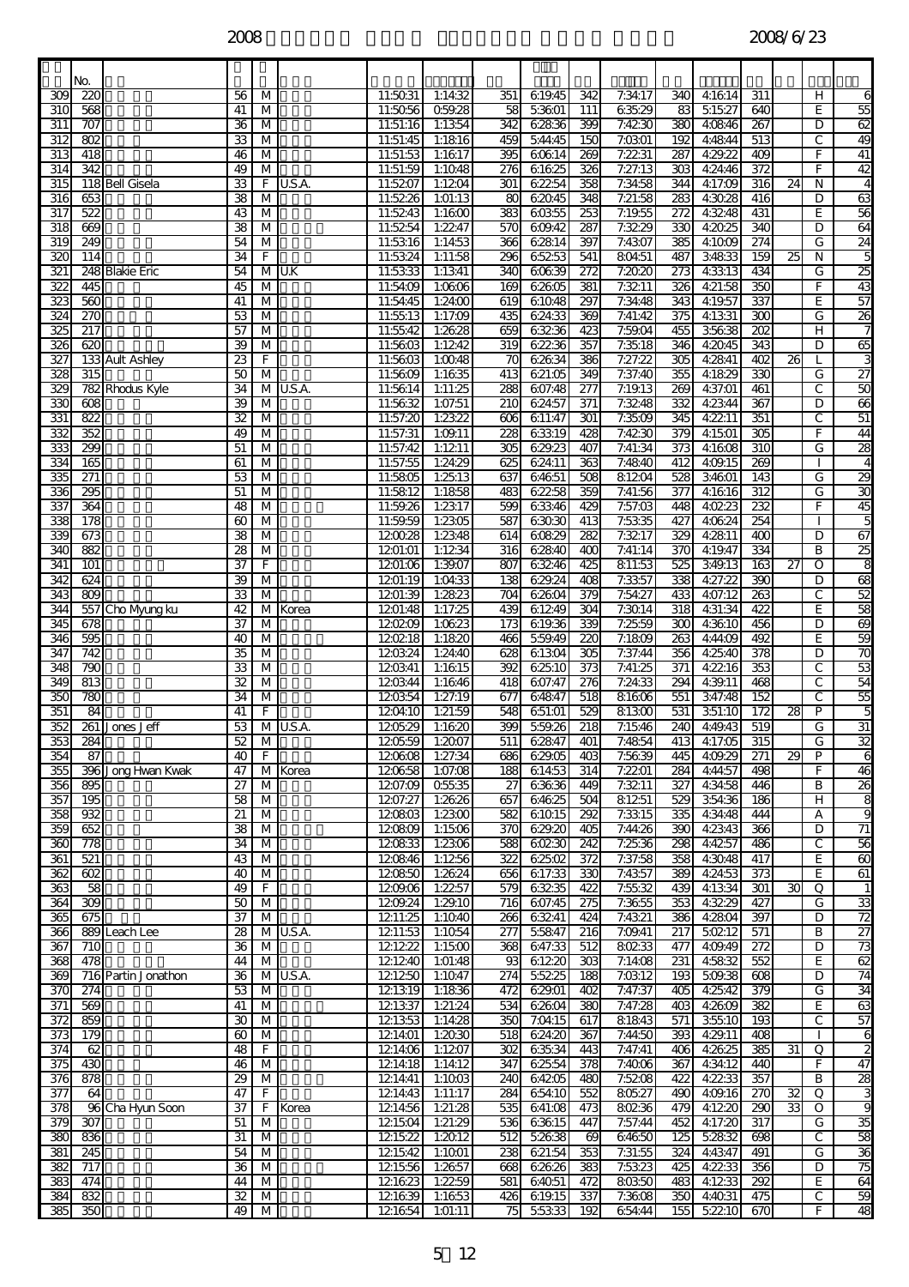|                  | No.                            |                     |                       |                              |          |                      |                         |                           |                 |                         |                    |                         |                    |                         |                 |              |                                           |
|------------------|--------------------------------|---------------------|-----------------------|------------------------------|----------|----------------------|-------------------------|---------------------------|-----------------|-------------------------|--------------------|-------------------------|--------------------|-------------------------|-----------------|--------------|-------------------------------------------|
| 309              | 220                            |                     | 56                    | M                            |          | 11:5031              | 1:14:32                 | 351                       | 619.45          | 342                     | 7:34:17            | 340                     | 4:16:14            | 311                     |                 | н            | 6                                         |
| 31C              | 568                            |                     | 41                    | М                            |          | 11:5056              | 059.28                  | 58                        | 53601           | 111                     | 63529              | 83                      | 51527              | 640                     |                 | E            | 55                                        |
| 311<br>312       | 707<br>802                     |                     | 36<br>33              | М<br>M                       |          | 11:51:16<br>11:51:45 | 1:1354<br>1:1816        | 342<br>459                | 62836<br>544:45 | 399<br>150              | 7:4230<br>7:0301   | 380<br>192              | 4:08:46<br>4:4844  | 267<br>513              |                 | D<br>C       | 62<br>49                                  |
| $\overline{313}$ | 418                            |                     | 46                    | м                            |          | 11:51:53             | 1:1617                  | 395                       | 60614           | 269                     | 7:2231             | 287                     | 4:29.22            | 409                     |                 | F            | 41                                        |
| 314              | 342                            |                     | 49                    | м                            |          | 11:51:59             | 1:1048                  | 276                       | 61625           | 326                     | 7:27:13            | 303                     | 4:24:46            | 372                     |                 | F            | 42                                        |
| 315              |                                | 118 Bell Gisela     | 33                    | F                            | U.S.A.   | 11:5207              | 1:1204                  | 301                       | 62254           | 358                     | 7:34:58            | $\overline{344}$        | 4:17:09            | $\overline{316}$        | $\overline{24}$ | N            | 4                                         |
| 316<br>317       | 653<br>522                     |                     | 38                    | M<br>M                       |          | 11:5226<br>11:5243   | 1:01:13                 | 80<br>383                 | 62045           | 348                     | 7:21:58            | 283                     | 4:30.28<br>4:3248  | 416<br>431              |                 | D<br>E       | 63<br>56                                  |
| 318              | 669                            |                     | 43<br>38              | M                            |          | 11:5254              | 1:1600<br>1:2247        | 570                       | 60355<br>609.42 | 253<br>287              | 7:19.55<br>7:3229  | 272<br>330              | 4:2025             | 340                     |                 | D            | 64                                        |
| $\overline{319}$ | 249                            |                     | 54                    | М                            |          | 11:53:16             | 1:1453                  | $\overline{\mathbf{366}}$ | 62814           | 397                     | 7:4307             | 385                     | 4:1009             | 274                     |                 | G            | 24                                        |
| 32C              | 114                            |                     | $\overline{34}$       | F                            |          | 11:53:24             | 1:11:58                 | 296                       | 65253           | 541                     | 80451              | 487                     | 34833              | 159                     | $\overline{25}$ | N            | ភ                                         |
| 321              |                                | 248 Blakie Eric     | 54                    | M                            | U.K      | 11:53:33             | 1:1341                  | 340                       | 60639           | 272                     | 7:2020             | 273                     | 4:33:13            | 434                     |                 | G            | 25                                        |
| 322<br>323       | 445<br>560                     |                     | 45<br>41              | M<br>$\overline{M}$          |          | 11:54:09<br>11:54:45 | 1:0606<br>1:24:00       | 169<br>619                | 62605<br>61048  | 381<br>297              | 7:3211<br>7:34:48  | 326<br>343              | 4:21:58<br>4:19:57 | 350<br>337              |                 | F<br>E       | 43<br>57                                  |
| 324              | 270                            |                     | 53                    | M                            |          | 11:55:13             | 1:17:09                 | 435                       | 624:33          | 369                     | 7:41:42            | 375                     | 4:1331             | $\overline{30}$         |                 | G            | 26                                        |
| 325              | 217                            |                     | 57                    | М                            |          | 11:55:42             | 1:2628                  | 659                       | 63236           | 423                     | 7:59:04            | 455                     | 35638              | $\overline{202}$        |                 | н            | 7                                         |
| 326              | 620                            |                     | 39                    | м                            |          | 11:5603              | 1:1242                  | 319                       | 62236           | 357                     | 7:35:18            | 346                     | 4:2045             | 343                     |                 | D            | 65                                        |
| 327<br>328       | 315                            | 133 Ault Ashley     | 23<br>$\overline{50}$ | F<br>$\overline{M}$          |          | 11:5603<br>11:5609   | 1:0048<br>1:1635        | 70<br>413                 | 62634<br>621:05 | 386<br>349              | 7:27:22<br>7:37:40 | 305<br>355              | 4:2841<br>4:1829   | 402<br>330              | 26              | G            | 3<br>$\overline{27}$                      |
| 329              |                                | 782 Rhodus Kyle     | 34                    | М                            | U.S.A.   | 11:56:14             | 1:11:25                 | 288                       | 607:48          | 277                     | 7:19.13            | 269                     | 4:37:01            | 461                     |                 | С            | 50                                        |
| 33C              | 608                            |                     | 39                    | М                            |          | 11:56:32             | 1:07:51                 | 210                       | 624:57          | 371                     | 7:3248             | 332                     | 4:23:44            | 367                     |                 | D            | 66                                        |
| 331              | 822                            |                     | 32                    | м                            |          | 11:57:20             | 1:2322                  | 606                       | 611:47          | 301                     | 7:3509             | 345                     | 4:2211             | 351                     |                 | C            | $\overline{51}$                           |
| 332<br>333       | 352<br>299                     |                     | 49<br>51              | M<br>$\overline{M}$          |          | 11:57:31<br>11:57:42 | 1:09.11<br>1:1211       | 228<br>305                | 63319<br>629.23 | 428<br>407              | 7:4230<br>7:41:34  | 379<br>$\overline{373}$ | 4:15:01<br>4:1608  | 305<br>310              |                 | F<br>G       | $\overline{\mathbf{B}}$<br>28             |
| 334              | 165                            |                     | 61                    | M                            |          | 11:57:55             | 1:24:29                 | 625                       | 624:11          | 363                     | 7:4840             | 412                     | 4:09.15            | 269                     |                 |              | 4                                         |
| 335              | 271                            |                     | 53                    | M                            |          | 11:5805              | 1:2513                  | 637                       | 64651           | 508                     | 81204              | 528                     | 34601              | 143                     |                 | G            | 29                                        |
| 336              | 295                            |                     | 51                    | м                            |          | 11:5812              | 1:1858                  | 483                       | 62258           | 359                     | 7:41:56            | 377                     | 41616              | $\overline{312}$        |                 | G            | 8                                         |
| 337<br>338       | 364<br>178                     |                     | 48                    | M                            |          | 11:59.26             | 1:2317<br>1:2305        | 599<br>587                | 63346<br>63030  | 429<br>413              | 7:57:03<br>7:5335  | 448<br>427              | 4:0223<br>4:06:24  | 232<br>254              |                 | F            | 45                                        |
| 339              | 673                            |                     | 60<br>38              | $\overline{\mathsf{M}}$<br>M |          | 11:59.59<br>120028   | 1:2348                  | 614                       | 60829           | 282                     | 7:3217             | 329                     | 4:2811             | $\overline{400}$        |                 | D            | ភ<br>67                                   |
| 340              | 882                            |                     | 28                    | M                            |          | 1201:01              | 1:1234                  | 316                       | 62840           | 400                     | 7:41:14            | 370                     | 4:19.47            | 334                     |                 | B            | 25                                        |
| 341              | 101                            |                     | 37                    | F                            |          | 1201:06              | 1:39.07                 | 807                       | 63246           | 425                     | 811:53             | 525                     | 349.13             | 163                     | $\overline{27}$ | O            | 8                                         |
| 342              | 624                            |                     | 39                    | M                            |          | 1201:19              | 1:04:33                 | 138                       | 629.24          | 408                     | 7:3357             | 338                     | 4:27:22            | 390                     |                 | D            | 68                                        |
| 343<br>344       | 809                            | 557 Cho Myung ku    | 33<br>42              | $\overline{M}$<br>м          | Korea    | 1201:39<br>1201:48   | 1:2823<br>1:17:25       | $\overline{3}$<br>439     | 62604<br>61249  | 379<br>304              | 7:54:27<br>7:3014  | 433<br>318              | 4:07:12<br>4:31:34 | 263<br>422              |                 | C<br>E       | 52<br>58                                  |
| 345              | 678                            |                     | 37                    | M                            |          | 120209               | 1:0623                  | 173                       | 619.36          | 339                     | 7:2559             | 300                     | 4:36:10            | 456                     |                 | D            | 69                                        |
| 346              | 595                            |                     | 40                    | м                            |          | 120218               | 1:1820                  | 466                       | 559.49          | 220                     | 7:1809             | 263                     | 4:44:09            | 492                     |                 | E            | 59                                        |
| 347              | $\overline{742}$               |                     | 35                    | $\overline{M}$               |          | 120324               | 1:24:40                 | 628                       | 61304           | 305                     | 7:37:44            | 356                     | 4:25:40            | 378                     |                 | D            | 70                                        |
| 348<br>349       | 790<br>$\overline{\mathbf{8}}$ |                     | 33<br>32              | $\overline{M}$<br>M          |          | 120341<br>120344     | 1:1615<br>1:1646        | 392<br>418                | 62510<br>607:47 | $\overline{373}$<br>276 | 7:41:25<br>7:24:33 | $\overline{371}$<br>294 | 4:2216<br>4:39.11  | 353<br>468              |                 | C<br>С       | 53<br>54                                  |
| 350              | 780                            |                     | 34                    | M                            |          | 120354               | 1:27:19                 | 677                       | 64847           | 518                     | 81606              | 551                     | 347:48             | 152                     |                 | C            | 55                                        |
| 351              | 84                             |                     | 41                    | F                            |          | 1204:10              | 1:21:59                 | 548                       | 651:01          | 529                     | 81300              | 531                     | 351:10             | 172                     | $\overline{28}$ | P            | 5                                         |
| 352<br>353       | 284                            | 261 Jones Jeff      | 53<br>52              | M<br>M                       | U.S.A.   | 120529               | 1:1620<br>120559 1:2007 | 399<br>511                | 559.26<br>62847 | $\overline{218}$<br>401 | 7:15:46<br>7:4854  | 240<br>413              | 4:49.43<br>4:17:05 | 519<br>315              |                 | G            | $\overline{31}$<br>32                     |
| 354              | 87                             |                     | 40                    | F                            |          | 120608               | 1:27:34                 | 686                       | 62905           | 403                     | 7:5639             | 445                     | 4:09:29            | 271                     | 29              | G<br>P       | 6                                         |
| 355              |                                | 396 Jong Hwan Kwak  | 47                    |                              | M Korea  | 120658               | 1:07:08                 | 188                       | 61453           | 314                     | 7:2201             | 284                     | 4:44:57            | 498                     |                 | F            | 46                                        |
| 356              | 895                            |                     | 27                    | М                            |          | 1207:09              | 05535                   | 27                        | 63636           | 449                     | 7:3211             | 327                     | 4:34:58            | 446                     |                 | B            | 26                                        |
| 357              | 195                            |                     | 58                    | $\overline{\mathsf{M}}$      |          | 1207:27              | 1:2626                  | 657                       | 64625           | 504                     | 81251              | 529                     | 354:36             | 186                     |                 | H            | 8<br>9                                    |
| 358<br>359       | 932<br>652                     |                     | 21<br>38              | M<br>M                       |          | 120803<br>120809     | 1:2300<br>1:1506        | 582<br>370                | 61015<br>629.20 | 292<br>405              | 7:3315<br>7:44:26  | 335<br>390              | 4:34:48<br>4:23:43 | 444<br>366              |                 | А<br>D       | $\overline{71}$                           |
| 360              | 778                            |                     | 34                    | M                            |          | 120833               | 1:2306                  | 588                       | 60230           | 242                     | 7:25:36            | 298                     | 4:4257             | 486                     |                 | $\mathsf{C}$ | 56                                        |
| 361              | 521                            |                     | 43                    | M                            |          | 120846               | 1:1256                  | 322                       | 62502           | 372                     | 7:37:58            | 358                     | 4:3048             | 417                     |                 | E            | 60                                        |
| 362              | $\overline{60}$                |                     | 40                    | $\overline{\mathsf{M}}$      |          | 120850               | 1:2624                  | 656                       | 617:33<br>63235 | 330                     | 7:4357             | 389                     | 4:24:53            | 373                     |                 | E            | 61                                        |
| 363<br>364       | 58<br>309                      |                     | 49<br>50              | F<br>M                       |          | 120906<br>1209.24    | 1:2257<br>1:29.10       | 579<br>716                | 607:45          | 422<br>275              | 7:55:32<br>7:3655  | 439<br>353              | 4:13:34<br>4:3229  | 301<br>427              | 30              | Q<br>G       | $\mathbf{1}$<br>33                        |
| 365              | 675                            |                     | 37                    | М                            |          | 1211:25              | 1:1040                  | 266                       | 63241           | 424                     | 7:4321             | 386                     | 4:2804             | 397                     |                 | D            | $\overline{72}$                           |
| 366              |                                | 889 Leach Lee       | 28                    |                              | M U.S.A. | 1211:53              | 1:1054                  | 277                       | 55847           | 216                     | 7:09.41            | 217                     | 50212              | 571                     |                 | B            | 27                                        |
| 367              | 710                            |                     | 36                    | M                            |          | 121222               | 1:1500                  | 368                       | 647:33          | 512                     | 80233              | 477                     | 4:09:49            | 272                     |                 | D            | 73                                        |
| 368<br>369       | 478                            | 716 Partin Jonathon | 44<br>36              | M                            | M U.S.A. | 121240<br>121250     | 1:01:48<br>1:1047       | 93<br>274                 | 61220<br>55225  | 303<br>188              | 7:14:08<br>7:0312  | 231<br>193              | 4:58:32<br>509.38  | 552<br>608              |                 | E<br>D       | 62<br>74                                  |
| 370              | 274                            |                     | 53                    | M                            |          | 121319               | 1:1836                  | 472                       | 629.01          | 402                     | 7:47:37            | 405                     | 4:25:42            | 379                     |                 | G            | 34                                        |
| $\overline{371}$ | 569                            |                     | 41                    | $\overline{\mathsf{M}}$      |          | 121337               | 1:21:24                 | 534                       | 62604           | 380                     | 7:47:28            | 403                     | 4:26:09            | 382                     |                 | E            | 63                                        |
| $\overline{372}$ | 859                            |                     | 30                    | $\overline{\mathsf{M}}$      |          | 121353               | 1:14:28                 | 350                       | 7:04:15         | 617                     | 81843              | 571                     | 35510              | 193                     |                 | С            | 57                                        |
| 373<br>374       | 179<br>೪                       |                     | 60<br>48              | M<br>F                       |          | 121401<br>1214:06    | 1:2030<br>1:1207        | 518<br>302                | 624:20<br>63534 | 367<br>443              | 7:44:50<br>7:47:41 | 393<br>406              | 4:29.11<br>4.2625  | $\overline{8}$<br>385   | 31              | Q            | $\overline{6}$<br>$\overline{\mathbf{c}}$ |
| $\overline{375}$ | 430                            |                     | 46                    | $\overline{\mathsf{M}}$      |          | 1214:18              | 1:1412                  | 347                       | 62554           | 378                     | 7:4006             | 367                     | 4:34:12            | 440                     |                 | F.           | 47                                        |
| 376              | 878                            |                     | 29                    | м                            |          | 1214:41              | 1:1003                  | 240                       | 64205           | 480                     | 7:5208             | 422                     | 4:22:33            | 357                     |                 | B            | 28                                        |
| $\overline{377}$ | $\overline{\mathbf{S}}$        |                     | 47                    | F                            |          | 1214:43              | 1:11:17                 | 284                       | 654:10          | 552                     | 80527              | 490                     | 409.16             | 270                     | 32              | O            | 3                                         |
| 378<br>379       | 307                            | 96 Cha Hyun Soon    | 37<br>51              | F<br>M                       | Korea    | 1214:56<br>121504    | 1:21:28<br>1:21:29      | 535<br>536                | 641:08<br>63615 | 473<br>447              | 80236<br>7:57:44   | 479<br>452              | 4:1220<br>4:17:20  | 290<br>$\overline{317}$ | $\overline{33}$ | O<br>G       | 9<br>35                                   |
| 380              | 836                            |                     | 31                    | $\overline{\mathsf{M}}$      |          | 121522               | 1:2012                  | 512                       | 5.2638          | $\overline{69}$         | 64650              | 125                     | 52832              | $\overline{698}$        |                 | C            | 58                                        |
| 381              | 245                            |                     | 54                    | M                            |          | 121542               | 1:1001                  | 238                       | 621:54          | 353                     | 7:31:55            | 324                     | 4:43:47            | 491                     |                 | G            | 36                                        |
| 382              | 717                            |                     | 36                    | $\overline{\mathsf{M}}$      |          | 121556               | 1:2657                  | 668                       | 62626           | 383                     | 7:5323             | 425                     | 4:22:33            | 356                     |                 | D            | $\overline{75}$                           |
| 383<br>384       | 474<br>832                     |                     | 44<br>32              | M<br>M                       |          | 121623<br>121639     | 1:2259<br>1:1653        | 581<br>426                | 64051<br>619.15 | 472<br>337              | 80350<br>7:3608    | 483<br>350              | 4:1233<br>4:40.31  | 292<br>475              |                 | E<br>С       | $\overline{64}$<br>59                     |
| 385              | 350                            |                     | 49                    | $\overline{\mathsf{M}}$      |          | 121654               | 1:01:11                 | 75                        | 55333           | 192                     | 654:44             | 155                     | 5:2210             | 670                     |                 | F            | 48                                        |
|                  |                                |                     |                       |                              |          |                      |                         |                           |                 |                         |                    |                         |                    |                         |                 |              |                                           |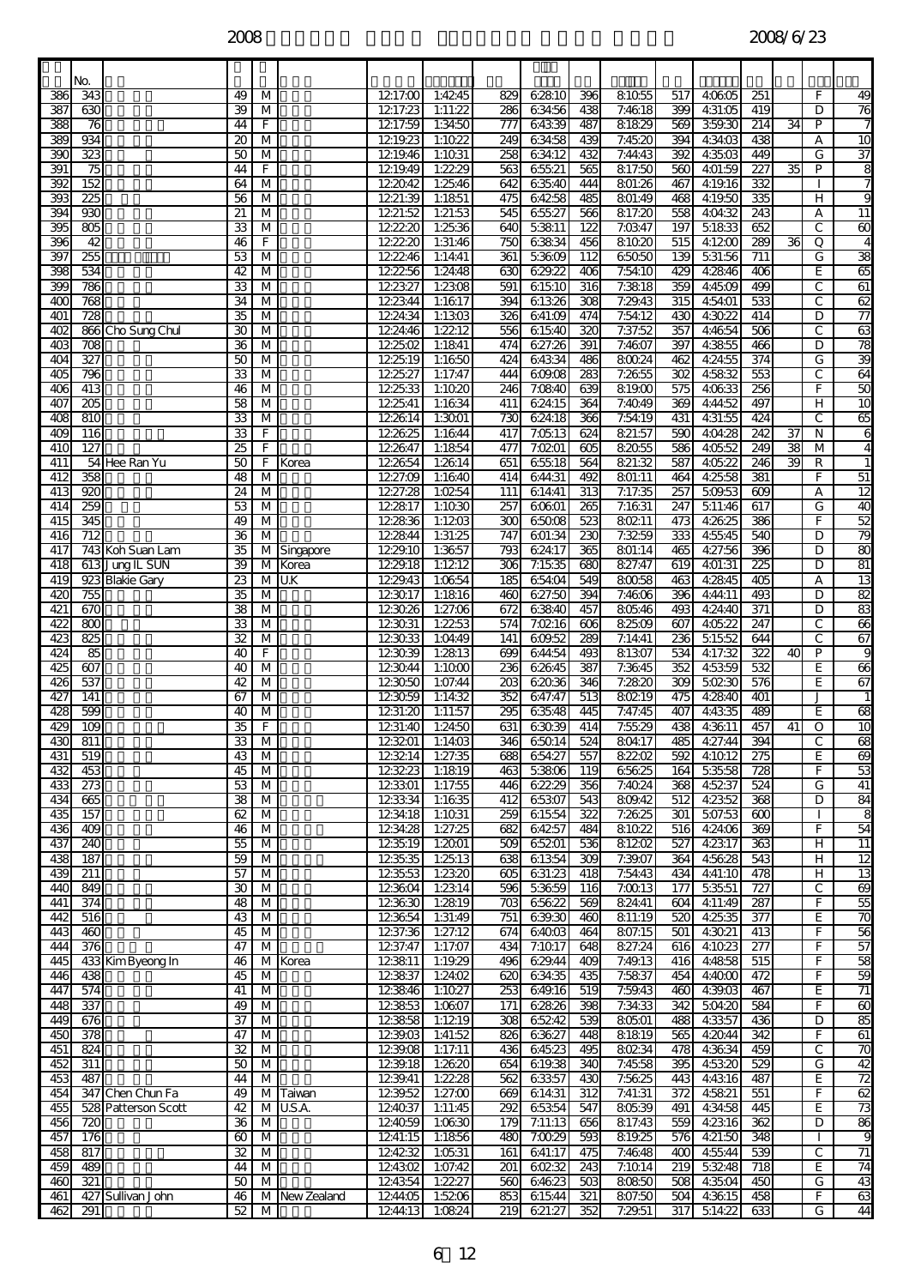|                 | No.                            |                                    |                          |                                                    |                |                    |                          |                         |                   |                         |                    |                         |                    |                         |    |                     |                                    |
|-----------------|--------------------------------|------------------------------------|--------------------------|----------------------------------------------------|----------------|--------------------|--------------------------|-------------------------|-------------------|-------------------------|--------------------|-------------------------|--------------------|-------------------------|----|---------------------|------------------------------------|
| 386             | 343                            |                                    | 49                       | M                                                  |                | 1217:00            | 1:4245                   | 829                     | 62810             | 396                     | 81055              | 517                     | 4:06:05            | 251                     |    | F                   | 49                                 |
| 387             | 630                            |                                    | 39                       | $\overline{\mathsf{M}}$                            |                | 1217:23            | 1:11:22                  | 286                     | 63456             | 438                     | 7:4618             | 399                     | 4:31:05            | 419                     |    | D                   | 76                                 |
| 388<br>389      | 76<br>82                       |                                    | 44<br>20                 | F<br>M                                             |                | 1217:59<br>1219.23 | 1:34:50<br>1:1022        | 777<br>249              | 64339<br>63458    | 487<br>439              | 81829<br>7:45:20   | 569<br>394              | 359.30<br>4:34:03  | $\overline{214}$<br>438 | 34 | P<br>А              | 10                                 |
| 390             | 323                            |                                    | 50                       | М                                                  |                | 1219.46            | 1:1031                   | 258                     | 63412             | 432                     | 7:44:43            | 392                     | 4:3503             | 449                     |    | G                   | $\overline{37}$                    |
| 391             | 75                             |                                    | 44                       | F                                                  |                | 1219.49            | 1:22.29                  | 563                     | 65521             | 565                     | 817:50             | 560                     | 4:01:59            | 227                     | 35 | P                   | 8                                  |
| 392             | 152                            |                                    | $\overline{64}$          | $\overline{\mathsf{M}}$                            |                | 122042             | 1:2546                   | 642                     | 63540             | 444                     | 801:26             | 467                     | 4:19.16            | 332                     |    |                     | 7                                  |
| 393             | 225                            |                                    | 56                       | М                                                  |                | 1221:39            | 1:1851                   | 475                     | 64258             | 485                     | 801:49             | 468                     | 4:19:50            | 335                     |    | н                   | 9                                  |
| 394<br>395      | 930<br>$\overline{\text{805}}$ |                                    | 21<br>33                 | M<br>М                                             |                | 1221:52<br>122220  | 1:21:53<br>1:25:36       | 545<br>640              | 65527<br>53811    | 566<br>122              | 817:20<br>7:0347   | 558<br>197              | 4:04:32<br>51833   | 243<br>652              |    | А<br>C              | 11<br>8                            |
| 396             | 42                             |                                    | 46                       | F                                                  |                | 122220             | 1:31:46                  | 750                     | 63834             | 456                     | 81020              | 515                     | 4:1200             | 289                     | 36 | Q                   | 4                                  |
| 397             | 255                            |                                    | 53                       | $\overline{M}$                                     |                | 122246             | 1:14:41                  | 361                     | 5:36:09           | 112                     | 65050              | 139                     | 531:56             | 711                     |    | G                   | 38                                 |
| 398             | 534                            |                                    | 42                       | М                                                  |                | 122256             | 1:24:48                  | 630                     | 629.22            | 406                     | 7:54:10            | 429                     | 4:2846             | 406                     |    | E                   | 8                                  |
| 399             | 786                            |                                    | 33                       | M                                                  |                | 122327             | 1:2308                   | 591                     | 61510             | 316                     | 7:3818             | 359                     | 4:45:09            | 499                     |    | C                   | 61                                 |
| 400<br>401      | 768<br>$\overline{728}$        |                                    | 34<br>35                 | M<br>M                                             |                | 122344<br>1224:34  | 1:1617<br>1:1303         | 394<br>326              | 61326<br>641:09   | $\overline{308}$<br>474 | 7:29.43<br>7:54:12 | $\overline{315}$<br>430 | 4:54:01<br>4:3022  | 533<br>414              |    | C<br>D              | 62<br>$\overline{77}$              |
| 402             |                                | 866 Cho Sung Chul                  | 30                       | $\overline{\mathsf{M}}$                            |                | 1224:46            | 1:2212                   | 556                     | 61540             | 320                     | 7:37:52            | 357                     | 4:46:54            | 506                     |    | C                   | 63                                 |
| 403             | 708                            |                                    | $\overline{\mathcal{X}}$ | м                                                  |                | 122502             | 1:1841                   | 474                     | 627:26            | $\overline{391}$        | 7:4607             | 397                     | 4:3855             | 466                     |    | D                   | 78                                 |
| 404             | 327                            |                                    | 50                       | M                                                  |                | 122519             | 1:1650                   | 424                     | 64334             | 486                     | 80024              | 462                     | 4:24:55            | $\overline{374}$        |    | G                   | 39                                 |
| 405             | 796                            |                                    | 33                       | м                                                  |                | 1225:27            | 1:17:47                  | 444                     | 609.08            | 283                     | 7:2655             | 302                     | 45832              | 553                     |    | C                   | \$                                 |
| 406<br>407      | 413<br>B                       |                                    | 46<br>$\overline{58}$    | M<br>M                                             |                | 122533<br>1225:41  | 1:1020<br>1:1634         | 246<br>411              | 7:0840<br>62415   | 639<br>364              | 81900<br>7:4049    | 575<br>369              | 40633<br>4:44:52   | 256<br>497              |    | F<br>H              | 50<br>$\overline{10}$              |
| 408             | 810                            |                                    | 33                       | M                                                  |                | 122614             | 1:3001                   | 730                     | 62418             | 366                     | 7:54:19            | 431                     | 4:31:55            | 424                     |    | C                   | 65                                 |
| 409             | 116                            |                                    | 33                       | F                                                  |                | 122625             | 1:1644                   | 417                     | 7:05:13           | 624                     | 821:57             | 590                     | 4:04:28            | 242                     | 37 | N                   | 6                                  |
| 410             | 127                            |                                    | 25                       | F                                                  |                | 122647             | 1:1854                   | 477                     | 7:0201            | 605                     | 82055              | 586                     | 4:05:52            | 249                     | 38 | м                   | $\overline{4}$                     |
| 411             |                                | 54 Hee Ran Yu                      | 50                       | F                                                  | Korea          | 122654             | 1:2614                   | 651                     | 65518             | 564                     | 821:32             | 587                     | 40522              | 246                     | 39 | R                   | 1                                  |
| 412<br>413      | 358<br>8                       |                                    | 48<br>$\overline{24}$    | M<br>M                                             |                | 1227:09<br>1227:28 | 1:1640<br>1:0254         | 414<br>111              | 644:31<br>614.41  | 492<br>$\overline{313}$ | 801:11<br>7:17:35  | 464<br>257              | 4:25:58<br>509.53  | 381<br>$\overline{609}$ |    | F<br>А              | $\overline{51}$<br>$\overline{12}$ |
| 414             | 259                            |                                    | 53                       | м                                                  |                | 122817             | 1:1030                   | 257                     | 60601             | 265                     | 7:1631             | 247                     | 5.11:46            | 617                     |    | G                   | 40                                 |
| 415             | 345                            |                                    | 49                       | м                                                  |                | 122836             | 1:1203                   | 300                     | 65008             | 523                     | 80211              | 473                     | 4:26:25            | 386                     |    | F                   | 52                                 |
| 416             | $\overline{712}$               |                                    | $\overline{36}$          | M                                                  |                | 122844             | 1:31:25                  | 747                     | 601:34            | 230                     | 7:3259             | 333                     | 4:55:45            | 540                     |    | D                   | 79                                 |
| 417             |                                | 743 Koh Suan Lam                   | 35                       |                                                    | M Singapore    | 1229.10            | 1:3657                   | 793                     | 624:17            | 365                     | 801:14             | 465                     | 4:27:56            | 396                     |    | D                   | 80                                 |
| 418<br>419      |                                | 613 Jung IL SUN<br>923 Blakie Gary | 39<br>23                 | M                                                  | M Korea<br>U.K | 1229.18<br>1229.43 | 1:1212<br>1:06:54        | 306<br>185              | 7:15.35<br>654:04 | 680<br>549              | 827:47<br>80058    | 619<br>463              | 401:31<br>4:2845   | $\overline{25}$<br>405  |    | D<br>A              | 8Ī<br>$\overline{13}$              |
| 420             | 755                            |                                    | 35                       | М                                                  |                | 123017             | 1:1816                   | 460                     | 627:50            | 394                     | 7:4606             | 396                     | 4:44:11            | 493                     |    | D                   | 82                                 |
| 421             | 670                            |                                    | 38                       | M                                                  |                | 123026             | 1:27:06                  | 672                     | 63840             | 457                     | 80546              | 493                     | 4:24:40            | 371                     |    | D                   | 83                                 |
| 422             | 800                            |                                    | 33                       | $\overline{M}$                                     |                | 123031             | 1:2253                   | 574                     | 7:0216            | 606                     | 82509              | 607                     | 40522              | 247                     |    | $\mathsf{C}$        | 66                                 |
| 423             | 825                            |                                    | 32                       | м                                                  |                | 123033             | 1:04:49                  | 141                     | 609.52            | 289                     | 7:14:41            | 236                     | 51552              | 644                     |    | C                   | 67                                 |
| 424<br>425      | 89<br>$\overline{607}$         |                                    | 40<br>40                 | F<br>М                                             |                | 123039<br>123044   | 1:2813<br>1:1000         | 699<br>236              | 644:54<br>62645   | 493<br>387              | 81307<br>7:3645    | 534<br>352              | 4:17:32<br>4:53:59 | 327<br>532              | 40 | $\overline{P}$<br>E | 9<br>8                             |
| 426             | 537                            |                                    | 42                       | M                                                  |                | 123050             | 1:07:44                  | 203                     | 62036             | 346                     | 7:2820             | 309                     | 50230              | 576                     |    | E                   | 67                                 |
| 427             | 141                            |                                    | 67                       | M                                                  |                | 123059             | 1:14:32                  | 352                     | 647:47            | 513                     | 80219              | 475                     | 4:2840             | 401                     |    | $\mathbf{J}$        | 1                                  |
| 428             | 599                            |                                    | 40                       | М                                                  |                | 1231:20            | 1:11:57                  | 295                     | 63548             | 445                     | 7:47:45            | 407                     | 4:43:35            | 489                     |    | Ε                   | 8                                  |
| 429<br>430      | 109<br>$\overline{811}$        |                                    | 35<br>33                 | F<br>M                                             |                | 1231:40            | 1:24:50<br>123201 1:1403 | 631<br>346              | 63039<br>65014    | 414<br>524              | 7:55:29<br>80417   | 438<br>485              | 4:36:11<br>4:27:44 | 457<br>394              | 41 | O<br>C              | $\overline{10}$<br>68              |
| 431             | 519                            |                                    | 43                       | M                                                  |                | 123214             | 1:27:35                  | 688                     | 654:27            | 557                     | 82202              | 592                     | 4:10.12            | $\overline{275}$        |    | E                   | 69                                 |
| 432             | $\overline{453}$               |                                    | 45                       | M                                                  |                | 123223             | 1:1819                   | 463                     | 53806             | 119                     | 65625              | 164                     | 5:35:58            | 728                     |    | F.                  | 53                                 |
| 433             | 273                            |                                    | 53                       | $\overline{\mathsf{M}}$                            |                | 123301             | 1:17:55                  | 446                     | 62229             | 356                     | 7:4024             | 368                     | 45237              | 524                     |    | G                   | 41                                 |
| 434             | 865                            |                                    | 38                       | М                                                  |                | 123334             | 1:1635                   | 412                     | 65307             | 543                     | 809.42             | 512                     | 4:2352             | 368                     |    | D                   | 84                                 |
| 435<br>436      | 157<br>409                     |                                    | 62<br>46                 | M<br>M                                             |                | 1234:18<br>1234:28 | 1:1031<br>1:27:25        | 259<br>682              | 61554<br>64257    | 322<br>484              | 7:2625<br>81022    | 301<br>516              | 507:53<br>4:24:06  | 600<br>369              |    | F                   | 8<br>54                            |
| 437             | 240                            |                                    | 55                       | M                                                  |                | 123519             | 1:2001                   | 509                     | 65201             | 536                     | 81202              | 527                     | 4:23:17            | 363                     |    | H                   | 11                                 |
| 438             | 187                            |                                    | 59                       | $\overline{\mathsf{M}}$                            |                | 123535             | 1:2513                   | 638                     | 61354             | 309                     | 7:39.07            | 364                     | 45628              | 543                     |    | н                   | $\overline{12}$                    |
| 439             | 211                            |                                    | 57                       | $\overline{\mathsf{M}}$                            |                | 123553             | 1:2320                   | 605                     | 631:23            | 418                     | 7:54:43            | 434                     | 4:41:10            | 478                     |    | н                   | $\overline{13}$                    |
| $\overline{40}$ | 849                            |                                    | 30                       | M                                                  |                | 123604             | 1:2314                   | 596                     | 53659             | 116                     | 7:0013             | 177                     | 53551              | 727                     |    | $\mathsf{C}$        | 8                                  |
| 441<br>442      | 374<br>516                     |                                    | 48<br>43                 | M<br>M                                             |                | 123630<br>123654   | 1:2819<br>1:31:49        | 703<br>751              | 65622<br>639.30   | 569<br>460              | 824.41<br>811:19   | 604<br>520              | 4:11:49<br>4:25:35 | 287<br>377              |    | F<br>E              | 55<br>70                           |
| 443             | 460                            |                                    | 45                       | M                                                  |                | 1237:36            | 1:27:12                  | 674                     | 64003             | 464                     | 807:15             | 501                     | 4:3021             | 413                     |    | F                   | 56                                 |
| 444             | 376                            |                                    | 47                       | М                                                  |                | 1237:47            | 1:17:07                  | 434                     | 7:1017            | 648                     | 827:24             | 616                     | 4:1023             | $\overline{277}$        |    | F                   | 57                                 |
| 445             |                                | 433 Kim Byeong In                  | 46                       |                                                    | M Korea        | 123811             | 1:19.29                  | 496                     | 629.44            | 409                     | 7:49.13            | 416                     | 4:4858             | 515                     |    | F                   | 58                                 |
| 446<br>447      | 438<br>574                     |                                    | 45<br>41                 | M<br>M                                             |                | 123837<br>123846   | 1:24:02<br>1:1027        | 620<br>253              | 63435<br>649.16   | 435<br>519              | 7:5837<br>7:59.43  | 454<br>460              | 4:4000<br>4:39.03  | 472<br>467              |    | F<br>E              | 59<br>$\overline{71}$              |
| 448             | 337                            |                                    | 49                       | $\overline{\mathsf{M}}$                            |                | 123853             | 1:0607                   | 171                     | 62826             | 398                     | 7:34:33            | 342                     | 504:20             | 584                     |    | F                   | 8                                  |
| 449             | 676                            |                                    | 37                       | $\overline{\mathsf{M}}$                            |                | 123858             | 1:1219                   | 308                     | 65242             | 539                     | 80501              | 488                     | 4:3357             | 436                     |    | D                   | 85                                 |
| 450             | 378                            |                                    | 47                       | M                                                  |                | 1239.03            | 1:41:52                  | 826                     | 63627             | 448                     | 81819              | 565                     | 4:2044             | 342                     |    | F                   | 61                                 |
| 451             | 824                            |                                    | 32                       | M                                                  |                | 1239.08            | 1:17:11                  | 436                     | 64523             | 495                     | 80234              | 478                     | 4:36:34            | 459                     |    | C                   | 70                                 |
| 452<br>453      | $\overline{311}$<br>487        |                                    | 50<br>44                 | $\overline{\mathsf{M}}$<br>$\overline{\mathsf{M}}$ |                | 1239.18<br>1239.41 | 1:2620<br>1:22.28        | 654<br>562              | 61938<br>63357    | 340<br>430              | 7:4558<br>7:5625   | 395<br>443              | 4:5320<br>4:43:16  | 529<br>487              |    | G<br>E              | 42<br>$\overline{72}$              |
| 454             |                                | 347 Chen Chun Fa                   | 49                       |                                                    | M Taiwan       | 1239.52            | 1:27:00                  | 669                     | 614:31            | 312                     | 7:41:31            | 372                     | 4:5821             | 551                     |    | F                   | 62                                 |
| 455             |                                | 528 Patterson Scott                | 42                       |                                                    | M U.S.A.       | 124037             | 1:11:45                  | 292                     | 65354             | 547                     | 80539              | 491                     | 4:34:58            | 445                     |    | E                   | 73                                 |
| 456             | 720                            |                                    | 36                       | M                                                  |                | 124059             | 1:0630                   | 179                     | 7:11:13           | 656                     | 817:43             | 559                     | 4:2316             | 362                     |    | D                   | 86                                 |
| 457             | 176                            |                                    | 60                       | $\overline{\mathsf{M}}$                            |                | 1241:15            | 1:1856                   | 480                     | 7:0029            | 593                     | 819.25             | 576                     | 4:21:50            | 348                     |    |                     | 9                                  |
| 458<br>459      | $\overline{817}$<br>489        |                                    | $\overline{32}$<br>44    | $\overline{\mathsf{M}}$<br>M                       |                | 124232<br>124302   | 1:0531<br>1:07:42        | 161<br>$\overline{201}$ | 641:17<br>60232   | 475<br>243              | 7:4648<br>7:1014   | 400<br>219              | 4:55:44<br>53248   | 539<br>718              |    | $\mathsf{C}$<br>E   | $\overline{1}$<br>74               |
| 460             | 321                            |                                    | 50                       | M                                                  |                | 124354             | 1:2227                   | 560                     | 64623             | 503                     | 80850              | 508                     | 4:35:04            | 450                     |    | G                   | 43                                 |
| 461             |                                | 427 Sullivan John                  | 46                       |                                                    | M New Zealand  | 1244:05            | 1:5206                   | 853                     | 615:44            | 321                     | 807:50             | 504                     | 4:36:15            | 458                     |    | F                   | 83                                 |
| 462             | 291                            |                                    | 52                       | M                                                  |                | 1244:13            | 1:0824                   | 219                     | 621:27            | 352                     | 7:29.51            | 317                     | 514:22             | 633                     |    | G                   | 44                                 |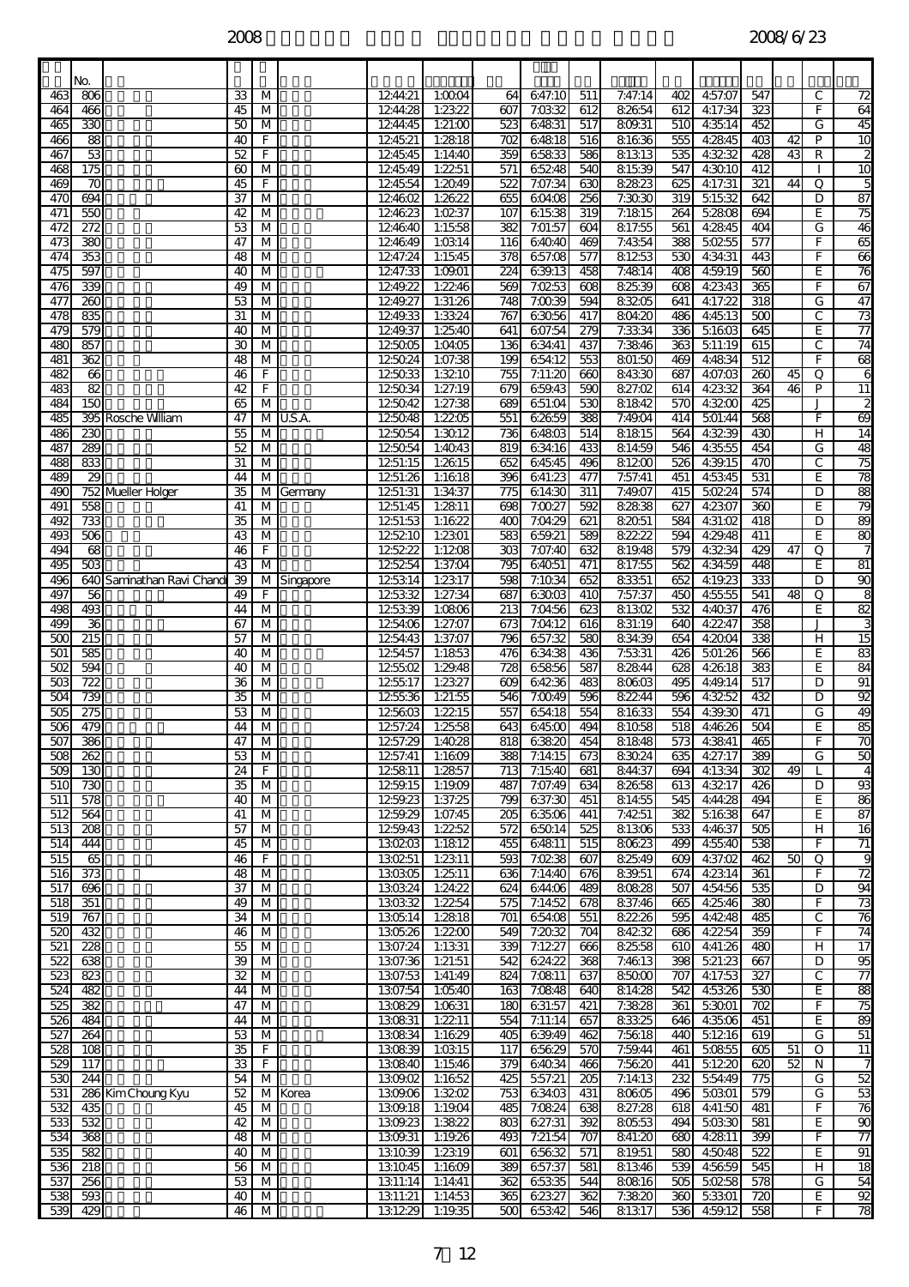|            | No.                     |                            |                       |                         |             |                    |                          |                         |                   |            |                  |            |                    |                         |                 |         |                         |
|------------|-------------------------|----------------------------|-----------------------|-------------------------|-------------|--------------------|--------------------------|-------------------------|-------------------|------------|------------------|------------|--------------------|-------------------------|-----------------|---------|-------------------------|
| 463        | 806                     |                            | 33                    | M                       |             | 1244:21            | 1:0004                   | 64                      | 647:10            | 511        | 7:47:14          | 402        | 4:57:07            | 547                     |                 | С       | 72                      |
| 464        | 466                     |                            | 45                    | M                       |             | 1244:28            | 1:23.22                  | 607                     | 7:03:32           | 612        | 82654            | 612        | 4:17:34            | 323                     |                 | F       | 64                      |
| 465<br>466 | 330<br>88               |                            | 50<br>40              | М<br>F                  |             | 1244:45<br>124521  | 1:21:00<br>1:2818        | 523<br>702              | 64831<br>64818    | 517<br>516 | 809.31<br>81636  | 510<br>555 | 4:35:14<br>4:2845  | 452<br>403              | 42              | G<br>P  | 45<br>10                |
| 467        | 53                      |                            | 52                    | F                       |             | 124545             | 1:14:40                  | 359                     | 65833             | 586        | 81313            | 535        | 4:3232             | 428                     | 43              | R       | 2                       |
| 468        | 175                     |                            | 60                    | M                       |             | 124549             | 1:2251                   | 571                     | 65248             | 540        | 81539            | 547        | 4:3010             | 412                     |                 |         | 10                      |
| 469        | 70                      |                            | 45                    | F                       |             | 124554             | 1:2049                   | 522                     | 7:07:34           | 630        | 82823            | 625        | 4:17:31            | 321                     | 44              | Q       | 5                       |
| 470<br>471 | 694<br>550              |                            | 37<br>42              | M<br>M                  |             | 124602<br>124623   | 1:2622<br>1:0237         | 655<br>107              | 60408<br>61538    | 256<br>319 | 7:3030<br>7:1815 | 319<br>264 | 51532<br>52808     | 642<br>694              |                 | D<br>E  | $\overline{87}$<br>75   |
| 472        | $\overline{272}$        |                            | 53                    | М                       |             | 124640             | 1:1558                   | 382                     | 7:01:57           | 604        | 817:55           | 561        | 4:2845             | 404                     |                 | G       | $\overline{46}$         |
| 473        | 380                     |                            | 47                    | M                       |             | 124649             | 1:0314                   | 116                     | 64040             | 469        | 7:4354           | 388        | 50255              | 577                     |                 | F       | 65                      |
| 474        | 353                     |                            | 48                    | M                       |             | 1247:24            | 1:1545                   | 378                     | 657:08            | 577        | 81253            | 530        | 4:34:31            | 443                     |                 | F       | 66                      |
| 475<br>476 | 597<br>339              |                            | 40<br>49              | М<br>M                  |             | 1247:33<br>1249.22 | 1:09.01<br>1:2246        | $\overline{224}$<br>569 | 639.13<br>7:0253  | 458<br>608 | 7:4814<br>82539  | 408<br>608 | 4:59.19<br>4:23:43 | 560<br>365              |                 | E<br>F  | $\overline{76}$<br>67   |
| 477        | $\overline{260}$        |                            | 53                    | M                       |             | 1249.27            | 1:31:26                  | 748                     | 7:0039            | 594        | 83205            | 641        | 4:17:22            | $\overline{318}$        |                 | G       | 47                      |
| 478        | 835                     |                            | 31                    | М                       |             | 1249.33            | 1:3324                   | 767                     | 63056             | 417        | 804:20           | 486        | 4:45:13            | 500                     |                 | С       | 73                      |
| 479        | 579                     |                            | 40                    | M                       |             | 1249.37            | 1:25.40                  | 641                     | 607:54            | 279        | 7:3334           | 336        | 51603              | 645                     |                 | E.      | 77                      |
| 480        | 857                     |                            | 30                    | М                       |             | 125005             | 1:04:05                  | 136                     | 63441             | 437        | 7:3846           | 363        | 511:19             | 615                     |                 | С       | $\overline{74}$         |
| 481<br>482 | 362<br>66               |                            | 48<br>46              | M<br>F                  |             | 125024<br>125033   | 1:07:38<br>1:3210        | 199<br>755              | 65412<br>7:11:20  | 553<br>660 | 801:50<br>84330  | 469<br>687 | 4:4834<br>407:03   | 512<br>$\overline{260}$ | 45              | F<br>Q  | 8<br>6                  |
| 483        | 82                      |                            | 42                    | F                       |             | 125034             | 1:27:19                  | 679                     | 659.43            | 590        | 827:02           | 614        | 4:23:32            | 364                     | 46              | P       | $\overline{11}$         |
| 484        | 150                     |                            | 65                    | М                       |             | 125042             | 1:27:38                  | 689                     | 651:04            | 530        | 81842            | 570        | 4:3200             | 425                     |                 | J       | $\overline{\mathbf{c}}$ |
| 485        |                         | 395 Rosche William         | 47                    | м                       | U.S.A.      | 125048             | 1:2205                   | 551                     | 62659             | 388        | 7:49:04          | 414        | 501:44             | 568                     |                 | F       | 8                       |
| 486<br>487 | 230<br>289              |                            | 55<br>52              | M<br>M                  |             | 125054<br>125054   | 1:3012<br>1:4043         | 736<br>819              | 64803<br>634:16   | 514<br>433 | 81815<br>814:59  | 564<br>546 | 4:3239<br>4:35:55  | 430<br>454              |                 | н<br>G  | 14<br>à                 |
| 488        | 833                     |                            | 31                    | M                       |             | 1251:15            | 1:2615                   | 652                     | 64545             | 496        | 81200            | 526        | 4:39.15            | 470                     |                 | С       | 75                      |
| 489        | 29                      |                            | 44                    | М                       |             | 1251:26            | 1:1618                   | 396                     | 641:23            | 477        | 7:57:41          | 451        | 45345              | 531                     |                 | E       | 78                      |
| 490        |                         | 752 Mueller Holger         | 35                    | м                       | Germany     | 1251:31            | 1:34:37                  | 775                     | 614:30            | 311        | 7:49.07          | 415        | 50224              | 574                     |                 | D       | 88                      |
| 491<br>492 | 558<br>$\overline{733}$ |                            | 41<br>35              | M<br>М                  |             | 1251:45<br>1251:53 | 1:2811<br>1:1622         | 698<br>400              | 7:0027<br>7:04:29 | 592<br>621 | 82838<br>82051   | 627<br>584 | 4:23:07<br>4:31:02 | 360<br>418              |                 | E<br>D  | 79<br>80                |
| 493        | 506                     |                            | 43                    | M                       |             | 125210             | 1:2301                   | 583                     | 659.21            | 589        | 82222            | 594        | 4:29.48            | 411                     |                 | E       | 80                      |
| 494        | 68                      |                            | 46                    | F                       |             | 125222             | 1:1208                   | 303                     | 7:07:40           | 632        | 819.48           | 579        | 4:32:34            | 429                     | 47              | Q       | 7                       |
| 495        | 503                     |                            | 43                    | M                       |             | 125254             | 1:37:04                  | 795                     | 64051             | 471        | 817:55           | 562        | 4:34:59            | 448                     |                 | E       | 8Ī                      |
| 496<br>497 | 56                      | 640 Saminathan Ravi Chandi | 39<br>49              | F                       | M Singapore | 125314<br>125332   | 1:2317<br>1:27:34        | 598<br>687              | 7:1034<br>63003   | 652<br>410 | 83351<br>7:57:37 | 652<br>450 | 4:19.23<br>4:55:55 | 333<br>541              | 48              | D<br>Q  | 90<br>8                 |
| 498        | 493                     |                            | 44                    | M                       |             | 125339             | 1:0806                   | 213                     | 7:04:56           | 623        | 81302            | 532        | 4:40.37            | 476                     |                 | E       | 82                      |
| 499        | 36                      |                            | 67                    | М                       |             | 1254:06            | 1:27:07                  | 673                     | 7:04:12           | 616        | 831:19           | 640        | 4:22.47            | 358                     |                 | J       |                         |
| 500        | $\overline{215}$        |                            | 57                    | М                       |             | 1254:43<br>1254:57 | 1:37:07                  | 796                     | 657:32            | 580        | 83439            | 654        | 4:2004             | 338                     |                 | н       | $\overline{15}$         |
| 501<br>502 | 585<br>594              |                            | 40<br>40              | M<br>М                  |             | 125502             | 1:1853<br>1:29.48        | 476<br>728              | 63438<br>65856    | 436<br>587 | 7:5331<br>82844  | 426<br>628 | 501:26<br>4:26:18  | 566<br>383              |                 | E<br>E  | 83<br>$\overline{84}$   |
| 503        | 722                     |                            | 36                    | M                       |             | 125517             | 1:2327                   | 609                     | 64236             | 483        | 80603            | 495        | 4:49.14            | 517                     |                 | D       | ୭ା                      |
| 504        | 739                     |                            | 35                    | М                       |             | 125536             | 1:21:55                  | 546                     | 7:0049            | 596        | 82244            | 596        | 4:3252             | 432                     |                 | D       | 92                      |
| 505        | 275                     |                            | 53                    | M                       |             | 125603             | 1:2215                   | 557                     | 65418             | 554        | 81633            | 554        | 4:39.30            | 471                     |                 | G       | 49                      |
| 506<br>507 | 479<br>386              |                            | 44<br>$\overline{47}$ | M<br>M                  |             | 1257:24            | 1:2558<br>1257:29 1:4028 | 643<br>818              | 64500<br>63820    | 494<br>454 | 81058<br>81848   | 518<br>573 | 4:46:26<br>4:3841  | 504<br>寄                |                 | E<br>F. | 85<br>70                |
| 508        | 262                     |                            | 53                    | M                       |             | 1257:41            | 1:1609                   | 388                     | 7:14:15           | 673        | 83024            | 635        | 4:27:17            | 389                     |                 | G       | 50                      |
| 509        | 130                     |                            | 24                    | F                       |             | 125811             | 1:2857                   | 713                     | 7:1540            | 681        | 844:37           | 694        | 41334              | 302                     | 49              |         | $\overline{4}$          |
| 510<br>511 | $\overline{730}$<br>578 |                            | 35<br>40              | M<br>M                  |             | 1259.15<br>1259.23 | 1:19.09<br>1:37:25       | 487<br>799              | 7:07:49<br>637:30 | 634<br>451 | 82658<br>81455   | 613<br>545 | 4:3217<br>4:44:28  | 426<br>494              |                 | D<br>E  | 93<br>86                |
| 512        | 564                     |                            | 41                    | M                       |             | 1259.29            | 1:07:45                  | 205                     | 63506             | 441        | 7:4251           | 382        | 51638              | 647                     |                 | E       | 87                      |
| 513        | 208                     |                            | 57                    | $\overline{\mathsf{M}}$ |             | 1259.43            | 1:2252                   | 572                     | 65014             | 525        | 81306            | 533        | 4:46:37            | 505                     |                 | H.      | 16                      |
| 514        | 444                     |                            | 45                    | M                       |             | 130203             | 1:1812                   | 455                     | 64811             | 515        | 80623            | 499        | 4:55:40            | 538                     |                 | F       | 71                      |
| 515<br>516 | 65<br>373               |                            | 46<br>48              | F<br>M                  |             | 130251<br>130305   | 1:2311<br>1:2511         | 593<br>636              | 7:0238<br>7:14:40 | 607<br>676 | 82549<br>839.51  | 609<br>674 | 4:37:02<br>4:23:14 | 462<br>361              | 50              | O<br>F. | 9<br>$\overline{12}$    |
| 517        | 696                     |                            | 37                    | M                       |             | 130324             | 1:24.22                  | 624                     | 644:06            | 489        | 80828            | 507        | 4:54:56            | 535                     |                 | D       | 94                      |
| 518        | 351                     |                            | 49                    | M                       |             | 130332             | 1:2254                   | 575                     | 7:1452            | 678        | 837:46           | 665        | 4:25:46            | 380                     |                 | F       | 73                      |
| 519        | 767                     |                            | 34                    | $\overline{\mathsf{M}}$ |             | 130514             | 1:2818                   | 701                     | 65408             | 551        | 82226            | 595        | 4:4248             | 485                     |                 | C       | 76                      |
| 520        | 432<br>228              |                            | 46                    | M                       |             | 130526             | 1:2200                   | 549                     | 7:2032            | 704        | 84232<br>82558   | 686        | 4:2254             | 359<br>480              |                 | F       | 74                      |
| 521<br>522 | 638                     |                            | 55<br>39              | M<br>M                  |             | 1307:24<br>1307:36 | 1:1331<br>1:21:51        | 339<br>542              | 7:1227<br>624.22  | 666<br>368 | 7:4613           | 610<br>398 | 4:41:26<br>521:23  | 667                     |                 | H<br>D  | $\overline{17}$<br>95   |
| 523        | 823                     |                            | 32                    | $\overline{\mathsf{M}}$ |             | 1307:53            | 1:41:49                  | 824                     | 7:0811            | 637        | 85000            | 707        | 4:17:53            | 327                     |                 | С       | $\overline{77}$         |
| 524        | 482                     |                            | 44                    | M                       |             | 1307:54            | 1:0540                   | 163                     | 7:0848            | 640        | 814:28           | 542        | 4:53.26            | 530                     |                 | E       | 88                      |
| 525        | 382                     |                            | 47                    | M                       |             | 130829             | 1:0631                   | 180                     | 631:57            | 421        | 7:3828           | 361        | 53001              | $\overline{702}$        |                 | F       | 75                      |
| 526<br>527 | 484<br>264              |                            | 44<br>53              | M<br>M                  |             | 130831<br>130834   | 1:2211<br>1:1629         | 554<br>405              | 7:11:14<br>639.49 | 657<br>462 | 83325<br>7:5618  | 646<br>440 | 4:3506<br>51216    | 451<br>619              |                 | E<br>G  | 89<br>51                |
| 528        | $\overline{108}$        |                            | 35                    | F                       |             | 130839             | 1:0315                   | 117                     | 65629             | 570        | 7:59.44          | 461        | 50855              | 605                     | $\overline{51}$ | 0       | 11                      |
| 529        | 117                     |                            | 33                    | F                       |             | 130840             | 1:1546                   | 379                     | 64034             | 466        | 7:5620           | 441        | 51220              | 620                     | 52              | И       | 7                       |
| 530        | 244                     |                            | 54                    | M                       |             | 1309.02            | 1:1652                   | 425                     | 557:21            | 205        | 7:14:13          | 232        | 554:49             | $\overline{775}$        |                 | G       | 52                      |
| 531<br>532 | 435                     | 286 Kim Choung Kyu         | 52<br>45              | М<br>M                  | Korea       | 130906<br>1309.18  | 1:3202<br>1:19.04        | 753<br>485              | 634:03<br>7:0824  | 431<br>638 | 80605<br>827:28  | 496<br>618 | 50301<br>4:41:50   | 579<br>481              |                 | G<br>F  | 53<br>76                |
| 533        | 532                     |                            | 42                    | $\overline{\mathsf{M}}$ |             | 1309.23            | 1:3822                   | 803                     | 627:31            | 392        | 80553            | 494        | 50330              | 581                     |                 | E       | 8                       |
| 534        | 368                     |                            | 48                    | $\overline{\mathsf{M}}$ |             | 1309.31            | 1:19.26                  | 493                     | 7:21:54           | 707        | 841:20           | 680        | 4:2811             | 399                     |                 | F       | 77                      |
| 535        | 582                     |                            | 40                    | M                       |             | 131039             | 1:2319                   | 601                     | 65632             | 571        | 819.51           | 580        | 4:5048             | 522                     |                 | E       | ୨१                      |
| 536<br>537 | $\frac{2}{8}$<br>256    |                            | 56<br>53              | M<br>M                  |             | 131045<br>1311:14  | 1:1609<br>1:14:41        | 389<br>362              | 657:37<br>65335   | 581<br>544 | 81346<br>80816   | 539<br>505 | 4:56:59<br>50258   | 545<br>578              |                 | H<br>G  | $\overline{18}$<br>54   |
| 538        | 593                     |                            | 40                    | M                       |             | 1311:21            | 1:14:53                  | 365                     | 62327             | 362        | 7:3820           | 360        | 53301              | 720                     |                 | E.      | 92                      |
|            |                         |                            |                       |                         |             |                    |                          |                         | 65342             | 546        | 81317            | 536        | 4:59.12            | 558                     |                 | F       | 78                      |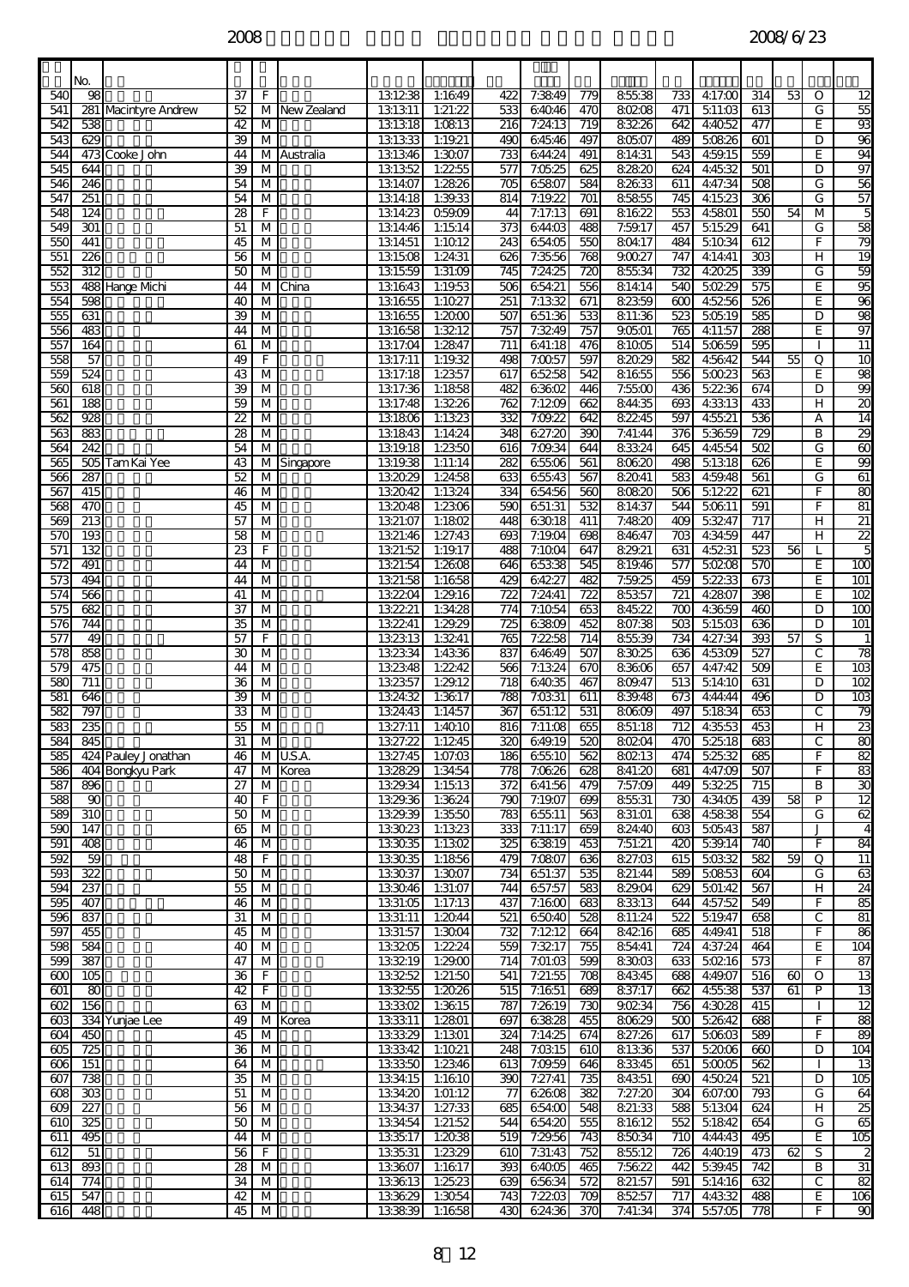|                  | No.                     |                      |                       |                              |             |                     |                    |                         |                    |                  |                   |                  |                    |                         |                 |              |                         |
|------------------|-------------------------|----------------------|-----------------------|------------------------------|-------------|---------------------|--------------------|-------------------------|--------------------|------------------|-------------------|------------------|--------------------|-------------------------|-----------------|--------------|-------------------------|
| 540              | 98                      |                      | 37                    | F                            |             | 131238              | 1:1649             | 422                     | 7:3849             | 779              | 85538             | 733              | 4:17:00            | 314                     | 53              | O            | 12                      |
| 541<br>542       | 538                     | 281 Macintyre Andrew | 52<br>42              | М<br>M                       | New Zealand | 131311<br>131318    | 1:21:22<br>1:0813  | 533<br>216              | 64046<br>7:24:13   | 470<br>719       | 80208<br>83226    | 471<br>642       | 511:03<br>4:4052   | 613<br>477              |                 | G<br>E       | 95<br>93                |
| 543              | 629                     |                      | 39                    | M                            |             | 131333              | 1:19.21            | 490                     | 64546              | 497              | 80507             | 489              | 50826              | 601                     |                 | D            | 96                      |
| 544              |                         | 473 Cooke John       | 44                    | M                            | Australia   | 131346              | 1:3007             | 733                     | 644:24             | 491              | 814:31            | 543              | 4:59.15            | 559                     |                 | E            | 94                      |
| 545              | 644                     |                      | 39                    | M                            |             | 131352              | 1:2255             | 577                     | 7:0525             | 625              | 82820             | 624              | 4:45:32            | 501                     |                 | D            | 97                      |
| 546<br>547       | 246<br>$\overline{251}$ |                      | 54<br>54              | M<br>$\overline{M}$          |             | 1314:07<br>1314:18  | 1:2826<br>1:39.33  | $\overline{705}$<br>814 | 65807<br>7:19.22   | 584<br>701       | 82633<br>85855    | 611<br>745       | 4:47:34<br>4:15:23 | 508<br>306              |                 | G<br>G       | 56<br>$\overline{57}$   |
| 548              | 124                     |                      | 28                    | F                            |             | 1314:23             | Q59.09             | 44                      | 7:17:13            | 691              | 81622             | 553              | 4:5801             | 550                     | 54              | M            | 5                       |
| 549              | $\overline{301}$        |                      | 51                    | $\overline{\mathsf{M}}$      |             | 1314:46             | 1:1514             | 373                     | 644:03             | 488              | 7:59.17           | 457              | 51529              | 641                     |                 | G            | 85                      |
| 550<br>551       | 441<br>$\overline{226}$ |                      | 45<br>56              | $\overline{M}$<br>м          |             | 131451<br>131508    | 1:1012<br>1:24:31  | 243<br>626              | 65405<br>7:35:56   | 550<br>768       | 80417<br>90027    | 484<br>747       | 51034<br>4:14:41   | 612<br>$\overline{303}$ |                 | F<br>н       | 79<br>$\overline{19}$   |
| 552              | $\overline{312}$        |                      | 50                    | $\overline{M}$               |             | 131559              | 1:31:09            | 745                     | 7:24.25            | $\overline{720}$ | 85534             | 732              | 4:2025             | 339                     |                 | G            | 59                      |
| 553              |                         | 488 Hange Mchi       | 44                    | M                            | China       | 131643              | 1:19.53            | 506                     | 654:21             | 556              | 814:14            | 540              | 50229              | 575                     |                 | E            | 95                      |
| 554              | 598                     |                      | 40                    | M                            |             | 131655              | 1:1027             | 251                     | 7:1332             | 671              | 82359             | 600              | 45256              | 526                     |                 | E            | 96                      |
| 555<br>556       | 631<br>483              |                      | 39<br>44              | $\overline{M}$<br>м          |             | 131655<br>131658    | 1:2000<br>1:3212   | 507<br>757              | 651:36<br>7:3249   | 533<br>757       | 811:36<br>90501   | 523<br>765       | 50519<br>4:11:57   | 585<br>288              |                 | D<br>E       | 98<br>97                |
| 557              | 164                     |                      | 61                    | M                            |             | 1317:04             | 1:2847             | 711                     | 641:18             | 476              | 81005             | 514              | 50659              | 595                     |                 |              | $\overline{11}$         |
| 558              | 57                      |                      | 49                    | F                            |             | 1317:11             | 1:19.32            | 498                     | 7:0057             | 597              | 82029             | 582              | 4:56:42            | 544                     | 55              | Q            | 10                      |
| 559<br>560       | 524<br>618              |                      | 43<br>39              | M<br>$\overline{\mathsf{M}}$ |             | 1317:18<br>1317:36  | 1:2357<br>1:1858   | 617<br>482              | 65258<br>63602     | 542<br>446       | 81655<br>7:5500   | 556<br>436       | 50023<br>52236     | 563<br>674              |                 | E<br>D       | 98<br>99                |
| 561              | 188                     |                      | 59                    | M                            |             | 1317:48             | 1:3226             | 762                     | 7:1209             | 662              | 844:35            | 693              | 4:33:13            | 433                     |                 | н            | $\overline{z}$          |
| 562              | 928                     |                      | $\overline{2}$        | M                            |             | 131806              | 1:1323             | 332                     | 7:09.22            | 642              | 82245             | 597              | 45521              | 536                     |                 | А            | $\overline{14}$         |
| 563              | 883                     |                      | 28                    | M                            |             | 131843              | 1:14:24            | 348                     | 627:20             | 390              | 7:41:44           | 376              | 5:36:59            | 729                     |                 | B            | 29                      |
| 564<br>565       | 242                     | 505 Tam Kai Yee      | 54<br>43              | M<br>M                       | Singapore   | 1319.18<br>1319.38  | 1:2350<br>1:11:14  | 616<br>282              | 7:09:34<br>65506   | 644<br>561       | 83324<br>80620    | 645<br>498       | 4:45:54<br>51318   | 502<br>626              |                 | G<br>E       | $\overline{6}$<br>99    |
| 566              | 287                     |                      | 52                    | M                            |             | 132029              | 1:24:58            | 633                     | 65543              | 567              | 82041             | 583              | 4:59.48            | 561                     |                 | G            | 61                      |
| 567              | 415                     |                      | 46                    | $\overline{M}$               |             | 132042              | 1:1324             | 334                     | 65456              | 560              | 80820             | 506              | 51222              | 621                     |                 | F            | 8                       |
| 568<br>569       | 470<br>$\overline{213}$ |                      | 45<br>57              | M<br>$\overline{\mathsf{M}}$ |             | 132048<br>1321:07   | 1:2306<br>1:1802   | 590<br>448              | 651:31<br>63018    | 532<br>411       | 81437<br>7:4820   | 544<br>409       | 50611<br>53247     | 591<br>717              |                 | F<br>н       | 81<br>$\overline{21}$   |
| 570              | $\overline{193}$        |                      | 58                    | $\overline{M}$               |             | 1321:46             | 1:27:43            | 693                     | 7:19:04            | 698              | 84647             | $\overline{703}$ | 4:34:59            | 447                     |                 | н            | $\overline{22}$         |
| 571              | 132                     |                      | 23                    | F                            |             | 1321:52             | 1:19.17            | 488                     | 7:1004             | 647              | 829.21            | 631              | 4:5231             | 523                     | 56              |              | 5                       |
| 572              | 491                     |                      | 44                    | M                            |             | 1321:54             | 1:2608             | 646                     | 65338              | 545              | 819.46            | 577              | 50208              | 57C                     |                 | E            | 100                     |
| 573<br>574       | 494<br>566              |                      | 44<br>41              | м<br>M                       |             | 1321:58<br>132204   | 1:1658<br>1:29.16  | 429<br>$\overline{722}$ | 64227<br>7:24:41   | 482<br>722       | 7:59.25<br>85357  | 459<br>721       | 52233<br>4:2807    | 673<br>398              |                 | E<br>E       | 101<br>102              |
| 575              | 682                     |                      | 37                    | $\overline{M}$               |             | 132221              | 1:34:28            | 774                     | 7:1054             | 653              | 84522             | $\overline{8}$   | 4:36:59            | 46C                     |                 | D            | $\overline{100}$        |
| 576              | 744                     |                      | 35                    | M                            |             | 132241              | 1:29.29            | 725                     | 63809              | 452              | 807:38            | 503              | 51503              | 636                     |                 | D            | 101                     |
| 577<br>578       | 49<br>858               |                      | 57<br>30              | F<br>M                       |             | 132313<br>132334    | 1:3241<br>1:4336   | $\overline{765}$<br>837 | 7:2258<br>64649    | 714<br>507       | 85539<br>83025    | 734<br>636       | 4:27:34<br>45309   | 393<br>527              | $\overline{57}$ | S<br>C       | 1<br>78                 |
| 579              | 475                     |                      | 44                    | M                            |             | 132348              | 1:2242             | 566                     | 7:1324             | 670              | 83606             | 657              | 4:47:42            | 509                     |                 | E            | $\overline{3}$          |
| 580              | 711                     |                      | 36                    | M                            |             | 132357              | 1:29.12            | $\overline{718}$        | 64035              | 467              | 809.47            | 513              | 514:10             | 631                     |                 | D            | $\overline{102}$        |
| 581<br>582       | 646<br>797              |                      | 39<br>33              | M                            |             | 13:24:32<br>1324:43 | 1:3617             | 788<br>367              | 7:03:31            | 611              | 839.48<br>80609   | 673<br>497       | 4:44:44            | 496<br>653              |                 | D<br>C       | 103<br>79               |
| 583              | 235                     |                      | 55                    | M<br>м                       |             | 1327:11             | 1:14:57<br>1:4010  | 816                     | 651:12<br>7:11:08  | 531<br>655       | 851:18            | 712              | 51834<br>4:35:53   | 453                     |                 | н            | 23                      |
| 584              | 845                     |                      | 31                    | M                            |             | 1327:22             | 1:1245             | 320                     | 649.19             | 520              | 80204             | 470              | 52518              | 683                     |                 | C            | 80                      |
| 585              |                         | 424 Pauley Jonathan  | 46                    |                              | M U.S.A.    | 1327:45             | 1:07:03            | 186                     | 65510              | 562              | 80213             | 474              | 52532              | 685                     |                 | F            | 82                      |
| 586<br>587       | 896                     | 404 Bongkyu Park     | 47<br>$\overline{27}$ | M                            | M Korea     | 132829<br>1329.34   | 1:34:54<br>1:1513  | 778<br>372              | 7:06:26<br>641:56  | 628<br>479       | 841:20<br>7:57:09 | 681<br>449       | 4:47:09<br>53225   | 507<br>715              |                 | F<br>B       | 83<br>30                |
| 588              | 90                      |                      | 40                    | F.                           |             | 1329.36             | 1:3624             | 790                     | 7:19.07            | 699              | 85531             | 730              | 4:34:05            | 439                     | 58              | P            | 12                      |
| 589              | $\overline{310}$        |                      | 50                    | $\overline{\mathsf{M}}$      |             | 1329.39             | 1:3550             | 783                     | 65511              | 563              | 831:01            | 638              | 45838              | 554                     |                 | G            | 62                      |
| 590<br>591       | 147<br>$\overline{8}$   |                      | 65<br>46              | M<br>M                       |             | 133023<br>133035    | 1:1323<br>1:1302   | 333<br>325              | 7:11:17<br>63819   | 659<br>453       | 824:40<br>7:51:21 | 603<br>420       | 50543<br>5:39:14   | 587<br>740              |                 | F            | $\overline{4}$<br>84    |
| 592              | 59                      |                      | 48                    | $\overline{F}$               |             | 133035              | 1:1856             | 479                     | 7:0807             | 636              | 827:03            | 615              | 50332              | 582                     | 59              | Q            | 11                      |
| 593              | $\overline{322}$        |                      | 50                    | M                            |             | 133037              | 1:3007             | 734                     | 651:37             | 535              | 821:44            | 589              | 50853              | 604                     |                 | G            | 63                      |
| 594<br>595       | $\overline{237}$<br>407 |                      | 55<br>46              | M<br>M                       |             | 133046<br>1331:05   | 1:31:07<br>1:17:13 | 744<br>437              | 657:57<br>7:1600   | 583<br>683       | 829.04<br>83313   | 629<br>644       | 501:42<br>4:57:52  | 567<br>549              |                 | H<br>F       | $\overline{24}$<br>85   |
| 596              | 837                     |                      | 31                    | M                            |             | 1331:11             | 1:2044             | 521                     | 65040              | 528              | 811:24            | 522              | 5.19.47            | 658                     |                 | C            | $\overline{\mathbf{g}}$ |
| 597              | 匌                       |                      | 45                    | M                            |             | 1331:57             | 1:3004             | 732                     | 7:1212             | 664              | 84216             | 685              | 4:49.41            | 518                     |                 | F            | 86                      |
| 598              | 584                     |                      | 40                    | M                            |             | 133205              | 1:22.24            | 559                     | 7:3217             | 755              | 854:41            | 724              | 4:37:24            | 464                     |                 | E.           | 104                     |
| 599<br>₿         | 387<br>$\overline{6}$   |                      | 47<br>36              | M<br>F                       |             | 133219<br>133252    | 1:29.00<br>1:21:50 | 714<br>541              | 7:01:03<br>7:21:55 | 599<br>708       | 83003<br>84345    | 633<br>688       | 50216<br>4:49.07   | 573<br>516              | 60              | F<br>0       | 87<br>13                |
| 601              | 80                      |                      | 42                    | F                            |             | 133255              | 1:2026             | 515                     | 7:1651             | 89               | 837:17            | 662              | 45538              | 537                     | 61              | P            | 13                      |
| 602              | 156                     |                      | $\overline{63}$       | $\overline{\mathsf{M}}$      |             | 133302              | 1:3615             | 787                     | 7:2619             | 730              | 90234             | 756              | 4:30.28            | 415                     |                 |              | 12                      |
| 603<br>604       | 450                     | 334 Yunjae Lee       | 49<br>45              | M                            | M Korea     | 133311<br>133329    | 1:2801<br>1:1301   | 697<br>324              | 63828<br>7:14.25   | 455<br>674       | 80629<br>827:26   | 500<br>617       | 52642<br>50603     | 688<br>589              |                 | F<br>F       | 88<br>89                |
| $\overline{605}$ | 725                     |                      | $\overline{36}$       | M                            |             | 133342              | 1:1021             | 248                     | 7:0315             | 610              | 81336             | 537              | 5:2006             | 660                     |                 | D            | 104                     |
| 606              | 151                     |                      | 64                    | M                            |             | 133350              | 1:2346             | 613                     | 7:09.59            | 646              | 83345             | 651              | 50005              | 562                     |                 |              | 13                      |
| 607<br>608       | 738<br>303              |                      | 35<br>51              | $\overline{\mathsf{M}}$<br>M |             | 1334:15<br>1334:20  | 1:1610<br>1:01:12  | 390<br>77               | 7:27:41<br>62608   | 735<br>382       | 84351<br>7:27:20  | 690<br>304       | 45024<br>607:00    | 521<br>793              |                 | D<br>G       | 105                     |
| 609              | 227                     |                      | 56                    | M                            |             | 1334:37             | 1:27:33            | 685                     | 65400              | 548              | 821:33            | 588              | 51304              | 624                     |                 | H            | 64<br>25                |
| 610              | $\overline{325}$        |                      | 50                    | M                            |             | 1334:54             | 1:21:52            | 544                     | 654:20             | 555              | 81612             | 552              | 51842              | 654                     |                 | G            | 8                       |
| 611              | 495                     |                      | 44                    | M                            |             | 133517              | 1:2038             | 519                     | 7:29.56            | 743              | 85034             | 710              | 4:44:43            | 495                     |                 | E            | 105                     |
| 612<br>613       | 51<br>893               |                      | $\overline{56}$<br>28 | $\overline{F}$<br>M          |             | 133531<br>133607    | 1:2329<br>1:1617   | 610<br>393              | 7:31:43<br>64005   | 752<br>465       | 85512<br>7:5622   | 726<br>442       | 4:4019<br>539.45   | 473<br>742              | 62              | S<br>B       | 2<br>31                 |
| 614              | $\overline{774}$        |                      | 34                    | M                            |             | 133613              | 1:25:23            | 639                     | 65634              | 572              | 821:57            | 591              | 51416              | 632                     |                 | $\mathsf{C}$ | 83                      |
| 615              | 547                     |                      | 42                    | M                            |             | 133629              | 1:3054             | 743                     | 7:2203             | 709              | 85257             | 717              | 4:4332             | 488                     |                 | E.           | $\overline{106}$        |
| 616              | 448                     |                      | 45                    | M                            |             | 133839              | 1:1658             | 430                     | 62436              | <b>370</b>       | 7:41:34           | 374 <b>1</b>     | 5:57:05            | 778                     |                 | F            | 8                       |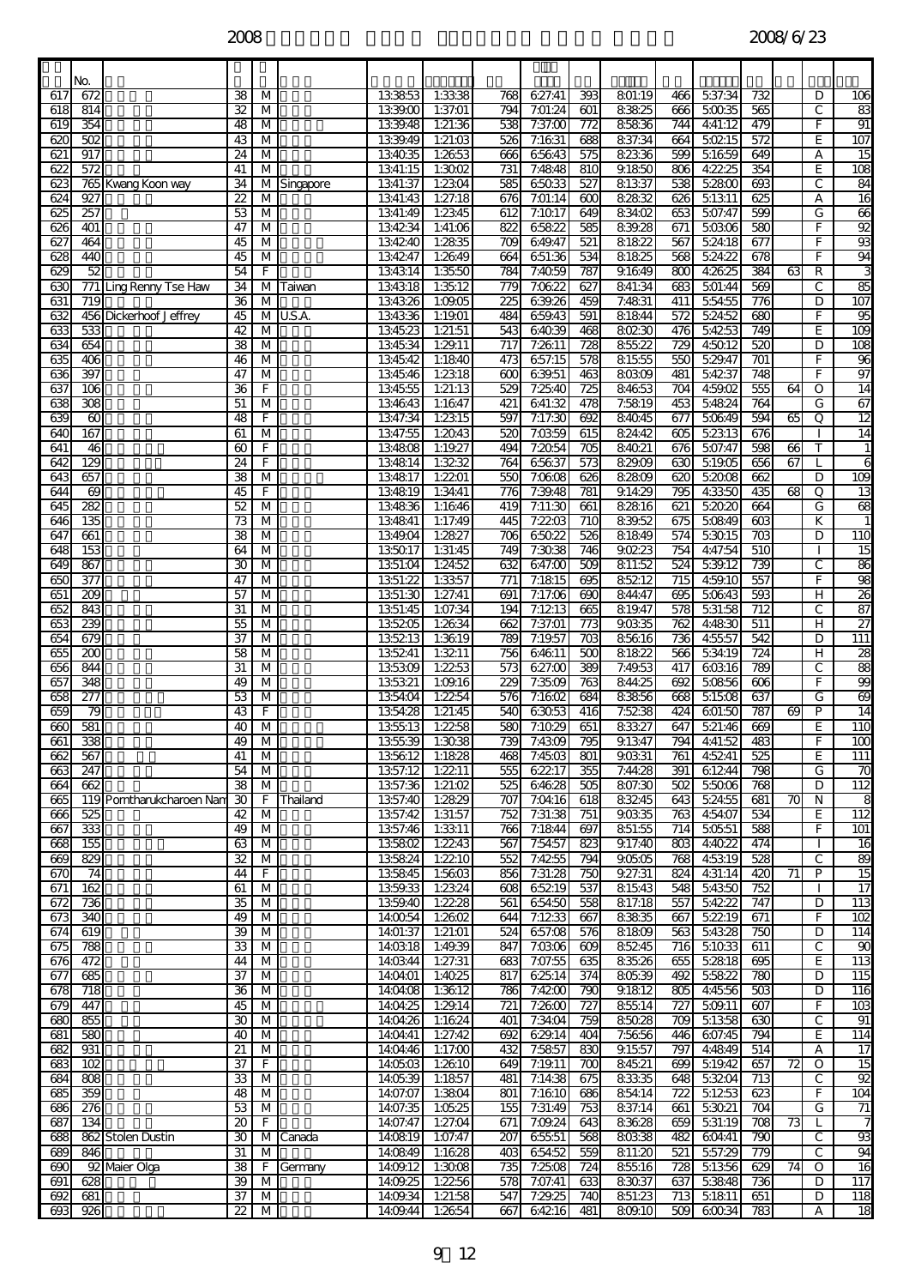$2008$   $2008/6/23$ 

| 617            | No.<br>672              |                           | 38                      | M                                         |           | 133853               | 1:3338             | 768                     | 627:41             | 393              | 801:19           | 466              | 537:34            | 732                     |                 | D                  | 106                    |
|----------------|-------------------------|---------------------------|-------------------------|-------------------------------------------|-----------|----------------------|--------------------|-------------------------|--------------------|------------------|------------------|------------------|-------------------|-------------------------|-----------------|--------------------|------------------------|
| 618            | 814                     |                           | 32                      | M                                         |           | 1339.00              | 1:37:01            | 794                     | 7:01:24            | 601              | 83825            | 666              | 50035             | 565                     |                 | C                  | 83                     |
| 619            | 354                     |                           | 48                      | M                                         |           | 1339.48              | 1:21:36            | 538                     | 7:37:00            | 772              | 85836            | 744              | 4:41:12           | 479                     |                 | F.                 | 91                     |
| 620            | 502                     |                           | 43                      | М                                         |           | 1339.49              | 1:21:03            | 526                     | 7:1631             | 688              | 837:34           | 664              | 50215             | 572                     |                 | E                  | 107                    |
| 621<br>622     | 917<br>572              |                           | 24<br>41                | $\overline{M}$<br>M                       |           | 134035<br>1341:15    | 1:2653<br>1:3002   | 666<br>731              | 65643<br>7:4848    | 575<br>810       | 82336<br>9.1850  | 599<br>806       | 51659<br>4:22.25  | 649<br>354              |                 | А<br>E             | $\overline{15}$<br>108 |
| 623            |                         | 765 Kwang Koon way        | 34                      | M                                         | Singapore | 1341:37              | 1:2304             | 585                     | 65033              | 527              | 81337            | 538              | 52800             | 693                     |                 | С                  | 84                     |
| 624            | 927                     |                           | $\overline{2}$          | М                                         |           | 1341:43              | 1:27:18            | 676                     | 7:01:14            | $\infty$         | 82832            | 626              | 51311             | 625                     |                 | А                  | 16                     |
| 625            | 257                     |                           | 53                      | М                                         |           | 1341:49              | 1:2345             | 612                     | 7:1017             | 649              | 834:02           | 653              | 507:47            | 599                     |                 | G                  | 66                     |
| 626<br>627     | $\overline{401}$<br>464 |                           | 47                      | $\overline{\mathsf{M}}$<br>$\overline{M}$ |           | 134234<br>134240     | 1:41:06<br>1:2835  | 822<br>$\overline{709}$ | 65822<br>649.47    | 585<br>521       | 839.28<br>81822  | 671<br>567       | 50306<br>524:18   | 580<br>677              |                 | F<br>F             | 92<br>93               |
| 628            | 440                     |                           | 45<br>45                | M                                         |           | 134247               | 1:2649             | 664                     | 651:36             | 534              | 81825            | 568              | 5:24:22           | 678                     |                 | F                  | 94                     |
| 629            | 52                      |                           | 54                      | F                                         |           | 134314               | 1:3550             | 784                     | 7:4059             | 787              | 9.1649           | 800              | 4:26:25           | 384                     | 63              | R                  | 3                      |
| 630            |                         | 771 Ling Renny Tse Haw    | 34                      | M                                         | Taiwan    | 134318               | 1:35:12            | 779                     | 7:06:22            | 627              | 841:34           | 683              | 501:44            | 569                     |                 | С                  | 85                     |
| 631            | 719                     |                           | 36                      | M                                         |           | 134326               | 1:09:05            | $\overline{25}$         | 639.26             | 459              | 7:4831           | 411              | 554:55            | 776                     |                 | D                  | 107                    |
| 632<br>633     | 533                     | 456 Dickerhoof Jeffrey    | 45<br>42                | $\overline{M}$<br>M                       | U.S.A.    | 134336<br>134523     | 1:1901<br>1:21:51  | 484<br>543              | 659.43<br>64039    | 591<br>468       | 81844<br>80230   | 572<br>476       | 5:24:52<br>54253  | $\overline{680}$<br>749 |                 | F<br>E             | 95<br>$\overline{109}$ |
| 634            | 654                     |                           | $\overline{38}$         | $\overline{M}$                            |           | 134534               | 1:29.11            | 717                     | 7:2611             | $\overline{728}$ | 85522            | $\overline{729}$ | 4:5012            | 520                     |                 | D                  | 108                    |
| 635            | 406                     |                           | 46                      | М                                         |           | 134542               | 1:1840             | 473                     | 657:15             | 578              | 81555            | 550              | 5:29.47           | 701                     |                 | F                  | 96                     |
| 636            | 397                     |                           | 47                      | $\overline{\mathsf{M}}$                   |           | 134546               | 1:2318             | 600                     | 639.51             | 463              | 80309            | 481              | 54237             | 748                     |                 | F                  | 97                     |
| 637            | $\overline{106}$        |                           | 36                      | F                                         |           | 134555               | 1:21:13            | 529                     | 7:25:40<br>641:32  | $\overline{725}$ | 84653            | $\overline{704}$ | 4:59:02           | 555                     | 64              | O                  | $\overline{14}$        |
| 638<br>639     | 308<br>60               |                           | 51<br>48                | M<br>F                                    |           | 134643<br>1347:34    | 1:1647<br>1:2315   | 421<br>597              | 7:17:30            | 478<br>692       | 7:5819<br>84045  | 453<br>677       | 54824<br>50649    | 764<br>594              | 65              | G<br>Q             | 67<br>$\overline{12}$  |
| 640            | 167                     |                           | 61                      | М                                         |           | 1347:55              | 1:2043             | 520                     | 7:0359             | 615              | 824:42           | 605              | $\frac{1}{52313}$ | 676                     |                 |                    | 14                     |
| 641            | 46                      |                           | 60                      | F                                         |           | 134808               | 1:19.27            | 494                     | 7:2054             | 705              | 84021            | 676              | 507:47            | 598                     | 66              | т                  | 1                      |
| 642            | 129                     |                           | $\overline{24}$         | F                                         |           | 134814               | 1:3232             | $\overline{764}$        | 65637              | $\overline{573}$ | 829.09           | 630              | 51905             | 656                     | 67              |                    | 6                      |
| 643<br>644     | 657<br>69               |                           | 38<br>45                | M<br>F                                    |           | 134817<br>134819     | 1:2201<br>1:34:41  | 550<br>776              | 7:06:08<br>7:39.48 | 626<br>781       | 82809<br>9.14:29 | 620<br>795       | 52008<br>4:3350   | 662<br>435              | 8               | D<br>Q             | 109<br>13              |
| 645            | 282                     |                           | 52                      | М                                         |           | 134836               | 1:1646             | 419                     | 7:11:30            | 661              | 82816            | 621              | 52020             | 664                     |                 | G                  | 68                     |
| 646            | 135                     |                           | 73                      | M                                         |           | 134841               | 1:17:49            | 445                     | 7:2203             | 710              | 839.52           | 675              | 50849             | 603                     |                 | K                  |                        |
| 647            | 661                     |                           | $\overline{38}$         | $\overline{M}$                            |           | 1349.04              | 1:2827             | $\overline{706}$        | 65022              | 526              | 81849            | 574              | 53015             | $\overline{703}$        |                 | D                  | 110                    |
| 648<br>649     | 153<br>867              |                           | 64<br>30                | M<br>М                                    |           | 135017<br>1351:04    | 1:31:45<br>1:24:52 | 749<br>632              | 7:3038<br>647:00   | 746<br>509       | 90223<br>811:52  | 754<br>524       | 4:47:54<br>539.12 | 510<br>739              |                 | C                  | 15<br>86               |
| 650            | 377                     |                           | 47                      | М                                         |           | 1351:22              | 1:3357             | 771                     | 7:1815             | 695              | 85212            | 715              | 4:59.10           | 557                     |                 | F.                 | 98                     |
| 651            | $\overline{209}$        |                           | 57                      | M                                         |           | 1351:30              | 1:27:41            | 691                     | 7:17:06            | 690              | 844:47           | 695              | 50643             | 593                     |                 | н                  | $\overline{26}$        |
| 652            | 843                     |                           | 31                      | $\overline{M}$                            |           | 1351:45              | 1:07:34            | 194                     | 7:1213             | 665              | 819.47           | $\overline{578}$ | 531:58            | 712                     |                 | С                  | 87                     |
| 653            | 239                     |                           | 55                      | M                                         |           | 135205               | 1:2634             | 662                     | 7:37:01            | 773              | 9.0335           | 762              | 4:48:30           | 511                     |                 | н                  | 27                     |
| 654<br>655     | 679<br>200              |                           | 37<br>58                | M<br>M                                    |           | 135213<br>135241     | 1:3619<br>1:3211   | 789<br>756              | 7:19.57<br>64611   | 703<br>500       | 85616<br>81822   | 736<br>566       | 4:55:57<br>534:19 | 542<br>724              |                 | D<br>н             | $\overline{111}$<br>28 |
| 656            | 844                     |                           | 31                      | M                                         |           | 135309               | 1:2253             | 573                     | 627:00             | 389              | 7:49.53          | 417              | 60316             | 789                     |                 | C                  | 88                     |
| 657            | 348                     |                           | 49                      | $\overline{M}$                            |           | 135321               | 1:09.16            | 229                     | 7:3509             | $\overline{763}$ | 844:25           | 692              | 50856             | $\overline{606}$        |                 | F                  | 99                     |
| 658            | 277                     |                           | 53                      | M                                         |           | 1354:04              | 1:2254             | 576                     | 7:1602             | 684              | 83856            | 668              | 51508             | 637                     |                 | G<br>P             | $\overline{69}$        |
| 659<br>660     | 79<br>581               |                           | 43<br>40                | F<br>M                                    |           | 1354:28<br>135513    | 1:21:45<br>1:2258  | 540<br>580              | 63053<br>7:1029    | 416<br>651       | 7:5238<br>83327  | 424<br>647       | 601:50<br>521:46  | 787<br>669              | 69              | E                  | 14<br>110              |
| 661            | 338                     |                           | 49                      | M                                         |           | 1355:39              | 1:3038             | 739                     | 7:4309             | 795              | 91347            | 794              | 4:41:52           | 483                     |                 | E.                 | 100                    |
| 662            | 567                     |                           | 41                      | M                                         |           | 135612               | 1:1828             | 468                     | 7:4503             | 801              | 90331            | 761              | 4:5241            | 525                     |                 | E                  | $\overline{111}$       |
| 663            | 247                     |                           | 54                      | M                                         |           | 1357:12              | 1:2211             | 555                     | 62217              | 355              | 7:44.28          | 391              | 61244             | 798                     |                 | G                  | 70                     |
| 664<br>665     | 662                     | 119 Porntharukcharoen Nam | 38<br>30                | M<br>F.                                   | Thailand  | 1357:36<br>1357:40   | 1:21:02<br>1:2829  | 525<br>707              | 64628<br>7:04:16   | 505<br>618       | 807:30<br>83245  | 502<br>643       | 55006<br>524:55   | 768<br>681              | 70              | D<br>N             | 112<br>8               |
| 666            | 525                     |                           | 42                      | M                                         |           | 1357:42              | 1:31:57            | 752                     | 7:31:38            | 751              | 9.0335           | 763              | 4:54:07           | 534                     |                 | E                  | 112                    |
| 667            | 333                     |                           | 49                      | M                                         |           | 1357:46              | 1:3311             | 766                     | 7:1844             | 697              | 851:55           | 714              | 50551             | 588                     |                 | F.                 | $\overline{101}$       |
| 668            | 155                     |                           | 63                      | M                                         |           | 135802               | 1:2243             | 567                     | 7:54:57            | 823              | 9.17:40          | 803              | 4:4022            | 474                     |                 | $\mathbf{I}$       | 16                     |
| 669<br>670     | 829<br>74               |                           | 32<br>44                | $\overline{M}$<br>F.                      |           | 135824<br>135845     | 1:2210<br>1:5603   | 552<br>856              | 7:4255<br>7:31:28  | 794<br>750       | 90505<br>9.27:31 | 768<br>824       | 45319<br>4:31:14  | 528<br>420              | 71              | $\mathsf{C}$<br>P  | 80<br>15               |
| 671            | 162                     |                           | 61                      | M                                         |           | 1359.33              | 1:2324             | 608                     | 65219              | 537              | 81543            | 548              | 54350             | 752                     |                 |                    | 17                     |
| 672            | 736                     |                           | 35                      | M                                         |           | 1359.40              | 1:2228             | 561                     | 65450              | 558              | 817:18           | 557              | 54222             | 747                     |                 | D                  | 113                    |
| 673            | 340                     |                           | 49                      | M                                         |           | 14:0054              | 1:2602             | 644                     | 7:1233             | 667              | 83835            | 667              | 52219             | 671                     |                 | F                  | 102                    |
| 674<br>675     | 619<br>788              |                           | $\overline{39}$<br>33   | M<br>M                                    |           | 14:01:37<br>14:03:18 | 1:21:01<br>1:49.39 | 524<br>847              | 657:08<br>7:0306   | 576<br>609       | 81809<br>85245   | 563<br>716       | 54328<br>51033    | 750<br>611              |                 | D<br>С             | 114<br>90              |
| 676            | 472                     |                           | 44                      | M                                         |           | 14:03:44             | 1:27:31            | 683                     | 7:07:55            | 635              | 83526            | 655              | 52818             | 695                     |                 | E                  | 113                    |
| 677            | 85                      |                           | $\overline{37}$         | $\overline{\mathsf{M}}$                   |           | 14:04:01             | 1:4025             | 817                     | 62514              | 374              | 80539            | 492              | 55822             | $\overline{780}$        |                 | D                  | 115                    |
| 678            | 718                     |                           | 36                      | M                                         |           | 14:04:08             | 1:3612             | 786                     | 7:4200             | 790              | 9.1812           | 805              | 4:45:56           | 503                     |                 | D                  | 116                    |
| 679<br>680     | 447<br>855              |                           | 45<br>30                | M<br>M                                    |           | 14:04:25<br>14:04:26 | 1:29.14<br>1:1624  | 721<br>401              | 7:2600<br>7:34:04  | 727<br>759       | 85514<br>85028   | 727<br>709       | 509.11<br>51358   | 607<br>630              |                 | F<br>С             | 103<br>୍ର              |
| 681            | 580                     |                           | 40                      | M                                         |           | 140441               | 1:27:42            | 692                     | 629.14             | 404              | 7:5656           | 446              | 607:45            | 794                     |                 | E                  | 114                    |
| 682            | 931                     |                           | 21                      | M                                         |           | 14:04:46             | 1:17:00            | 432                     | 7:5857             | 830              | 9.1557           | 797              | 4:4849            | 514                     |                 | А                  | 17                     |
| 683            | $\overline{10}$         |                           | 37                      | F                                         |           | 14:05:03             | 1:2610             | 649                     | 7:19.11            | 700              | 84521            | 699              | 519.42            | 657                     | 72              | 0                  | 15                     |
| 684            | 88                      |                           | 33                      | M                                         |           | 14:05:39             | 1:1857             | 481                     | 7:14.38            | 675              | 83335            | 648              | 53204             | 713                     |                 | $\mathsf{C}$<br>F. | 92                     |
| 685<br>686     | 359<br>276              |                           | 48<br>53                | M<br>M                                    |           | 14:07:07<br>14:07:35 | 1:3804<br>1:05.25  | 801<br>155              | 7:1610<br>7:31:49  | 686<br>753       | 85414<br>837:14  | 722<br>661       | 51253<br>53021    | 623<br>704              |                 | G                  | 104<br>71              |
| 687            | 134                     |                           | $\overline{\mathbf{z}}$ | F.                                        |           | 14:07:47             | 1:27:04            | 671                     | 7:09:24            | 643              | 83628            | 659              | 531:19            | $\overline{708}$        | $\overline{73}$ | L                  | 7                      |
| 688            |                         | 862 Stolen Dustin         | 30                      |                                           | M Canada  | 140819               | 1:07:47            | 207                     | 65551              | 568              | 80338            | 482              | 604:41            | 790                     |                 | С                  | 93                     |
| 689            | 846                     |                           | 31                      | M                                         |           | 14:08:49             | 1:1628             | 403                     | 65452              | 559              | 811:20           | 521              | 557:29            | 779                     |                 | $\mathsf{C}$       | 94                     |
| 690<br>691     | 628                     | 92 Maier Olga             | 38<br>39                | F.<br>M                                   | Germany   | 14:09:12<br>14:09:25 | 1:3008<br>1:2256   | 735<br>578              | 7:2508<br>7:07:41  | 724<br>633       | 85516<br>83037   | 728<br>637       | 51356<br>53848    | 629<br>736              | 74              | 0<br>D             | 16<br>117              |
| 692            | 681                     |                           | $\overline{37}$         | M                                         |           | 14:09:34             | 1:21:58            | 547                     | 7:29.25            | 740              | 851:23           | 713              | 51811             | 651                     |                 | D                  | 118                    |
| $\overline{3}$ | 926                     |                           | 22                      | M                                         |           | 14:09:44             | 1:2654             | 667                     | 64216              | 481              | 809.10           | 509              | 60034             | 783                     |                 | А                  | 18                     |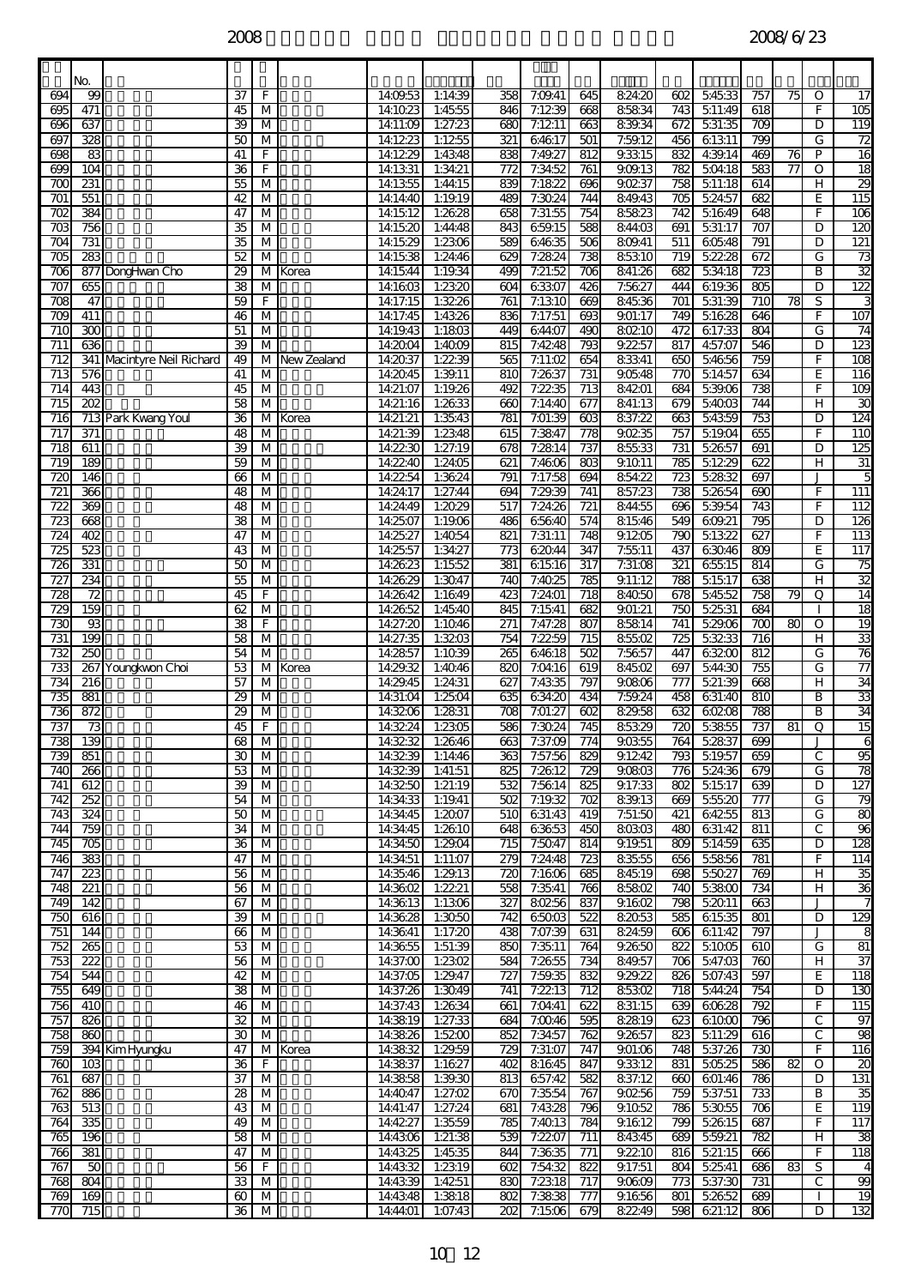|                         | No.                     |                            |                       |                              |             |                      |                             |                         |                    |                         |                    |                         |                   |                         |    |              |                         |
|-------------------------|-------------------------|----------------------------|-----------------------|------------------------------|-------------|----------------------|-----------------------------|-------------------------|--------------------|-------------------------|--------------------|-------------------------|-------------------|-------------------------|----|--------------|-------------------------|
| 694                     | 99                      |                            | 37                    | F                            |             | 14:09:53             | 1:14:39                     | 358                     | 7:09.41            | 645                     | 824:20             | 602                     | 54533             | 757                     | 75 | 0            | 17                      |
| 695<br>696              | 471<br>637              |                            | 45<br>39              | M<br>М                       |             | 14:1023<br>14:11:09  | 1:4555<br>1:27:23           | 846<br>680              | 7:1239<br>7:1211   | 668<br>663              | 85834<br>839.34    | 743<br>672              | 511:49<br>531:35  | 618<br>$\overline{709}$ |    | F<br>D       | 105<br>119              |
| 697                     | 328                     |                            | 50                    | M                            |             | 14:1223              | 1:1255                      | $\overline{321}$        | 64617              | 501                     | 7:59.12            | 456                     | 61311             | 799                     |    | G            | 72                      |
| 698                     | 83                      |                            | 41                    | F                            |             | 14:1229              | 1:4348                      | 838                     | 7:49.27            | 812                     | 9.3315             | 832                     | 4:39.14           | 469                     | 76 | P            | $\overline{16}$         |
| 699<br>700              | 104<br>231              |                            | 36<br>55              | F<br>M                       |             | 14:13:31<br>14:1355  | 1:34:21<br>1:44:15          | 772<br>839              | 7:34:52<br>7:1822  | 761<br>696              | 9.09.13<br>90237   | 782<br>758              | 504:18<br>511:18  | 583<br>614              | 77 | O<br>н       | $\overline{18}$<br>29   |
| $\overline{701}$        | 551                     |                            | 42                    | М                            |             | 14:14:40             | 1:19.19                     | 489                     | 7:3024             | 744                     | 849.43             | $\overline{705}$        | 524:57            | 682                     |    | E            | 115                     |
| 702                     | 384                     |                            | 47                    | М                            |             | 14:15:12             | 1:2628                      | 658                     | 7:31:55            | 754                     | 85823              | 742                     | 51649             | 648                     |    | F            | 106                     |
| $\overline{703}$        | 756                     |                            | 35                    | M                            |             | 14:15:20             | 1:44:48                     | 843                     | 659.15             | 588                     | 844:03             | 691                     | 531:17            | 707                     |    | D            | 120                     |
| 704<br>705              | 731<br>283              |                            | 35<br>52              | M<br>M                       |             | 141529<br>14:15:38   | 1:2306<br>1:24:46           | 589<br>629              | 64635<br>7:2824    | 506<br>738              | 809.41<br>85310    | 511<br>719              | 60548<br>52228    | $\overline{791}$<br>672 |    | D<br>G       | 121<br>73               |
| $\overline{706}$        |                         | 877 DongHwan Cho           | $\overline{29}$       | $\overline{M}$               | Korea       | 14:15:44             | 1:19:34                     | 499                     | 7:21:52            | 706                     | 841:26             | 682                     | 534:18            | 723                     |    | B            | $\overline{32}$         |
| 707                     | 655                     |                            | 38                    | М                            |             | 14:1603              | 1:2320                      | 604                     | 63307              | 426                     | 7:5627             | 444                     | 619.36            | 805                     |    | D            | 122                     |
| $\overline{708}$<br>709 | 47<br>411               |                            | 59<br>46              | F<br>M                       |             | 14:17:15<br>14:17:45 | 1:3226<br>1:4326            | 761<br>836              | 7:1310<br>7:17:51  | 669<br>693              | 84536<br>901:17    | 701<br>749              | 531:39<br>51628   | 710<br>646              | 78 | S<br>F       | 107                     |
| 710                     | 88                      |                            | 51                    | M                            |             | 14:19:43             | 1:1803                      | 449                     | 644:07             | 490                     | 80210              | 472                     | 617:33            | 804                     |    | G            | 74                      |
| 711                     | 636                     |                            | 39                    | М                            |             | 14:2004              | 1:4009                      | $\overline{815}$        | 7:4248             | $\overline{793}$        | 9.2257             | 817                     | 4:57:07           | 546                     |    | D            | 123                     |
| 712<br>713              | 576                     | 341 Macintyre Neil Richard | 49<br>41              | М<br>М                       | New Zealand | 14:2037<br>14:2045   | 1:2239<br>1:39.11           | 565<br>810              | 7:11:02<br>7:2637  | 654<br>731              | 83341<br>90548     | 650<br>770              | 54656<br>514:57   | 759<br>634              |    | F<br>Е       | 108<br>116              |
| 714                     | 443                     |                            | 45                    | M                            |             | 14:21:07             | 1:19.26                     | 492                     | 7:2235             | 713                     | 84201              | 684                     | 539.06            | 738                     |    | F            | 109                     |
| 715                     | 202                     |                            | 58                    | M                            |             | 14:21:16             | 1:2633                      | 660                     | 7:14:40            | 677                     | 841:13             | 679                     | 54003             | 744                     |    | н            | 30                      |
| 716                     |                         | 713 Park Kwang Youl        | 36                    | М                            | Korea       | 14:21:21             | 1:35:43                     | 781                     | 7:01:39            | 603<br>778              | 837:22<br>90235    | 663                     | 54359             | 753<br>655              |    | D<br>F       | 124<br>110              |
| 717<br>$\overline{718}$ | 371<br>611              |                            | 48<br>39              | М<br>М                       |             | 14:21:39<br>14:22:30 | 1:2348<br>1:27:19           | 615<br>678              | 7:3847<br>7:2814   | 737                     | 85533              | 757<br>731              | 51904<br>52657    | 691                     |    | D            | 125                     |
| 719                     | 189                     |                            | 59                    | M                            |             | 14:22:40             | 1:24:05                     | 621                     | 7:4606             | 803                     | 91011              | 785                     | 51229             | 622                     |    | н            | $\overline{31}$         |
| 720                     | 146                     |                            | 66                    | M                            |             | 14:2254              | 1:3624                      | 791                     | 7:17:58            | 694                     | 85422              | 723                     | 52832             | 697                     |    |              | 5                       |
| $\overline{721}$<br>722 | 366<br>369              |                            | 48<br>48              | M<br>М                       |             | 14:24:17<br>14:24:49 | 1:27:44<br>1:2029           | 694<br>517              | 7:29.39<br>7:24:26 | 741<br>721              | 857:23<br>844:55   | 738<br>696              | 52654<br>539.54   | 690<br>743              |    | F<br>F       | $\overline{111}$<br>112 |
| $\overline{723}$        | 668                     |                            | 38                    | M                            |             | 14:25:07             | 1:1906                      | 486                     | 65640              | 574                     | 81546              | 549                     | 609.21            | 795                     |    | D            | 126                     |
| 724                     | 402                     |                            | 47                    | M                            |             | 14:25:27             | 1:4054                      | 821                     | 7:31:11            | 748                     | 91205              | 790                     | 51322             | 627                     |    | F            | 113                     |
| 725<br>726              | 523<br>331              |                            | 43<br>50              | M<br>M                       |             | 14:25:57<br>14:26:23 | 1:34:27<br>1:1552           | 773<br>$\overline{381}$ | 62044<br>61516     | 347<br>$\overline{317}$ | 7:55:11<br>7:31:08 | 437<br>321              | 63046<br>65515    | 809<br>814              |    | Е<br>G       | 117<br>75               |
| 727                     | 234                     |                            | 55                    | М                            |             | 14:26:29             | 1:3047                      | 740                     | 7:4025             | 785                     | 9.11:12            | 788                     | $\frac{1}{51517}$ | 638                     |    | H            | $\overline{32}$         |
| 728                     | $\overline{72}$         |                            | 45                    | F                            |             | 14:26:42             | 1:1649                      | 423                     | 7:2401             | 718                     | 84050              | 678                     | 54552             | 758                     | 79 | Q            | $\overline{14}$         |
| 729                     | 159                     |                            | 62                    | M                            |             | 14:2652              | 1:45:40                     | 845                     | 7:1541             | 682                     | 901:21             | 750                     | 5:25:31           | 684                     |    |              | $\overline{18}$         |
| 730<br>731              | 93<br>$\overline{190}$  |                            | 38<br>58              | F<br>М                       |             | 14:27:20<br>14:27:35 | 1:1046<br>1:3203            | 271<br>754              | 7:47:28<br>7:2259  | 807<br>715              | 85814<br>85502     | 741<br>$\overline{725}$ | 529.06<br>53233   | 700<br>$\overline{716}$ | 80 | O<br>н       | 19<br>33                |
| 732                     | 250                     |                            | 54                    | М                            |             | 14:2857              | 1:1039                      | 265                     | 64618              | 502                     | 7:5657             | 447                     | 63200             | 812                     |    | G            | 76                      |
| 733                     |                         | 267 Youngkwon Choi         | 53                    | M                            | Korea       | 1429.32              | 1:40.46                     | 820                     | 7:04:16            | 619                     | 84502              | 697                     | 544:30            | 755                     |    | G            | $\overline{77}$         |
| 734<br>735              | 216<br>881              |                            | 57<br>29              | M<br>M                       |             | 14:29.45<br>14:31:04 | 1:24:31<br>1:2504           | 627<br>635              | 7:4335<br>634:20   | 797<br>434              | 90806<br>7:59.24   | 777<br>458              | 521:39<br>631:40  | 668<br>810              |    | н<br>B       | 34<br>33                |
| 736                     | 872                     |                            | 29                    | М                            |             | 14:3206              | 1:2831                      | 708                     | 7:01:27            | 602                     | 82958              | 632                     | 60208             | 788                     |    | B            | 34                      |
| 737                     | 73                      |                            | 45                    | F                            |             | 14:3224              | 1:2305                      | 586                     | 7:3024             | 745                     | 85329              | $\overline{720}$        | 53855             | 737                     | 81 | Q            | $\overline{15}$         |
| 738<br>739              | 139<br>851              |                            | $\overline{68}$<br>30 | $\overline{\mathsf{M}}$<br>M |             | 14:32:39             | 14:32:32 1:26:46<br>1:14.46 | 663<br>363              | 7:37:09<br>7:57:56 | 774<br>829              | 9.0355<br>91242    | 764<br>793              | 52837<br>519.57   | 699<br>659              |    | $\mathsf{C}$ | 6<br>95                 |
| 740                     | 266                     |                            | 53                    | M                            |             | 14:32:39             | 1:41:51                     | 825                     | 7:2612             | 729                     | 9.0803             | 776                     | 5.24:36           | 679                     |    | G            | 78                      |
| 741                     | 612                     |                            | 39                    | M                            |             | 14:3250              | 1:21:19                     | 532                     | 7:5614             | 825                     | 9.17:33            | 802                     | 51517             | 639                     |    | D            | 127                     |
| 742<br>743              | 252<br>324              |                            | 54<br>50              | M<br>M                       |             | 14:34:33<br>14:34:45 | 1:19.41<br>1:2007           | 8<br>510                | 7:19.32<br>631:43  | 702<br>419              | 839.13<br>7:51:50  | 669<br>421              | 55520<br>64255    | 777<br>813              |    | G<br>G       | 79<br>80                |
| 744                     | 759                     |                            | 34                    | М                            |             | 14:34:45             | 1:2610                      | 648                     | 63653              | 450                     | 80303              | 480                     | 631:42            | 811                     |    | С            | 96                      |
| 745                     | 705                     |                            | 36                    | M                            |             | 14:34:50             | 1:29.04                     | 715                     | 7:5047             | 814                     | 9.19.51            | 809                     | 5:14:59           | 635                     |    | D            | 128                     |
| 746                     | 383                     |                            | 47                    | M                            |             | 14:34:51             | 1:11:07                     | 279                     | 7:24:48            | 723                     | 83555              | 656                     | 55856             | 781                     |    | F            | 114                     |
| 747<br>748              | $\overline{223}$<br>221 |                            | 56<br>56              | M<br>M                       |             | 14:35:46<br>14:3602  | 1:29.13<br>1:2221           | 720<br>558              | 7:1606<br>7:35:41  | 685<br>766              | 84519<br>85802     | 698<br>740              | 55027<br>53800    | 769<br>734              |    | н<br>н       | 35<br>$\overline{36}$   |
| 749                     | 142                     |                            | 67                    | М                            |             | 14:36:13             | 1:1306                      | 327                     | 80256              | 837                     | 9.1602             | 798                     | 52011             | 663                     |    | J            | $\overline{7}$          |
| 750                     | 616                     |                            | 39                    | M                            |             | 14:36:28             | 1:3050                      | 742                     | 65003              | 522                     | 82053              | 585                     | 61535             | 801                     |    | D            | 129                     |
| 751<br>752              | 144<br>86               |                            | 66<br>53              | M<br>M                       |             | 14:36:41<br>143655   | 1:17:20<br>1:51:39          | 438<br>850              | 7:07:39<br>7:3511  | 631<br>764              | 824:59<br>9.2650   | 606<br>822              | 611:42<br>51005   | 797<br>610              |    | J<br>G       | 8<br>81                 |
| 753                     | 222                     |                            | 56                    | M                            |             | 14:37:00             | 1:2302                      | 584                     | 7:2655             | 734                     | 849.57             | 706                     | 547:03            | 760                     |    | н            | 37                      |
| 754                     | 544                     |                            | 42                    | M                            |             | 14:37:05             | 1:29.47                     | 727                     | 7:59:35            | 832                     | 9.29.22            | 826                     | 507:43            | 597                     |    | Ε            | 118                     |
| 755<br>756              | 649<br>410              |                            | 38<br>46              | M<br>M                       |             | 14:37:26<br>14:37:43 | 1:3049<br>1:2634            | 741<br>661              | 7:2213<br>7:04:41  | 712<br>622              | 85302<br>831:15    | 718<br>639              | 544:24<br>60628   | 754<br>$\overline{792}$ |    | D<br>F       | 130<br>115              |
| 757                     | 826                     |                            | 32                    | M                            |             | 14:3819              | 1:27:33                     | 684                     | 7:0046             | 595                     | 82819              | 623                     | 61000             | 796                     |    | C            | 97                      |
| 758                     | 860                     |                            | 30                    | М                            |             | 14:38.26             | 1:5200                      | 852                     | 7:34:57            | 762                     | 9.2657             | 823                     | 511:29            | 616                     |    | $\mathsf{C}$ | 98                      |
| 759<br>760              | 10 <sup>3</sup>         | 394 Kim Hyungku            | 47<br>36              | F                            | M Korea     | 14:38:32<br>14:38:37 | 1:29.59<br>1:1627           | 729<br>402              | 7:31:07<br>81645   | 747<br>847              | 9.01:06<br>9.3312  | 748<br>831              | 5:37:26<br>505.25 | 730<br>586              | 82 | F<br>O       | 116<br>8                |
| 761                     | 687                     |                            | 37                    | M                            |             | 14:3858              | 1:39.30                     | 813                     | 657:42             | 582                     | 837:12             | 660                     | 601:46            | 786                     |    | D            | 131                     |
| 762                     | 886                     |                            | 28                    | M                            |             | 14:40.47             | 1:27:02                     | 670                     | 7:35:54            | 767                     | 90256              | 759                     | 537:51            | 733                     |    | B            | 35                      |
| 763<br>764              | 513<br>335              |                            | 43<br>49              | M<br>M                       |             | 14:41:47<br>14:4227  | 1:27:24<br>1:3559           | 681<br>785              | 7:4328<br>7:4013   | 796<br>784              | 9.1052<br>91612    | 786<br>799              | 53055<br>52615    | 706<br>687              |    | E<br>F       | 119<br>117              |
| 765                     | 196                     |                            | 58                    | M                            |             | 14:4306              | 1:21:38                     | 539                     | 7:2207             | 711                     | 84345              | 689                     | 559.21            | 782                     |    | н            | 38                      |
| 766                     | 381                     |                            | 47                    | M                            |             | 14:43:25             | 1:45:35                     | 844                     | 7:3635             | 771                     | 9.2210             | 816                     | 521:15            | 666                     |    | F            | 118                     |
| 767                     | 50                      |                            | 56                    | F.                           |             | 14:43:32             | 1:2319                      | 602                     | 7:54:32            | 822                     | 9.17:51            | 804                     | 5.25.41           | 686                     | 83 | S            | 4                       |
| 768<br>769              | 804<br>169              |                            | 33<br>60              | M<br>M                       |             | 14:43:39<br>14:43:48 | 1:4251<br>1:3818            | 830<br>802              | 7:2318<br>7:3838   | 717<br>777              | 9.0609<br>9.1656   | 773<br>801              | 537:30<br>52652   | 731<br>689              |    | $\mathsf{C}$ | 99<br>$\overline{19}$   |
| 770                     | 715                     |                            | 36                    | M                            |             | 14:44:01             | 1:07:43                     | 202                     | 7:1506             | 679                     | 82249              | 598                     | 621:12            | 806                     |    | D            | 132                     |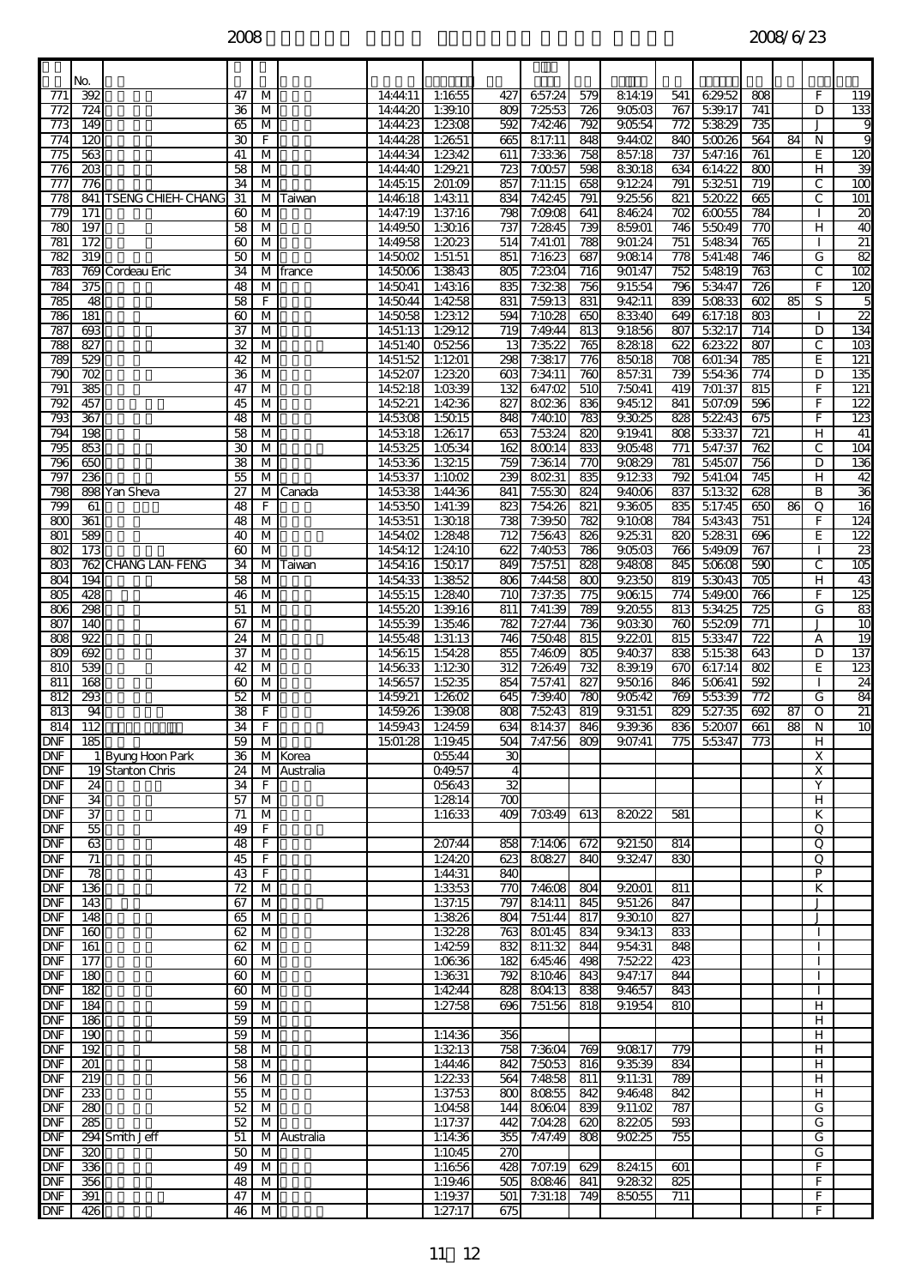$2008$   $2008/6/23$ 

|                          | No.              |                       |                 |                         |                        |                      |                    |                      |                         |                         |                   |            |                  |                         |    |                              |                              |
|--------------------------|------------------|-----------------------|-----------------|-------------------------|------------------------|----------------------|--------------------|----------------------|-------------------------|-------------------------|-------------------|------------|------------------|-------------------------|----|------------------------------|------------------------------|
| 771                      | 392              |                       | 47              | M                       |                        | 14:44:11             | 1:1655             | 427                  | 657:24                  | 579                     | 81419             | 541        | 629.52           | 808                     |    | F.                           | 119                          |
| 772                      | 724              |                       | 36              | M                       |                        | 14:44:20             | 1:39.10            | 809                  | 7:2553                  | 726                     | 90503             | 767        | 539.17           | 741                     |    | D                            | 133                          |
| $\overline{773}$         | 149              |                       | 65              | М                       |                        | 14:44:23<br>14:44:28 | 1:2308             | 592                  | 7:4246                  | 792                     | 90554<br>9.44:02  | 772<br>840 | 53829<br>50026   | 735<br>564              | 84 | N                            | 9<br>9                       |
| 774<br>775               | 120<br>563       |                       | 30<br>41        | F<br>M                  |                        | 14:44:34             | 1:2651<br>1:2342   | 665<br>611           | 817.11<br>7:3336        | 848<br>758              | 857:18            | 737        | 547:16           | 761                     |    | E                            | 120                          |
| 776                      | 203              |                       | 58              | М                       |                        | 14:44:40             | 1:29.21            | 723                  | 7:0057                  | 598                     | 83018             | 634        | 614:22           | 800                     |    | H.                           | 39                           |
| 777                      | 776              |                       | 34              | М                       |                        | 14:45:15             | 201:09             | 857                  | 7:11:15                 | 658                     | 9.1224            | 791        | 53251            | 719                     |    | С                            | $\overline{100}$             |
| $\overline{778}$<br>779  | 171              | 841 TSENG CHIEH-CHANG | 31<br>60        | M<br>M                  | Taiwan                 | 14:4618<br>14:47:19  | 1:4311<br>1:37:16  | 834<br>798           | 7:4245<br>7:09:08       | $\overline{791}$<br>641 | 9.25:56<br>84624  | 821<br>702 | 52022<br>60055   | 665<br>784              |    | C                            | $\overline{101}$<br>$\infty$ |
| 78C                      | 197              |                       | 58              | M                       |                        | 14:49.50             | 1:3016             | 737                  | 7:2845                  | 739                     | 85901             | 746        | 55049            | 770                     |    | н                            | ð                            |
| 781                      | 172              |                       | 60              | М                       |                        | 14:49.58             | 1:2023             | 514                  | 7:41:01                 | 788                     | 9.01:24           | 751        | 54834            | 765                     |    |                              | $\overline{2}$               |
| 782                      | $\overline{319}$ |                       | 50              | M                       |                        | 14:5002              | 1:51:51            | 851                  | 7:1623                  | 687                     | 90814             | 778        | 541:48           | 746                     |    | G                            | 82                           |
| 783<br>784               | 375              | 769 Cordeau Eric      | 34<br>48        | М<br>M                  | <b>france</b>          | 145006<br>14:5041    | 1:3843<br>1:4316   | 805<br>835           | 7:2304<br>7:3238        | $\overline{716}$<br>756 | 9.01:47<br>9.1554 | 752<br>796 | 54819<br>5:34:47 | $\overline{763}$<br>726 |    | C<br>F                       | 102<br>120                   |
| 785                      | 48               |                       | 58              | F                       |                        | 14:5044              | 1:4258             | 831                  | 7:59.13                 | 831                     | 9.4211            | 839        | 50833            | 602                     | 85 | S                            | 5                            |
| 786                      | 181              |                       | 60              | М                       |                        | 14:5058              | 1:2312             | 594                  | 7:1028                  | 650                     | 83340             | 649        | 617:18           | 803                     |    |                              | $\overline{2}$               |
| 787<br>788               | 693<br>827       |                       | 37<br>32        | М<br>М                  |                        | 14:51:13<br>14:51:40 | 1:29.12<br>05256   | 719<br>13            | 7:49.44<br>7:35.22      | 813<br>765              | 9.1856<br>82818   | 807<br>622 | 53217<br>62322   | 714<br>807              |    | D<br>С                       | 134<br>$\overline{103}$      |
| 789                      | 529              |                       | 42              | M                       |                        | 14:51:52             | 1:1201             | 298                  | 7:3817                  | 776                     | 85018             | 708        | 601:34           | 785                     |    | E                            | 121                          |
| 79C                      | 702              |                       | 36              | M                       |                        | 14:5207              | 1:23.20            | 603                  | 7:34:11                 | 760                     | 857:31            | 739        | 554:36           | 774                     |    | D                            | 135                          |
| 791                      | 385              |                       | 47              | M                       |                        | 14:5218              | 1:0339             | 132                  | 647:02                  | 510                     | 7:5041            | 419        | 7:01:37          | 815                     |    | F                            | 121                          |
| 792<br>793               | 457<br>367       |                       | 45<br>48        | M<br>М                  |                        | 14:5221<br>14:5308   | 1:4236<br>1:5015   | 827<br>848           | 80236<br>7:4010         | 836<br>783              | 9.4512<br>93025   | 841<br>828 | 507:09<br>52243  | 596<br>675              |    | F<br>F                       | 122<br>123                   |
| 794                      | 198              |                       | 58              | M                       |                        | 14:5318              | 1:2617             | 653                  | 7:5324                  | 820                     | 9.19.41           | 808        | 5:33:37          | 721                     |    | н                            | 41                           |
| 795                      | 853              |                       | 30              | M                       |                        | 14:53:25             | 1:0534             | 162                  | 80014                   | 833                     | 90548             | 771        | 547:37           | 762                     |    | С                            | 104                          |
| 796                      | 650              |                       | 38              | M                       |                        | 14:53:36             | 1:3215             | 759                  | 7:3614                  | 770                     | 90829             | 781        | 54507            | 756                     |    | D                            | 136                          |
| 797<br>798               | 236              | 898 Yan Sheva         | 55<br>27        | M                       | M Canada               | 14:53:37<br>14:53:38 | 1:1002<br>1:44:36  | 239<br>841           | 80231<br>7:55:30        | 835<br>824              | 9.1233<br>9.4006  | 792<br>837 | 541:04<br>51332  | 745<br>628              |    | H<br>В                       | 42<br>$\overline{36}$        |
| 799                      | 61               |                       | 48              | F                       |                        | 14:53:50             | 1:41:39            | 823                  | 7:54:26                 | 821                     | 9.3605            | 835        | 517:45           | 650                     | 86 | Q                            | 16                           |
| $\alpha$                 | 361              |                       | 48              | M                       |                        | 14:53:51             | 1:3018             | 738                  | 7:39.50                 | 782                     | 9.1008            | 784        | 54343            | 751                     |    | F                            | 124                          |
| 801                      | 589<br>173       |                       | 40              | M<br>M                  |                        | 14:54:02             | 1:2848<br>1:24:10  | 712<br>622           | 7:5643<br>7:4053        | 826                     | 9.25.31<br>90503  | 820        | 52831            | 696<br>767              |    | E.                           | 122                          |
| 802<br>803               |                  | 762 CHANG LAN-FENG    | 60<br>34        | М                       | Taiwan                 | 14:54:12<br>14:54:16 | 1:5017             | 849                  | 7:57:51                 | 786<br>828              | 9.4808            | 766<br>845 | 549.09<br>50608  | 590                     |    | C                            | 23<br>$\overline{105}$       |
| 804                      | 194              |                       | 58              | M                       |                        | 14:54:33             | 1:3852             | 806                  | 7:44:58                 | 800                     | 9.2350            | 819        | 53043            | 705                     |    | н                            | 43                           |
| 805                      | 428              |                       | 46              | M                       |                        | 14:55:15             | 1:2840             | 710                  | 7:37:35                 | 775                     | 90615             | 774        | 549.00           | 766                     |    | F                            | 125                          |
| 806<br>807               | 298<br>140       |                       | 51<br>67        | М<br>М                  |                        | 14:55:20<br>14:55:39 | 1:39.16<br>1:35:46 | 811<br>782           | 7:41:39<br>7:27:44      | 789<br>736              | 9.2055<br>90330   | 813<br>760 | 534:25<br>55209  | 725<br>771              |    | G<br>J                       | 83<br>10                     |
| $\overline{88}$          | 922              |                       | 24              | М                       |                        | 14:55:48             | 1:31:13            | 746                  | 7:5048                  | 815                     | 9.2201            | 815        | 53347            | $\overline{722}$        |    | А                            | 19                           |
| 809                      | 692              |                       | 37              | M                       |                        | 145615               | 1:54:28            | 855                  | 7:4609                  | 805                     | 9.4037            | 838        | 51538            | 643                     |    | D                            | 137                          |
| 810                      | 539              |                       | 42              | M                       |                        | 14:56:33             | 1:1230             | 312                  | 7:2649                  | 732                     | 839.19            | 670        | 617:14           | 802                     |    | E                            | 123                          |
| 811<br>812               | 168<br>293       |                       | 60<br>52        | М<br>М                  |                        | 14:56:57<br>14:59.21 | 1:5235<br>1:2602   | 854<br>645           | 7:57:41<br>7:39.40      | 827<br>780              | 95016<br>90542    | 846<br>769 | 50641<br>55339   | 592<br>772              |    | G                            | 24<br>84                     |
| 813                      | 94               |                       | 38              | F                       |                        | 14:59.26             | 1:39.08            | 808                  | 7:5243                  | 819                     | 9.31:51           | 829        | 527:35           | 692                     | 87 | O                            | $\overline{21}$              |
| 814                      | 112              |                       | 34              | F                       |                        | 14:59:43             | 1:24:59            | 634                  | 814:37                  | 846                     | 9.39.36           | 836        | 5:2007           | 661                     | 88 | N                            | 10                           |
| <b>DNF</b><br><b>DNF</b> | 185              | 1 Byung Hoon Park     | 59<br>36        | $\overline{\mathsf{M}}$ |                        | 1501:28              | 1:19.45            | 504                  | 7:47:56                 | 809                     | 9.07:41           | 775        | 55347            | 773                     |    | Ξ<br>X                       |                              |
| <b>DNF</b>               |                  | 19 Stanton Chris      | 24              |                         | M Korea<br>M Australia |                      | 05544<br>Q49.57    | 30<br>$\overline{4}$ |                         |                         |                   |            |                  |                         |    | X                            |                              |
| <b>DNF</b>               | 24               |                       | 34              | F.                      |                        |                      | 05643              | 32                   |                         |                         |                   |            |                  |                         |    | Y                            |                              |
| <b>DNF</b>               | 34               |                       | 57              | M                       |                        |                      | 1:2814             | 700                  |                         |                         |                   |            |                  |                         |    | H                            |                              |
| <b>DNF</b><br><b>DNF</b> | 37<br>55         |                       | 71<br>49        | М<br>F.                 |                        |                      | 1:1633             |                      | 409 7:03:49             | 613                     | 82022             | 581        |                  |                         |    | K<br>Q                       |                              |
| <b>DNF</b>               | 63               |                       | 48              | $\overline{F}$          |                        |                      | 207:44             |                      | 858 7:14:06             | 672                     | 9.21:50           | 814        |                  |                         |    | Q                            |                              |
| <b>DNF</b>               | 71               |                       | 45              | F.                      |                        |                      | 1:24:20            |                      | 623 80827               | 840                     | 9.3247            | 830        |                  |                         |    | Q                            |                              |
| <b>DNF</b>               | 78<br>136        |                       | 43              | $\overline{F}$          |                        |                      | 1:44:31<br>1:33.53 | 840                  | 770 7:4608              |                         | 9.2001            |            |                  |                         |    | P<br>ĸ                       |                              |
| <b>DNF</b><br><b>DNF</b> | 143              |                       | 72<br>67        | M<br>M                  |                        |                      | 1:37:15            |                      | 797 814:11              | 804<br>845              | 9.51:26           | 811<br>847 |                  |                         |    | J                            |                              |
| <b>DNF</b>               | 148              |                       | 65              | M                       |                        |                      | 1:3826             |                      | 804 7:51:44             | 817                     | 9.3010            | 827        |                  |                         |    | J                            |                              |
| <b>DNF</b>               | 160              |                       | $\overline{62}$ | M                       |                        |                      | 1:3228             |                      | 763 801:45              | 834                     | 9.34.13           | 833        |                  |                         |    |                              |                              |
| <b>DNF</b><br><b>DNF</b> | 161<br>177       |                       | 62<br>60        | M<br>M                  |                        |                      | 1:4259<br>1:0636   |                      | 832 811:32<br>182 64546 | 844<br>498              | 9.5431<br>7:5222  | 848<br>423 |                  |                         |    | $\mathbf{I}$<br>$\mathbf{I}$ |                              |
| <b>DNF</b>               | 180              |                       | 60              | М                       |                        |                      | 1:36.31            |                      | 792 81046               | 843                     | 9.47.17           | 844        |                  |                         |    | $\mathbf{I}$                 |                              |
| <b>DNF</b>               | 182              |                       | $\omega$        | M                       |                        |                      | 1:4244             |                      | 828 804:13              | 838                     | 9.4657            | 843        |                  |                         |    |                              |                              |
| <b>DNF</b>               | 184              |                       | 59              | M                       |                        |                      | 1:27:58            |                      | 696 7:51:56             | 818                     | 9.19.54           | 810        |                  |                         |    | н                            |                              |
| <b>DNF</b><br><b>DNF</b> | 186<br>190       |                       | 59<br>59        | M<br>M                  |                        |                      | 1:14:36            | 356                  |                         |                         |                   |            |                  |                         |    | H.<br>H.                     |                              |
| <b>DNF</b>               | 192              |                       | 58              | M                       |                        |                      | 1:3213             |                      | 758 7:3604              | 769                     | 90817             | 779        |                  |                         |    | H.                           |                              |
| <b>DNF</b>               | $\overline{201}$ |                       | 58              | $\overline{\mathsf{M}}$ |                        |                      | 1:44:46            | 842                  | 7:5053                  | 816                     | 9.3539            | 834        |                  |                         |    | Ή                            |                              |
| <b>DNF</b><br><b>DNF</b> | 219<br>233       |                       | 56<br>55        | M<br>M                  |                        |                      | 1:22:33<br>1:37:53 |                      | 564 7:4858<br>800 80855 | 811<br>842              | 9.11:31<br>9.4648 | 789<br>842 |                  |                         |    | H<br>H                       |                              |
| <b>DNF</b>               | 280              |                       | 52              | М                       |                        |                      | 1:04:58            |                      | 144 80604               | 839                     | 9.11:02           | 787        |                  |                         |    | G                            |                              |
| <b>DNF</b>               | 285              |                       | 52              | м                       |                        |                      | 1:17:37            | 442                  | 7:04:28                 | 620                     | 82205             | 593        |                  |                         |    | G                            |                              |
| <b>DNF</b>               |                  | 294 Smith Jeff        | 51              |                         | M Australia            |                      | 1:14:36            |                      | 355 7:47:49             | 808                     | 90225             | 755        |                  |                         |    | G                            |                              |
| <b>DNF</b><br><b>DNF</b> | 320<br>336       |                       | 50<br>49        | M<br>M                  |                        |                      | 1:1045<br>1:1656   | 270                  | 428 7:07:19             | 629                     | 82415             | 601        |                  |                         |    | G<br>F.                      |                              |
| <b>DNF</b>               | 356              |                       | 48              | M                       |                        |                      | 1:19.46            |                      | 505 80846               | 841                     | 9.2832            | 825        |                  |                         |    | F.                           |                              |
| <b>DNF</b>               | 391              |                       | 47              | M                       |                        |                      | 1:19.37            |                      | $501$ 7:31:18           | 749                     | 85055             | 711        |                  |                         |    | F.                           |                              |
| <b>DNF</b>               | 426              |                       | 46              | М                       |                        |                      | 1:27:17            | 675                  |                         |                         |                   |            |                  |                         |    | F                            |                              |